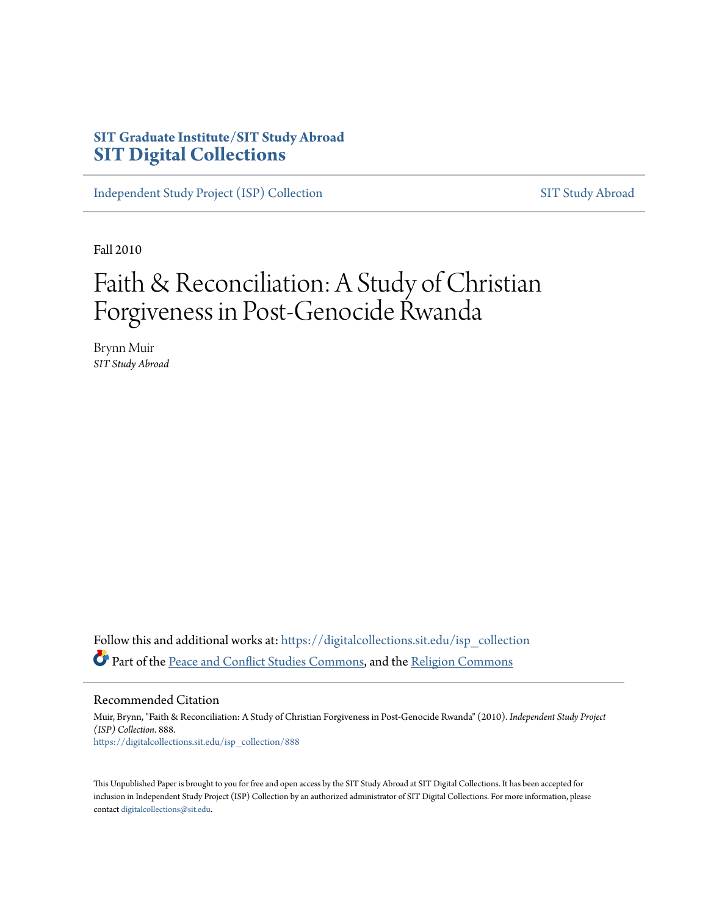## **SIT Graduate Institute/SIT Study Abroad [SIT Digital Collections](https://digitalcollections.sit.edu?utm_source=digitalcollections.sit.edu%2Fisp_collection%2F888&utm_medium=PDF&utm_campaign=PDFCoverPages)**

[Independent Study Project \(ISP\) Collection](https://digitalcollections.sit.edu/isp_collection?utm_source=digitalcollections.sit.edu%2Fisp_collection%2F888&utm_medium=PDF&utm_campaign=PDFCoverPages) [SIT Study Abroad](https://digitalcollections.sit.edu/study_abroad?utm_source=digitalcollections.sit.edu%2Fisp_collection%2F888&utm_medium=PDF&utm_campaign=PDFCoverPages)

Fall 2010

## Faith & Reconciliation: A Study of Christian Forgiveness in Post-Genocide Rwanda

Brynn Muir *SIT Study Abroad*

Follow this and additional works at: [https://digitalcollections.sit.edu/isp\\_collection](https://digitalcollections.sit.edu/isp_collection?utm_source=digitalcollections.sit.edu%2Fisp_collection%2F888&utm_medium=PDF&utm_campaign=PDFCoverPages) Part of the [Peace and Conflict Studies Commons,](http://network.bepress.com/hgg/discipline/397?utm_source=digitalcollections.sit.edu%2Fisp_collection%2F888&utm_medium=PDF&utm_campaign=PDFCoverPages) and the [Religion Commons](http://network.bepress.com/hgg/discipline/538?utm_source=digitalcollections.sit.edu%2Fisp_collection%2F888&utm_medium=PDF&utm_campaign=PDFCoverPages)

Recommended Citation

Muir, Brynn, "Faith & Reconciliation: A Study of Christian Forgiveness in Post-Genocide Rwanda" (2010). *Independent Study Project (ISP) Collection*. 888. [https://digitalcollections.sit.edu/isp\\_collection/888](https://digitalcollections.sit.edu/isp_collection/888?utm_source=digitalcollections.sit.edu%2Fisp_collection%2F888&utm_medium=PDF&utm_campaign=PDFCoverPages)

This Unpublished Paper is brought to you for free and open access by the SIT Study Abroad at SIT Digital Collections. It has been accepted for inclusion in Independent Study Project (ISP) Collection by an authorized administrator of SIT Digital Collections. For more information, please contact [digitalcollections@sit.edu](mailto:digitalcollections@sit.edu).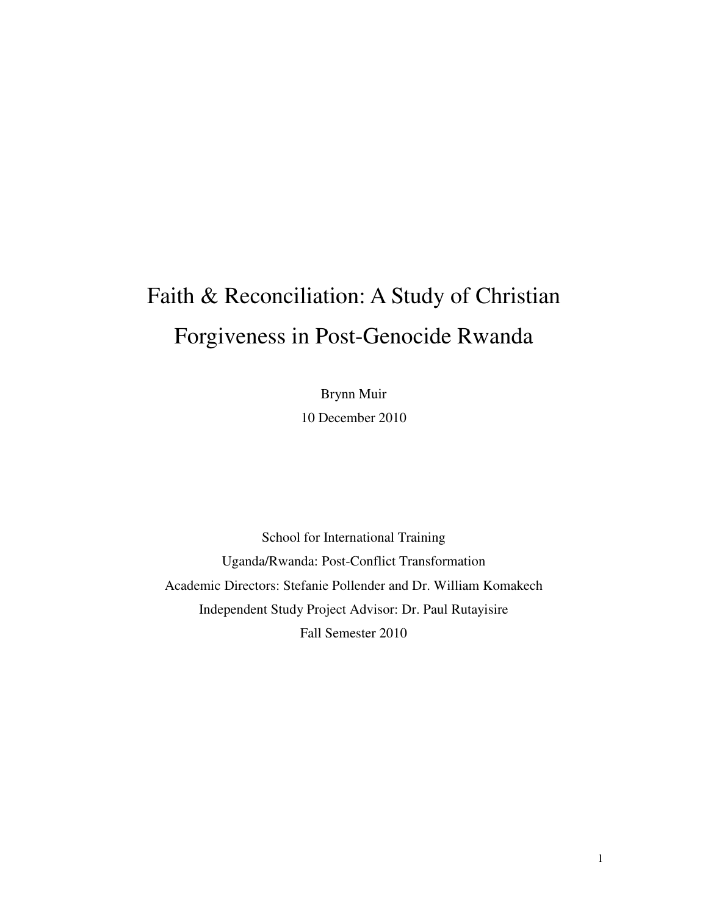# Faith & Reconciliation: A Study of Christian Forgiveness in Post-Genocide Rwanda

Brynn Muir

10 December 2010

School for International Training Uganda/Rwanda: Post-Conflict Transformation Academic Directors: Stefanie Pollender and Dr. William Komakech Independent Study Project Advisor: Dr. Paul Rutayisire Fall Semester 2010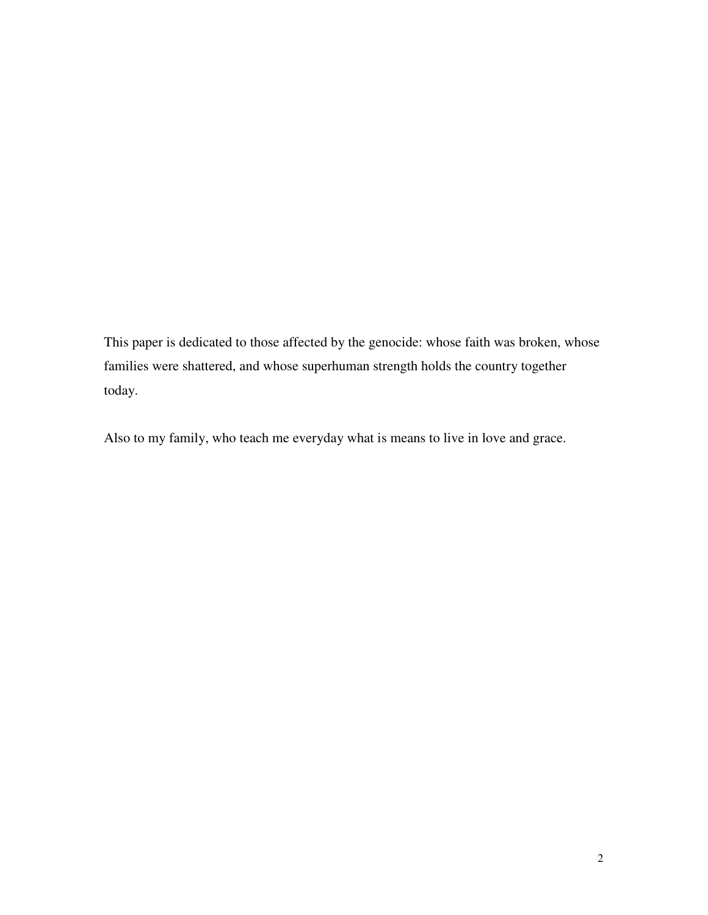This paper is dedicated to those affected by the genocide: whose faith was broken, whose families were shattered, and whose superhuman strength holds the country together today.

Also to my family, who teach me everyday what is means to live in love and grace.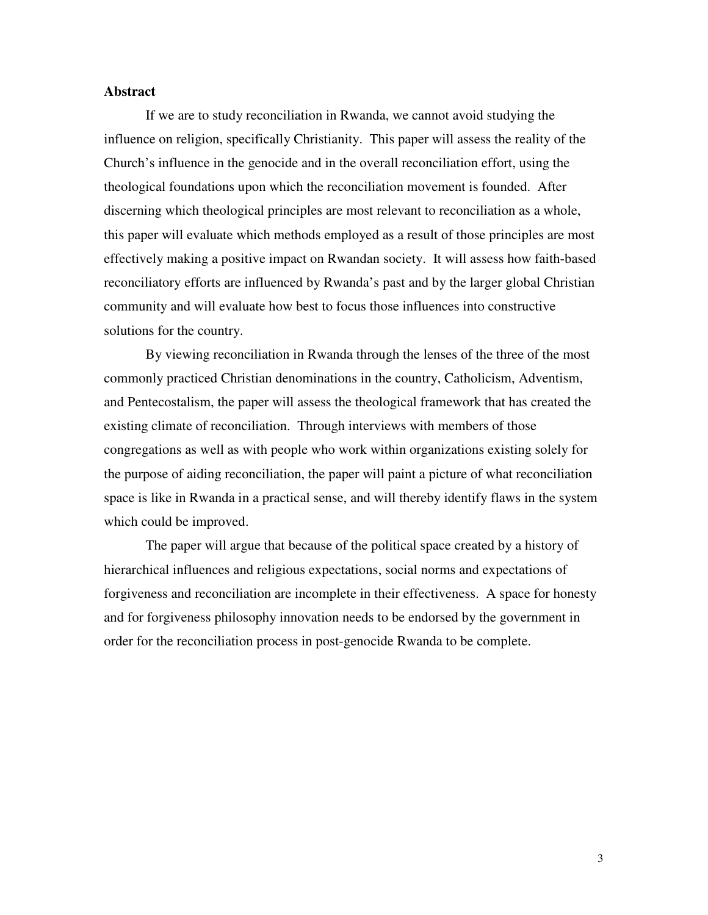#### **Abstract**

 If we are to study reconciliation in Rwanda, we cannot avoid studying the influence on religion, specifically Christianity. This paper will assess the reality of the Church's influence in the genocide and in the overall reconciliation effort, using the theological foundations upon which the reconciliation movement is founded. After discerning which theological principles are most relevant to reconciliation as a whole, this paper will evaluate which methods employed as a result of those principles are most effectively making a positive impact on Rwandan society. It will assess how faith-based reconciliatory efforts are influenced by Rwanda's past and by the larger global Christian community and will evaluate how best to focus those influences into constructive solutions for the country.

 By viewing reconciliation in Rwanda through the lenses of the three of the most commonly practiced Christian denominations in the country, Catholicism, Adventism, and Pentecostalism, the paper will assess the theological framework that has created the existing climate of reconciliation. Through interviews with members of those congregations as well as with people who work within organizations existing solely for the purpose of aiding reconciliation, the paper will paint a picture of what reconciliation space is like in Rwanda in a practical sense, and will thereby identify flaws in the system which could be improved.

 The paper will argue that because of the political space created by a history of hierarchical influences and religious expectations, social norms and expectations of forgiveness and reconciliation are incomplete in their effectiveness. A space for honesty and for forgiveness philosophy innovation needs to be endorsed by the government in order for the reconciliation process in post-genocide Rwanda to be complete.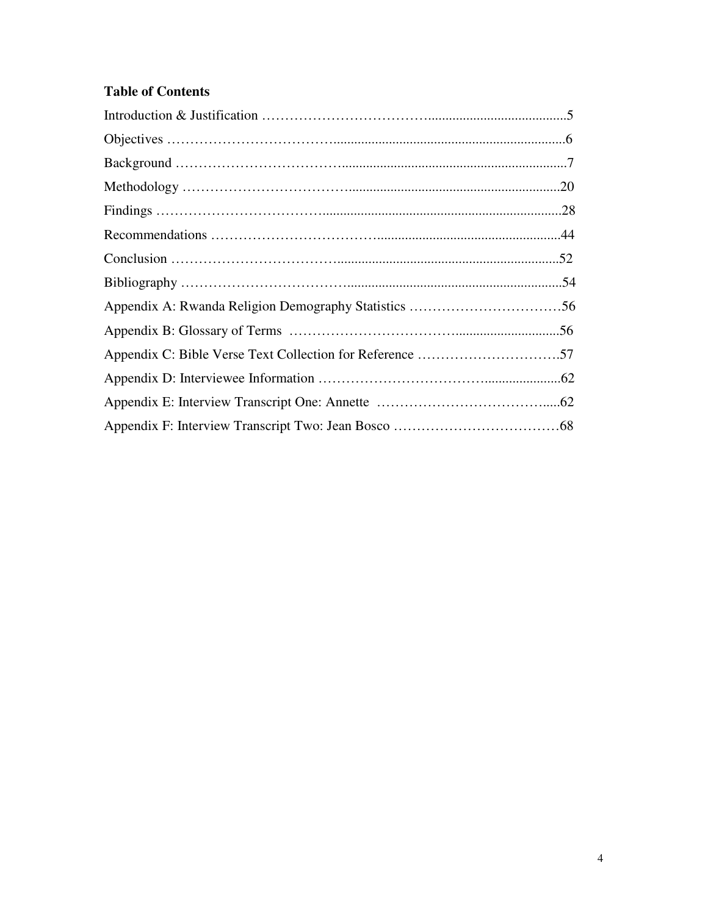## **Table of Contents**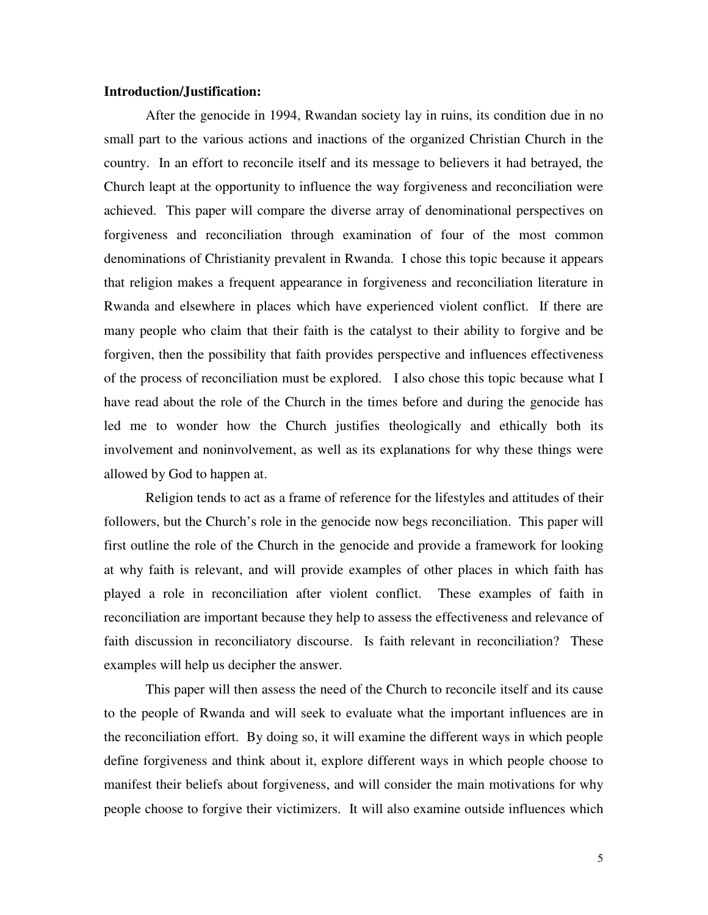#### **Introduction/Justification:**

 After the genocide in 1994, Rwandan society lay in ruins, its condition due in no small part to the various actions and inactions of the organized Christian Church in the country. In an effort to reconcile itself and its message to believers it had betrayed, the Church leapt at the opportunity to influence the way forgiveness and reconciliation were achieved. This paper will compare the diverse array of denominational perspectives on forgiveness and reconciliation through examination of four of the most common denominations of Christianity prevalent in Rwanda. I chose this topic because it appears that religion makes a frequent appearance in forgiveness and reconciliation literature in Rwanda and elsewhere in places which have experienced violent conflict. If there are many people who claim that their faith is the catalyst to their ability to forgive and be forgiven, then the possibility that faith provides perspective and influences effectiveness of the process of reconciliation must be explored. I also chose this topic because what I have read about the role of the Church in the times before and during the genocide has led me to wonder how the Church justifies theologically and ethically both its involvement and noninvolvement, as well as its explanations for why these things were allowed by God to happen at.

 Religion tends to act as a frame of reference for the lifestyles and attitudes of their followers, but the Church's role in the genocide now begs reconciliation. This paper will first outline the role of the Church in the genocide and provide a framework for looking at why faith is relevant, and will provide examples of other places in which faith has played a role in reconciliation after violent conflict. These examples of faith in reconciliation are important because they help to assess the effectiveness and relevance of faith discussion in reconciliatory discourse. Is faith relevant in reconciliation? These examples will help us decipher the answer.

 This paper will then assess the need of the Church to reconcile itself and its cause to the people of Rwanda and will seek to evaluate what the important influences are in the reconciliation effort. By doing so, it will examine the different ways in which people define forgiveness and think about it, explore different ways in which people choose to manifest their beliefs about forgiveness, and will consider the main motivations for why people choose to forgive their victimizers. It will also examine outside influences which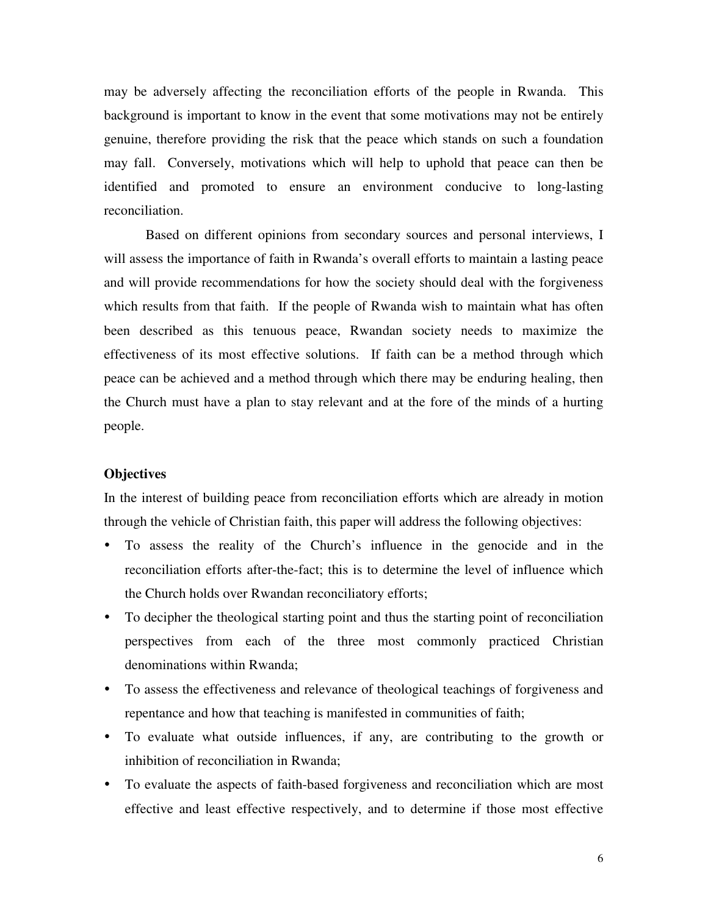may be adversely affecting the reconciliation efforts of the people in Rwanda. This background is important to know in the event that some motivations may not be entirely genuine, therefore providing the risk that the peace which stands on such a foundation may fall. Conversely, motivations which will help to uphold that peace can then be identified and promoted to ensure an environment conducive to long-lasting reconciliation.

 Based on different opinions from secondary sources and personal interviews, I will assess the importance of faith in Rwanda's overall efforts to maintain a lasting peace and will provide recommendations for how the society should deal with the forgiveness which results from that faith. If the people of Rwanda wish to maintain what has often been described as this tenuous peace, Rwandan society needs to maximize the effectiveness of its most effective solutions. If faith can be a method through which peace can be achieved and a method through which there may be enduring healing, then the Church must have a plan to stay relevant and at the fore of the minds of a hurting people.

#### **Objectives**

In the interest of building peace from reconciliation efforts which are already in motion through the vehicle of Christian faith, this paper will address the following objectives:

- To assess the reality of the Church's influence in the genocide and in the reconciliation efforts after-the-fact; this is to determine the level of influence which the Church holds over Rwandan reconciliatory efforts;
- To decipher the theological starting point and thus the starting point of reconciliation perspectives from each of the three most commonly practiced Christian denominations within Rwanda;
- To assess the effectiveness and relevance of theological teachings of forgiveness and repentance and how that teaching is manifested in communities of faith;
- To evaluate what outside influences, if any, are contributing to the growth or inhibition of reconciliation in Rwanda;
- To evaluate the aspects of faith-based forgiveness and reconciliation which are most effective and least effective respectively, and to determine if those most effective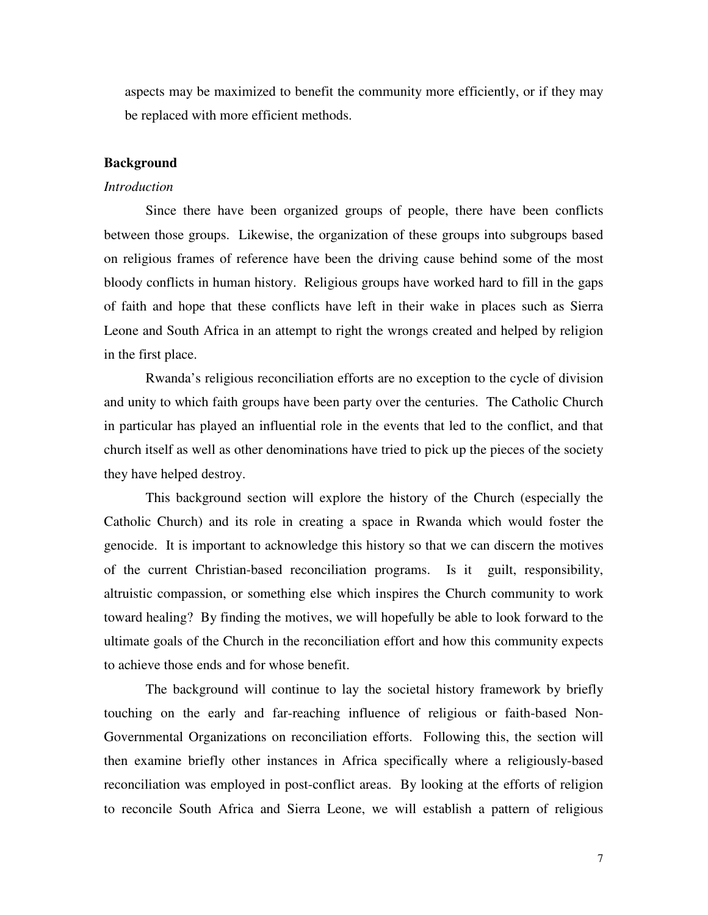aspects may be maximized to benefit the community more efficiently, or if they may be replaced with more efficient methods.

#### **Background**

#### *Introduction*

 Since there have been organized groups of people, there have been conflicts between those groups. Likewise, the organization of these groups into subgroups based on religious frames of reference have been the driving cause behind some of the most bloody conflicts in human history. Religious groups have worked hard to fill in the gaps of faith and hope that these conflicts have left in their wake in places such as Sierra Leone and South Africa in an attempt to right the wrongs created and helped by religion in the first place.

 Rwanda's religious reconciliation efforts are no exception to the cycle of division and unity to which faith groups have been party over the centuries. The Catholic Church in particular has played an influential role in the events that led to the conflict, and that church itself as well as other denominations have tried to pick up the pieces of the society they have helped destroy.

 This background section will explore the history of the Church (especially the Catholic Church) and its role in creating a space in Rwanda which would foster the genocide. It is important to acknowledge this history so that we can discern the motives of the current Christian-based reconciliation programs. Is it guilt, responsibility, altruistic compassion, or something else which inspires the Church community to work toward healing? By finding the motives, we will hopefully be able to look forward to the ultimate goals of the Church in the reconciliation effort and how this community expects to achieve those ends and for whose benefit.

 The background will continue to lay the societal history framework by briefly touching on the early and far-reaching influence of religious or faith-based Non-Governmental Organizations on reconciliation efforts. Following this, the section will then examine briefly other instances in Africa specifically where a religiously-based reconciliation was employed in post-conflict areas. By looking at the efforts of religion to reconcile South Africa and Sierra Leone, we will establish a pattern of religious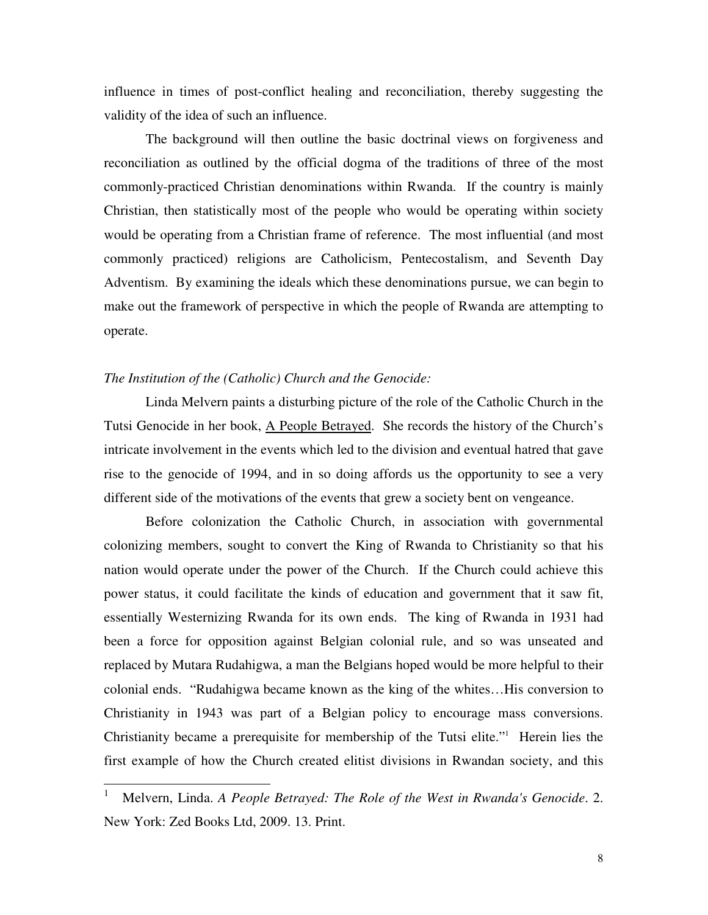influence in times of post-conflict healing and reconciliation, thereby suggesting the validity of the idea of such an influence.

 The background will then outline the basic doctrinal views on forgiveness and reconciliation as outlined by the official dogma of the traditions of three of the most commonly-practiced Christian denominations within Rwanda. If the country is mainly Christian, then statistically most of the people who would be operating within society would be operating from a Christian frame of reference. The most influential (and most commonly practiced) religions are Catholicism, Pentecostalism, and Seventh Day Adventism. By examining the ideals which these denominations pursue, we can begin to make out the framework of perspective in which the people of Rwanda are attempting to operate.

#### *The Institution of the (Catholic) Church and the Genocide:*

 $\overline{a}$ 

 Linda Melvern paints a disturbing picture of the role of the Catholic Church in the Tutsi Genocide in her book, A People Betrayed. She records the history of the Church's intricate involvement in the events which led to the division and eventual hatred that gave rise to the genocide of 1994, and in so doing affords us the opportunity to see a very different side of the motivations of the events that grew a society bent on vengeance.

 Before colonization the Catholic Church, in association with governmental colonizing members, sought to convert the King of Rwanda to Christianity so that his nation would operate under the power of the Church. If the Church could achieve this power status, it could facilitate the kinds of education and government that it saw fit, essentially Westernizing Rwanda for its own ends. The king of Rwanda in 1931 had been a force for opposition against Belgian colonial rule, and so was unseated and replaced by Mutara Rudahigwa, a man the Belgians hoped would be more helpful to their colonial ends. "Rudahigwa became known as the king of the whites…His conversion to Christianity in 1943 was part of a Belgian policy to encourage mass conversions. Christianity became a prerequisite for membership of the Tutsi elite."<sup>1</sup> Herein lies the first example of how the Church created elitist divisions in Rwandan society, and this

<sup>1</sup> Melvern, Linda. *A People Betrayed: The Role of the West in Rwanda's Genocide*. 2. New York: Zed Books Ltd, 2009. 13. Print.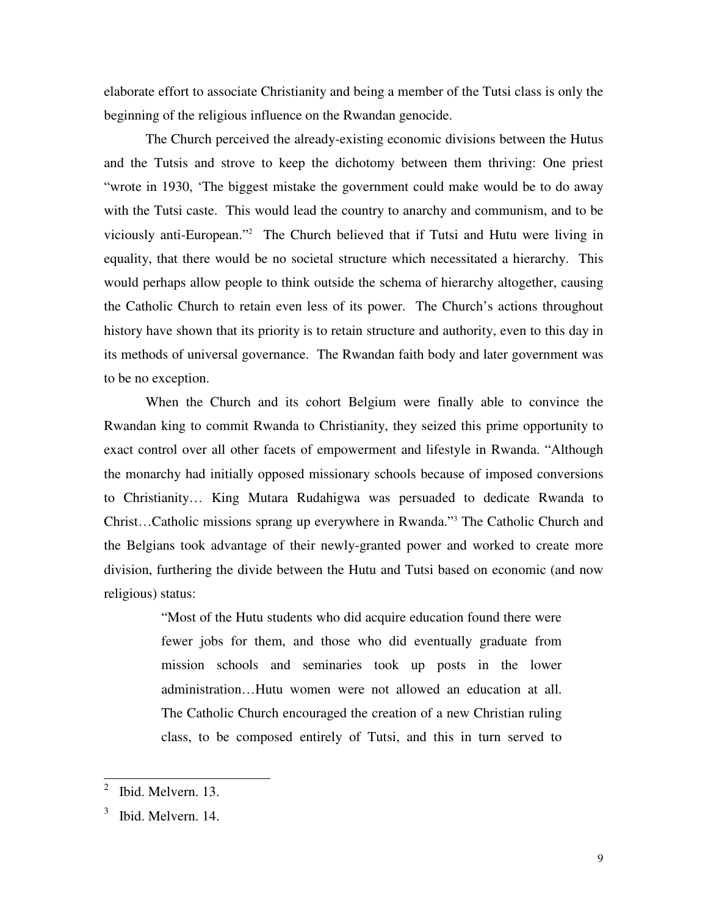elaborate effort to associate Christianity and being a member of the Tutsi class is only the beginning of the religious influence on the Rwandan genocide.

 The Church perceived the already-existing economic divisions between the Hutus and the Tutsis and strove to keep the dichotomy between them thriving: One priest "wrote in 1930, 'The biggest mistake the government could make would be to do away with the Tutsi caste. This would lead the country to anarchy and communism, and to be viciously anti-European."<sup>2</sup> The Church believed that if Tutsi and Hutu were living in equality, that there would be no societal structure which necessitated a hierarchy. This would perhaps allow people to think outside the schema of hierarchy altogether, causing the Catholic Church to retain even less of its power. The Church's actions throughout history have shown that its priority is to retain structure and authority, even to this day in its methods of universal governance. The Rwandan faith body and later government was to be no exception.

 When the Church and its cohort Belgium were finally able to convince the Rwandan king to commit Rwanda to Christianity, they seized this prime opportunity to exact control over all other facets of empowerment and lifestyle in Rwanda. "Although the monarchy had initially opposed missionary schools because of imposed conversions to Christianity… King Mutara Rudahigwa was persuaded to dedicate Rwanda to Christ…Catholic missions sprang up everywhere in Rwanda."<sup>3</sup> The Catholic Church and the Belgians took advantage of their newly-granted power and worked to create more division, furthering the divide between the Hutu and Tutsi based on economic (and now religious) status:

> "Most of the Hutu students who did acquire education found there were fewer jobs for them, and those who did eventually graduate from mission schools and seminaries took up posts in the lower administration…Hutu women were not allowed an education at all. The Catholic Church encouraged the creation of a new Christian ruling class, to be composed entirely of Tutsi, and this in turn served to

<sup>2</sup> Ibid. Melvern. 13.

<sup>3</sup> Ibid. Melvern. 14.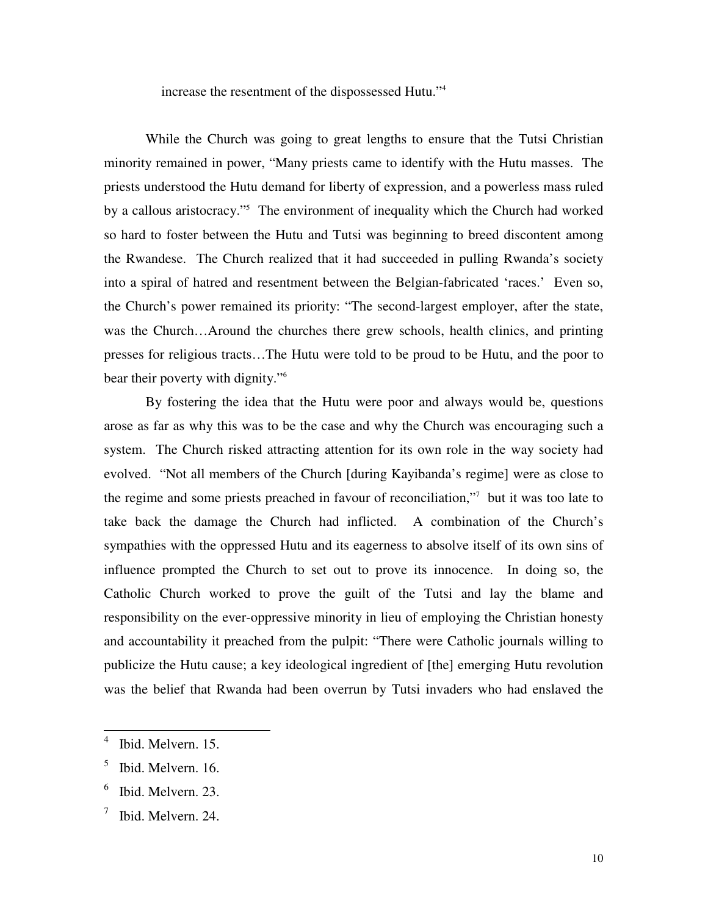increase the resentment of the dispossessed Hutu."<sup>4</sup>

 While the Church was going to great lengths to ensure that the Tutsi Christian minority remained in power, "Many priests came to identify with the Hutu masses. The priests understood the Hutu demand for liberty of expression, and a powerless mass ruled by a callous aristocracy."<sup>5</sup> The environment of inequality which the Church had worked so hard to foster between the Hutu and Tutsi was beginning to breed discontent among the Rwandese. The Church realized that it had succeeded in pulling Rwanda's society into a spiral of hatred and resentment between the Belgian-fabricated 'races.' Even so, the Church's power remained its priority: "The second-largest employer, after the state, was the Church…Around the churches there grew schools, health clinics, and printing presses for religious tracts…The Hutu were told to be proud to be Hutu, and the poor to bear their poverty with dignity."<sup>6</sup>

 By fostering the idea that the Hutu were poor and always would be, questions arose as far as why this was to be the case and why the Church was encouraging such a system. The Church risked attracting attention for its own role in the way society had evolved. "Not all members of the Church [during Kayibanda's regime] were as close to the regime and some priests preached in favour of reconciliation,"<sup>7</sup> but it was too late to take back the damage the Church had inflicted. A combination of the Church's sympathies with the oppressed Hutu and its eagerness to absolve itself of its own sins of influence prompted the Church to set out to prove its innocence. In doing so, the Catholic Church worked to prove the guilt of the Tutsi and lay the blame and responsibility on the ever-oppressive minority in lieu of employing the Christian honesty and accountability it preached from the pulpit: "There were Catholic journals willing to publicize the Hutu cause; a key ideological ingredient of [the] emerging Hutu revolution was the belief that Rwanda had been overrun by Tutsi invaders who had enslaved the

<sup>4</sup> Ibid. Melvern. 15.

<sup>5</sup> Ibid. Melvern. 16.

<sup>6</sup> Ibid. Melvern. 23.

<sup>7</sup> Ibid. Melvern. 24.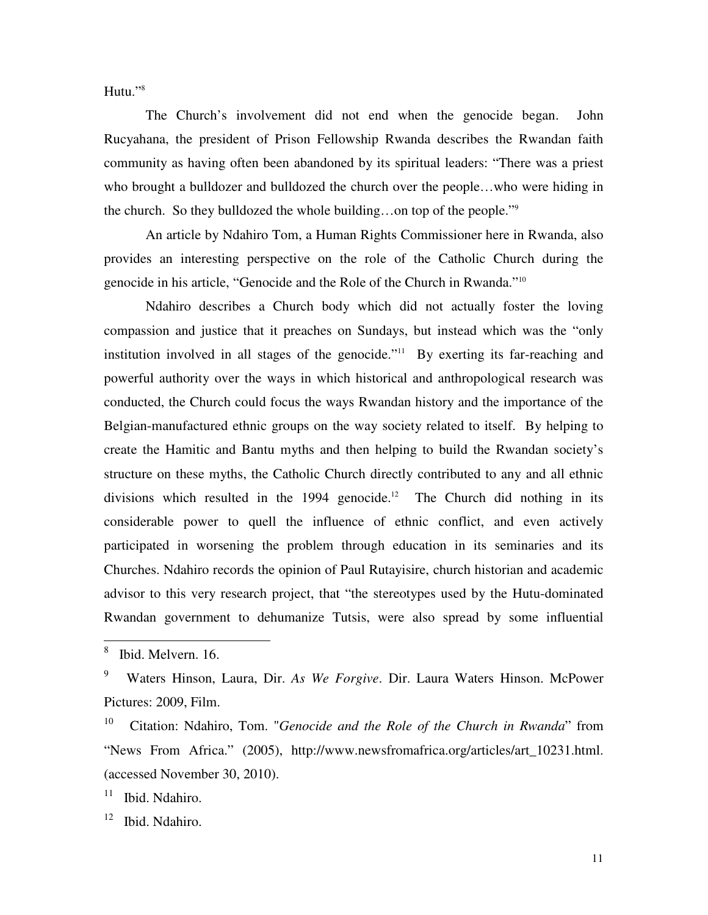Hutu."<sup>8</sup>

 The Church's involvement did not end when the genocide began. John Rucyahana, the president of Prison Fellowship Rwanda describes the Rwandan faith community as having often been abandoned by its spiritual leaders: "There was a priest who brought a bulldozer and bulldozed the church over the people...who were hiding in the church. So they bulldozed the whole building…on top of the people."<sup>9</sup>

 An article by Ndahiro Tom, a Human Rights Commissioner here in Rwanda, also provides an interesting perspective on the role of the Catholic Church during the genocide in his article, "Genocide and the Role of the Church in Rwanda."<sup>10</sup>

 Ndahiro describes a Church body which did not actually foster the loving compassion and justice that it preaches on Sundays, but instead which was the "only institution involved in all stages of the genocide."<sup>11</sup> By exerting its far-reaching and powerful authority over the ways in which historical and anthropological research was conducted, the Church could focus the ways Rwandan history and the importance of the Belgian-manufactured ethnic groups on the way society related to itself. By helping to create the Hamitic and Bantu myths and then helping to build the Rwandan society's structure on these myths, the Catholic Church directly contributed to any and all ethnic divisions which resulted in the 1994 genocide.<sup>12</sup> The Church did nothing in its considerable power to quell the influence of ethnic conflict, and even actively participated in worsening the problem through education in its seminaries and its Churches. Ndahiro records the opinion of Paul Rutayisire, church historian and academic advisor to this very research project, that "the stereotypes used by the Hutu-dominated Rwandan government to dehumanize Tutsis, were also spread by some influential

-

<sup>8</sup> Ibid. Melvern. 16.

<sup>9</sup> Waters Hinson, Laura, Dir. *As We Forgive*. Dir. Laura Waters Hinson. McPower Pictures: 2009, Film.

<sup>10</sup> Citation: Ndahiro, Tom. "*Genocide and the Role of the Church in Rwanda*" from "News From Africa." (2005), http://www.newsfromafrica.org/articles/art\_10231.html. (accessed November 30, 2010).

<sup>&</sup>lt;sup>11</sup> Ibid. Ndahiro.

<sup>12</sup> Ibid. Ndahiro.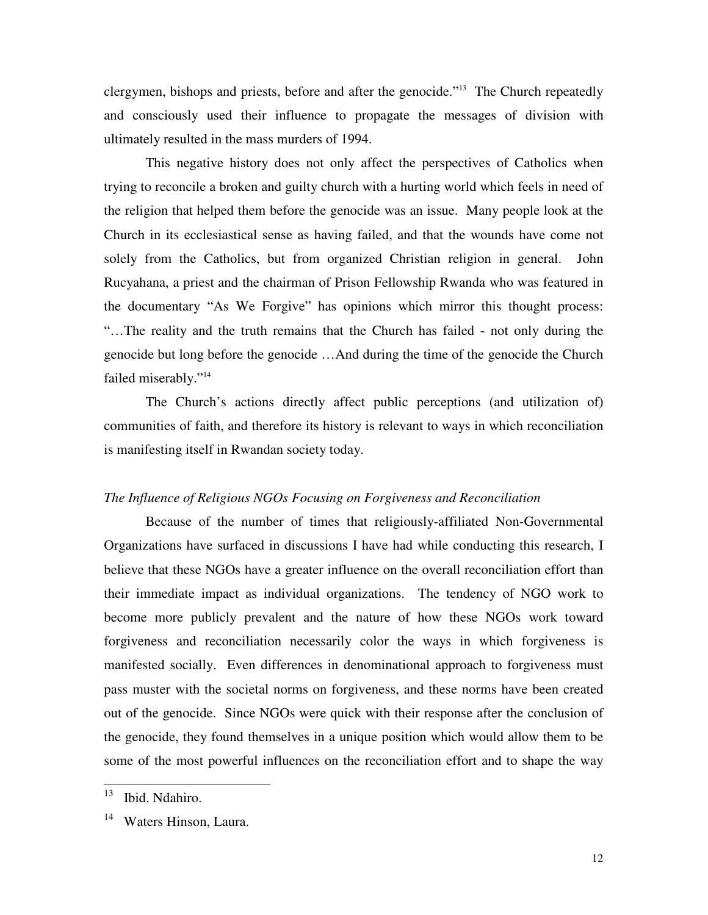clergymen, bishops and priests, before and after the genocide."<sup>13</sup> The Church repeatedly and consciously used their influence to propagate the messages of division with ultimately resulted in the mass murders of 1994.

 This negative history does not only affect the perspectives of Catholics when trying to reconcile a broken and guilty church with a hurting world which feels in need of the religion that helped them before the genocide was an issue. Many people look at the Church in its ecclesiastical sense as having failed, and that the wounds have come not solely from the Catholics, but from organized Christian religion in general. John Rucyahana, a priest and the chairman of Prison Fellowship Rwanda who was featured in the documentary "As We Forgive" has opinions which mirror this thought process: "…The reality and the truth remains that the Church has failed - not only during the genocide but long before the genocide …And during the time of the genocide the Church failed miserably."<sup>14</sup>

 The Church's actions directly affect public perceptions (and utilization of) communities of faith, and therefore its history is relevant to ways in which reconciliation is manifesting itself in Rwandan society today.

#### *The Influence of Religious NGOs Focusing on Forgiveness and Reconciliation*

 Because of the number of times that religiously-affiliated Non-Governmental Organizations have surfaced in discussions I have had while conducting this research, I believe that these NGOs have a greater influence on the overall reconciliation effort than their immediate impact as individual organizations. The tendency of NGO work to become more publicly prevalent and the nature of how these NGOs work toward forgiveness and reconciliation necessarily color the ways in which forgiveness is manifested socially. Even differences in denominational approach to forgiveness must pass muster with the societal norms on forgiveness, and these norms have been created out of the genocide. Since NGOs were quick with their response after the conclusion of the genocide, they found themselves in a unique position which would allow them to be some of the most powerful influences on the reconciliation effort and to shape the way

<sup>13</sup> Ibid. Ndahiro.

Waters Hinson, Laura.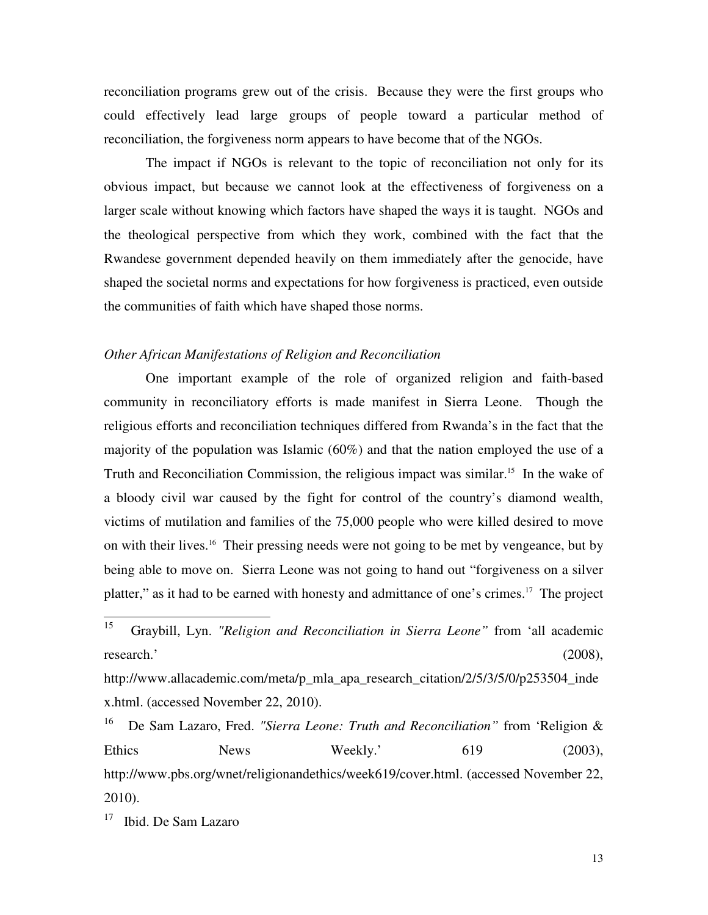reconciliation programs grew out of the crisis. Because they were the first groups who could effectively lead large groups of people toward a particular method of reconciliation, the forgiveness norm appears to have become that of the NGOs.

 The impact if NGOs is relevant to the topic of reconciliation not only for its obvious impact, but because we cannot look at the effectiveness of forgiveness on a larger scale without knowing which factors have shaped the ways it is taught. NGOs and the theological perspective from which they work, combined with the fact that the Rwandese government depended heavily on them immediately after the genocide, have shaped the societal norms and expectations for how forgiveness is practiced, even outside the communities of faith which have shaped those norms.

#### *Other African Manifestations of Religion and Reconciliation*

 One important example of the role of organized religion and faith-based community in reconciliatory efforts is made manifest in Sierra Leone. Though the religious efforts and reconciliation techniques differed from Rwanda's in the fact that the majority of the population was Islamic (60%) and that the nation employed the use of a Truth and Reconciliation Commission, the religious impact was similar.<sup>15</sup> In the wake of a bloody civil war caused by the fight for control of the country's diamond wealth, victims of mutilation and families of the 75,000 people who were killed desired to move on with their lives.<sup>16</sup> Their pressing needs were not going to be met by vengeance, but by being able to move on. Sierra Leone was not going to hand out "forgiveness on a silver platter," as it had to be earned with honesty and admittance of one's crimes.<sup>17</sup> The project

http://www.allacademic.com/meta/p\_mla\_apa\_research\_citation/2/5/3/5/0/p253504\_inde x.html. (accessed November 22, 2010).

<sup>16</sup> De Sam Lazaro, Fred. *"Sierra Leone: Truth and Reconciliation"* from 'Religion & Ethics News Weekly.' 619 (2003), http://www.pbs.org/wnet/religionandethics/week619/cover.html. (accessed November 22, 2010).

<sup>15</sup> <sup>15</sup> Graybill, Lyn. *"Religion and Reconciliation in Sierra Leone"* from 'all academic research.'  $(2008)$ ,

<sup>17</sup> Ibid. De Sam Lazaro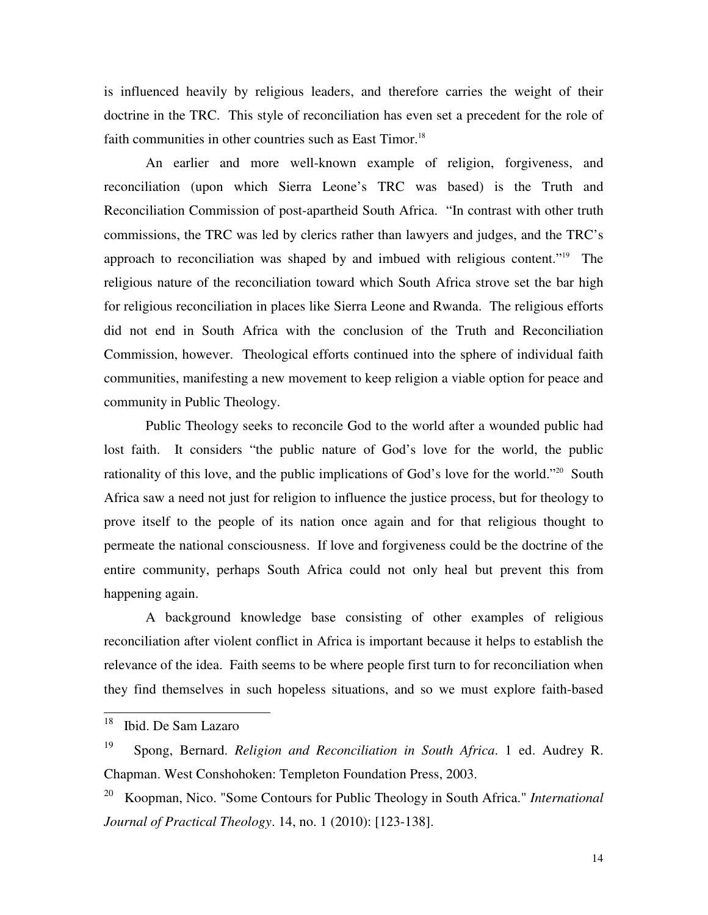is influenced heavily by religious leaders, and therefore carries the weight of their doctrine in the TRC. This style of reconciliation has even set a precedent for the role of faith communities in other countries such as East Timor.<sup>18</sup>

 An earlier and more well-known example of religion, forgiveness, and reconciliation (upon which Sierra Leone's TRC was based) is the Truth and Reconciliation Commission of post-apartheid South Africa. "In contrast with other truth commissions, the TRC was led by clerics rather than lawyers and judges, and the TRC's approach to reconciliation was shaped by and imbued with religious content."<sup>19</sup> The religious nature of the reconciliation toward which South Africa strove set the bar high for religious reconciliation in places like Sierra Leone and Rwanda. The religious efforts did not end in South Africa with the conclusion of the Truth and Reconciliation Commission, however. Theological efforts continued into the sphere of individual faith communities, manifesting a new movement to keep religion a viable option for peace and community in Public Theology.

 Public Theology seeks to reconcile God to the world after a wounded public had lost faith. It considers "the public nature of God's love for the world, the public rationality of this love, and the public implications of God's love for the world."<sup>20</sup> South Africa saw a need not just for religion to influence the justice process, but for theology to prove itself to the people of its nation once again and for that religious thought to permeate the national consciousness. If love and forgiveness could be the doctrine of the entire community, perhaps South Africa could not only heal but prevent this from happening again.

 A background knowledge base consisting of other examples of religious reconciliation after violent conflict in Africa is important because it helps to establish the relevance of the idea. Faith seems to be where people first turn to for reconciliation when they find themselves in such hopeless situations, and so we must explore faith-based

 $18\,$ <sup>18</sup> Ibid. De Sam Lazaro

<sup>19</sup> Spong, Bernard. *Religion and Reconciliation in South Africa*. 1 ed. Audrey R. Chapman. West Conshohoken: Templeton Foundation Press, 2003.

<sup>20</sup> Koopman, Nico. "Some Contours for Public Theology in South Africa." *International Journal of Practical Theology*. 14, no. 1 (2010): [123-138].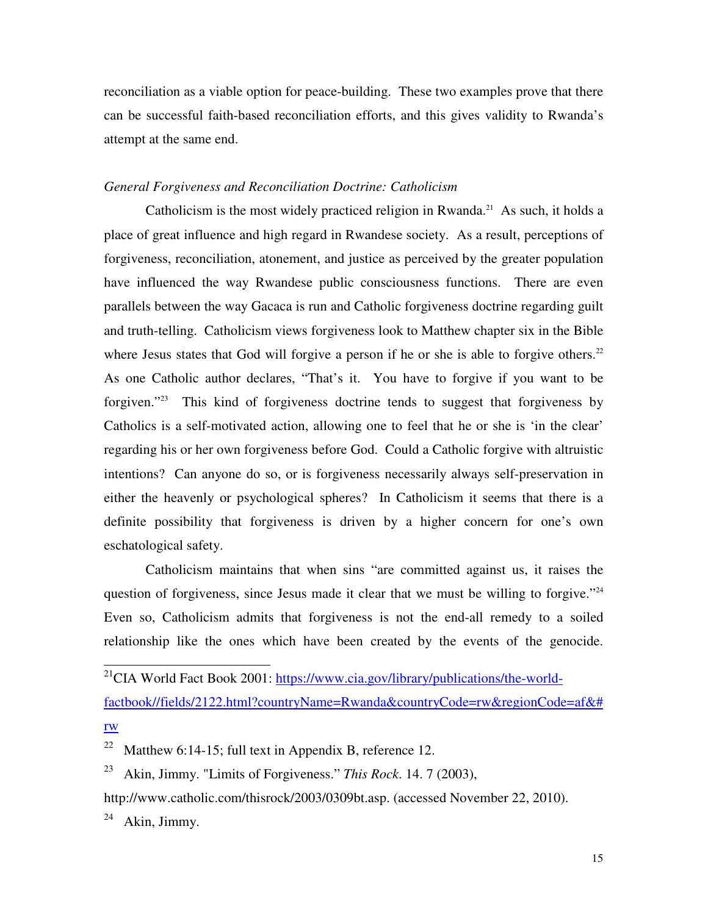reconciliation as a viable option for peace-building. These two examples prove that there can be successful faith-based reconciliation efforts, and this gives validity to Rwanda's attempt at the same end.

#### *General Forgiveness and Reconciliation Doctrine: Catholicism*

Catholicism is the most widely practiced religion in Rwanda.<sup>21</sup> As such, it holds a place of great influence and high regard in Rwandese society. As a result, perceptions of forgiveness, reconciliation, atonement, and justice as perceived by the greater population have influenced the way Rwandese public consciousness functions. There are even parallels between the way Gacaca is run and Catholic forgiveness doctrine regarding guilt and truth-telling. Catholicism views forgiveness look to Matthew chapter six in the Bible where Jesus states that God will forgive a person if he or she is able to forgive others.<sup>22</sup> As one Catholic author declares, "That's it. You have to forgive if you want to be forgiven."<sup>23</sup> This kind of forgiveness doctrine tends to suggest that forgiveness by Catholics is a self-motivated action, allowing one to feel that he or she is 'in the clear' regarding his or her own forgiveness before God. Could a Catholic forgive with altruistic intentions? Can anyone do so, or is forgiveness necessarily always self-preservation in either the heavenly or psychological spheres? In Catholicism it seems that there is a definite possibility that forgiveness is driven by a higher concern for one's own eschatological safety.

 Catholicism maintains that when sins "are committed against us, it raises the question of forgiveness, since Jesus made it clear that we must be willing to forgive."<sup>24</sup> Even so, Catholicism admits that forgiveness is not the end-all remedy to a soiled relationship like the ones which have been created by the events of the genocide.

<sup>21</sup>CIA World Fact Book 2001: https://www.cia.gov/library/publications/the-worldfactbook//fields/2122.html?countryName=Rwanda&countryCode=rw&regionCode=af&# rw

<sup>23</sup> Akin, Jimmy. "Limits of Forgiveness." *This Rock*. 14. 7 (2003),

http://www.catholic.com/thisrock/2003/0309bt.asp. (accessed November 22, 2010).

 $24$  Akin, Jimmy.

<sup>&</sup>lt;sup>22</sup> Matthew 6:14-15; full text in Appendix B, reference 12.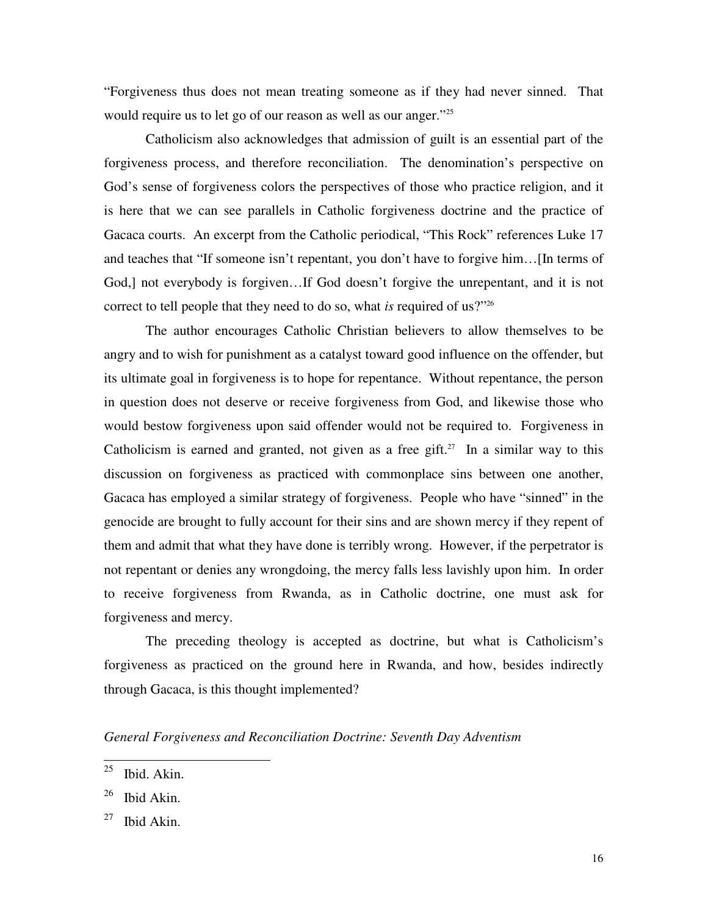"Forgiveness thus does not mean treating someone as if they had never sinned. That would require us to let go of our reason as well as our anger."<sup>25</sup>

 Catholicism also acknowledges that admission of guilt is an essential part of the forgiveness process, and therefore reconciliation. The denomination's perspective on God's sense of forgiveness colors the perspectives of those who practice religion, and it is here that we can see parallels in Catholic forgiveness doctrine and the practice of Gacaca courts. An excerpt from the Catholic periodical, "This Rock" references Luke 17 and teaches that "If someone isn't repentant, you don't have to forgive him…[In terms of God,] not everybody is forgiven…If God doesn't forgive the unrepentant, and it is not correct to tell people that they need to do so, what *is* required of us?"<sup>26</sup>

 The author encourages Catholic Christian believers to allow themselves to be angry and to wish for punishment as a catalyst toward good influence on the offender, but its ultimate goal in forgiveness is to hope for repentance. Without repentance, the person in question does not deserve or receive forgiveness from God, and likewise those who would bestow forgiveness upon said offender would not be required to. Forgiveness in Catholicism is earned and granted, not given as a free gift.<sup>27</sup> In a similar way to this discussion on forgiveness as practiced with commonplace sins between one another, Gacaca has employed a similar strategy of forgiveness. People who have "sinned" in the genocide are brought to fully account for their sins and are shown mercy if they repent of them and admit that what they have done is terribly wrong. However, if the perpetrator is not repentant or denies any wrongdoing, the mercy falls less lavishly upon him. In order to receive forgiveness from Rwanda, as in Catholic doctrine, one must ask for forgiveness and mercy.

 The preceding theology is accepted as doctrine, but what is Catholicism's forgiveness as practiced on the ground here in Rwanda, and how, besides indirectly through Gacaca, is this thought implemented?

## *General Forgiveness and Reconciliation Doctrine: Seventh Day Adventism*

 $27$  Ibid Akin.

<sup>25</sup> Ibid. Akin.

 $26$  Ibid Akin.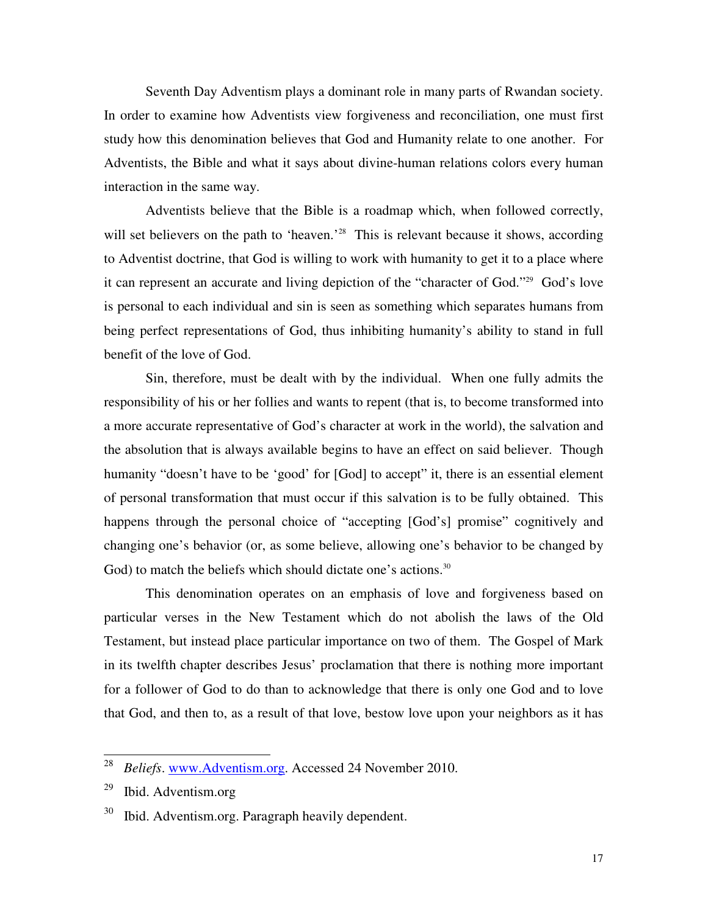Seventh Day Adventism plays a dominant role in many parts of Rwandan society. In order to examine how Adventists view forgiveness and reconciliation, one must first study how this denomination believes that God and Humanity relate to one another. For Adventists, the Bible and what it says about divine-human relations colors every human interaction in the same way.

 Adventists believe that the Bible is a roadmap which, when followed correctly, will set believers on the path to 'heaven.'<sup>28</sup> This is relevant because it shows, according to Adventist doctrine, that God is willing to work with humanity to get it to a place where it can represent an accurate and living depiction of the "character of God."<sup>29</sup> God's love is personal to each individual and sin is seen as something which separates humans from being perfect representations of God, thus inhibiting humanity's ability to stand in full benefit of the love of God.

 Sin, therefore, must be dealt with by the individual. When one fully admits the responsibility of his or her follies and wants to repent (that is, to become transformed into a more accurate representative of God's character at work in the world), the salvation and the absolution that is always available begins to have an effect on said believer. Though humanity "doesn't have to be 'good' for [God] to accept" it, there is an essential element of personal transformation that must occur if this salvation is to be fully obtained. This happens through the personal choice of "accepting [God's] promise" cognitively and changing one's behavior (or, as some believe, allowing one's behavior to be changed by God) to match the beliefs which should dictate one's actions.<sup>30</sup>

 This denomination operates on an emphasis of love and forgiveness based on particular verses in the New Testament which do not abolish the laws of the Old Testament, but instead place particular importance on two of them. The Gospel of Mark in its twelfth chapter describes Jesus' proclamation that there is nothing more important for a follower of God to do than to acknowledge that there is only one God and to love that God, and then to, as a result of that love, bestow love upon your neighbors as it has

 28 *Beliefs*. www.Adventism.org. Accessed 24 November 2010.

 $29$  Ibid. Adventism.org

 $30$  Ibid. Adventism.org. Paragraph heavily dependent.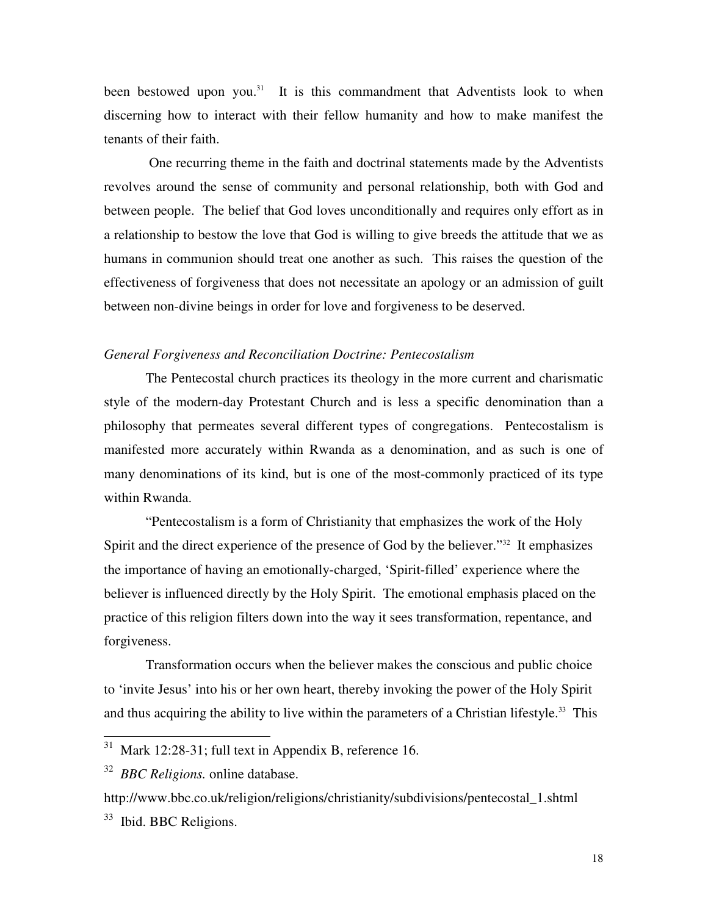been bestowed upon you.<sup>31</sup> It is this commandment that Adventists look to when discerning how to interact with their fellow humanity and how to make manifest the tenants of their faith.

 One recurring theme in the faith and doctrinal statements made by the Adventists revolves around the sense of community and personal relationship, both with God and between people. The belief that God loves unconditionally and requires only effort as in a relationship to bestow the love that God is willing to give breeds the attitude that we as humans in communion should treat one another as such. This raises the question of the effectiveness of forgiveness that does not necessitate an apology or an admission of guilt between non-divine beings in order for love and forgiveness to be deserved.

#### *General Forgiveness and Reconciliation Doctrine: Pentecostalism*

 The Pentecostal church practices its theology in the more current and charismatic style of the modern-day Protestant Church and is less a specific denomination than a philosophy that permeates several different types of congregations. Pentecostalism is manifested more accurately within Rwanda as a denomination, and as such is one of many denominations of its kind, but is one of the most-commonly practiced of its type within Rwanda.

"Pentecostalism is a form of Christianity that emphasizes the work of the Holy Spirit and the direct experience of the presence of God by the believer."<sup>32</sup> It emphasizes the importance of having an emotionally-charged, 'Spirit-filled' experience where the believer is influenced directly by the Holy Spirit. The emotional emphasis placed on the practice of this religion filters down into the way it sees transformation, repentance, and forgiveness.

 Transformation occurs when the believer makes the conscious and public choice to 'invite Jesus' into his or her own heart, thereby invoking the power of the Holy Spirit and thus acquiring the ability to live within the parameters of a Christian lifestyle.<sup>33</sup> This

http://www.bbc.co.uk/religion/religions/christianity/subdivisions/pentecostal\_1.shtml

 $31$  Mark 12:28-31; full text in Appendix B, reference 16.

<sup>32</sup> *BBC Religions.* online database.

<sup>&</sup>lt;sup>33</sup> Ibid. BBC Religions.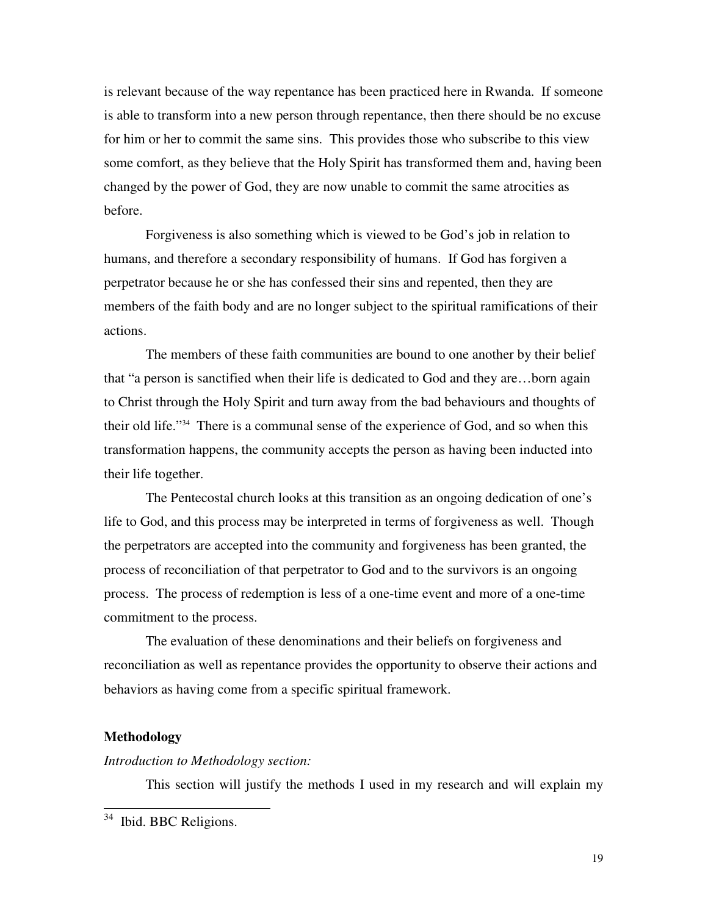is relevant because of the way repentance has been practiced here in Rwanda. If someone is able to transform into a new person through repentance, then there should be no excuse for him or her to commit the same sins. This provides those who subscribe to this view some comfort, as they believe that the Holy Spirit has transformed them and, having been changed by the power of God, they are now unable to commit the same atrocities as before.

 Forgiveness is also something which is viewed to be God's job in relation to humans, and therefore a secondary responsibility of humans. If God has forgiven a perpetrator because he or she has confessed their sins and repented, then they are members of the faith body and are no longer subject to the spiritual ramifications of their actions.

 The members of these faith communities are bound to one another by their belief that "a person is sanctified when their life is dedicated to God and they are…born again to Christ through the Holy Spirit and turn away from the bad behaviours and thoughts of their old life."<sup>34</sup> There is a communal sense of the experience of God, and so when this transformation happens, the community accepts the person as having been inducted into their life together.

 The Pentecostal church looks at this transition as an ongoing dedication of one's life to God, and this process may be interpreted in terms of forgiveness as well. Though the perpetrators are accepted into the community and forgiveness has been granted, the process of reconciliation of that perpetrator to God and to the survivors is an ongoing process. The process of redemption is less of a one-time event and more of a one-time commitment to the process.

 The evaluation of these denominations and their beliefs on forgiveness and reconciliation as well as repentance provides the opportunity to observe their actions and behaviors as having come from a specific spiritual framework.

#### **Methodology**

-

#### *Introduction to Methodology section:*

This section will justify the methods I used in my research and will explain my

<sup>&</sup>lt;sup>34</sup> Ibid. BBC Religions.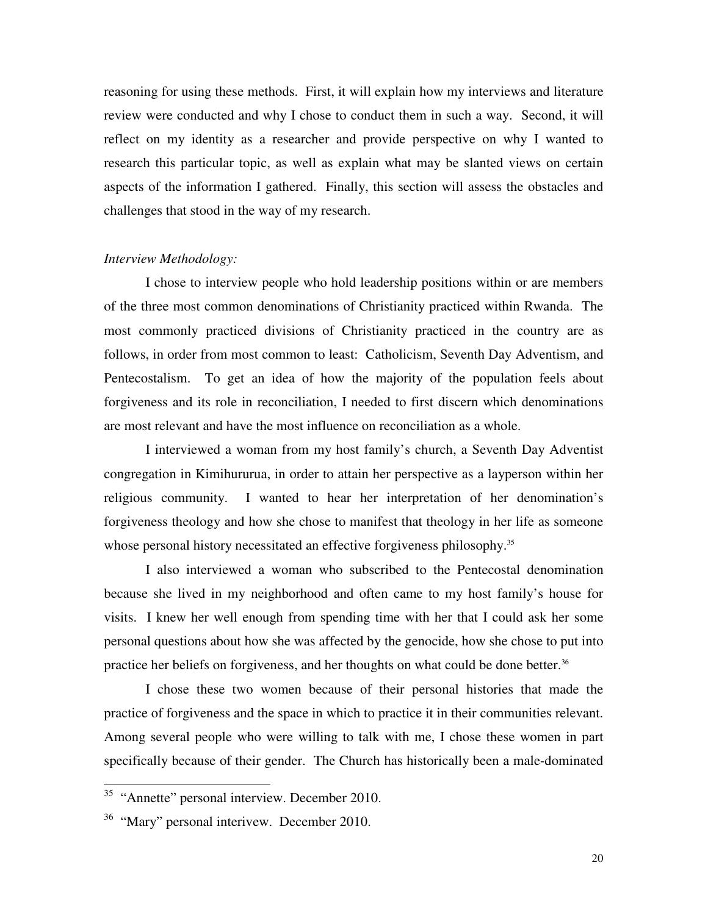reasoning for using these methods. First, it will explain how my interviews and literature review were conducted and why I chose to conduct them in such a way. Second, it will reflect on my identity as a researcher and provide perspective on why I wanted to research this particular topic, as well as explain what may be slanted views on certain aspects of the information I gathered. Finally, this section will assess the obstacles and challenges that stood in the way of my research.

#### *Interview Methodology:*

 I chose to interview people who hold leadership positions within or are members of the three most common denominations of Christianity practiced within Rwanda. The most commonly practiced divisions of Christianity practiced in the country are as follows, in order from most common to least: Catholicism, Seventh Day Adventism, and Pentecostalism. To get an idea of how the majority of the population feels about forgiveness and its role in reconciliation, I needed to first discern which denominations are most relevant and have the most influence on reconciliation as a whole.

 I interviewed a woman from my host family's church, a Seventh Day Adventist congregation in Kimihururua, in order to attain her perspective as a layperson within her religious community. I wanted to hear her interpretation of her denomination's forgiveness theology and how she chose to manifest that theology in her life as someone whose personal history necessitated an effective forgiveness philosophy.<sup>35</sup>

 I also interviewed a woman who subscribed to the Pentecostal denomination because she lived in my neighborhood and often came to my host family's house for visits. I knew her well enough from spending time with her that I could ask her some personal questions about how she was affected by the genocide, how she chose to put into practice her beliefs on forgiveness, and her thoughts on what could be done better.<sup>36</sup>

 I chose these two women because of their personal histories that made the practice of forgiveness and the space in which to practice it in their communities relevant. Among several people who were willing to talk with me, I chose these women in part specifically because of their gender. The Church has historically been a male-dominated

<sup>&</sup>lt;sup>35</sup> "Annette" personal interview. December 2010.

<sup>&</sup>lt;sup>36</sup> "Mary" personal interivew. December 2010.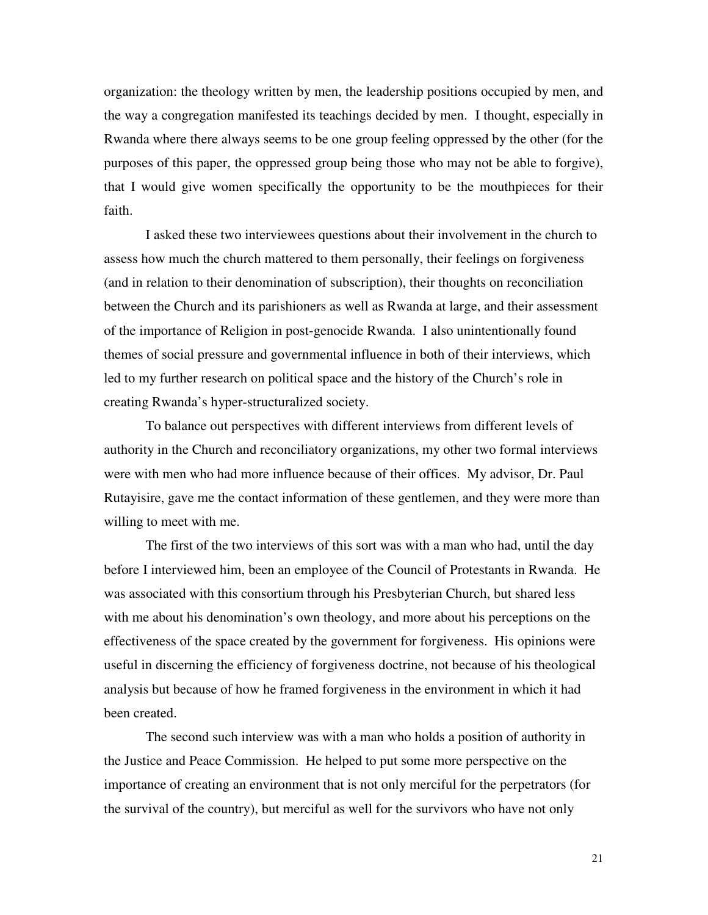organization: the theology written by men, the leadership positions occupied by men, and the way a congregation manifested its teachings decided by men. I thought, especially in Rwanda where there always seems to be one group feeling oppressed by the other (for the purposes of this paper, the oppressed group being those who may not be able to forgive), that I would give women specifically the opportunity to be the mouthpieces for their faith.

 I asked these two interviewees questions about their involvement in the church to assess how much the church mattered to them personally, their feelings on forgiveness (and in relation to their denomination of subscription), their thoughts on reconciliation between the Church and its parishioners as well as Rwanda at large, and their assessment of the importance of Religion in post-genocide Rwanda. I also unintentionally found themes of social pressure and governmental influence in both of their interviews, which led to my further research on political space and the history of the Church's role in creating Rwanda's hyper-structuralized society.

 To balance out perspectives with different interviews from different levels of authority in the Church and reconciliatory organizations, my other two formal interviews were with men who had more influence because of their offices. My advisor, Dr. Paul Rutayisire, gave me the contact information of these gentlemen, and they were more than willing to meet with me.

 The first of the two interviews of this sort was with a man who had, until the day before I interviewed him, been an employee of the Council of Protestants in Rwanda. He was associated with this consortium through his Presbyterian Church, but shared less with me about his denomination's own theology, and more about his perceptions on the effectiveness of the space created by the government for forgiveness. His opinions were useful in discerning the efficiency of forgiveness doctrine, not because of his theological analysis but because of how he framed forgiveness in the environment in which it had been created.

 The second such interview was with a man who holds a position of authority in the Justice and Peace Commission. He helped to put some more perspective on the importance of creating an environment that is not only merciful for the perpetrators (for the survival of the country), but merciful as well for the survivors who have not only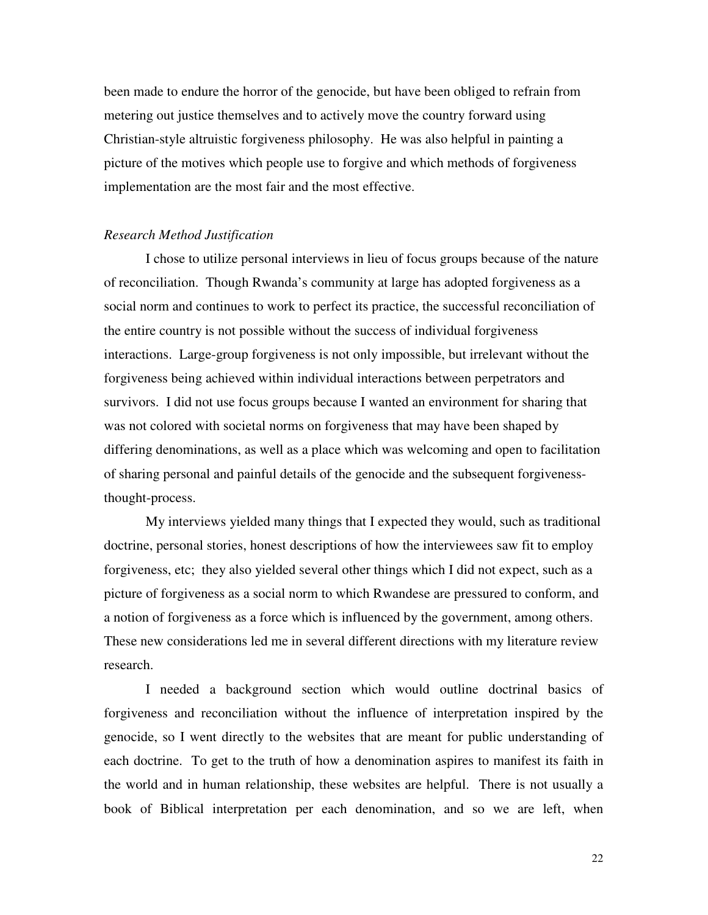been made to endure the horror of the genocide, but have been obliged to refrain from metering out justice themselves and to actively move the country forward using Christian-style altruistic forgiveness philosophy. He was also helpful in painting a picture of the motives which people use to forgive and which methods of forgiveness implementation are the most fair and the most effective.

#### *Research Method Justification*

 I chose to utilize personal interviews in lieu of focus groups because of the nature of reconciliation. Though Rwanda's community at large has adopted forgiveness as a social norm and continues to work to perfect its practice, the successful reconciliation of the entire country is not possible without the success of individual forgiveness interactions. Large-group forgiveness is not only impossible, but irrelevant without the forgiveness being achieved within individual interactions between perpetrators and survivors. I did not use focus groups because I wanted an environment for sharing that was not colored with societal norms on forgiveness that may have been shaped by differing denominations, as well as a place which was welcoming and open to facilitation of sharing personal and painful details of the genocide and the subsequent forgivenessthought-process.

 My interviews yielded many things that I expected they would, such as traditional doctrine, personal stories, honest descriptions of how the interviewees saw fit to employ forgiveness, etc; they also yielded several other things which I did not expect, such as a picture of forgiveness as a social norm to which Rwandese are pressured to conform, and a notion of forgiveness as a force which is influenced by the government, among others. These new considerations led me in several different directions with my literature review research.

 I needed a background section which would outline doctrinal basics of forgiveness and reconciliation without the influence of interpretation inspired by the genocide, so I went directly to the websites that are meant for public understanding of each doctrine. To get to the truth of how a denomination aspires to manifest its faith in the world and in human relationship, these websites are helpful. There is not usually a book of Biblical interpretation per each denomination, and so we are left, when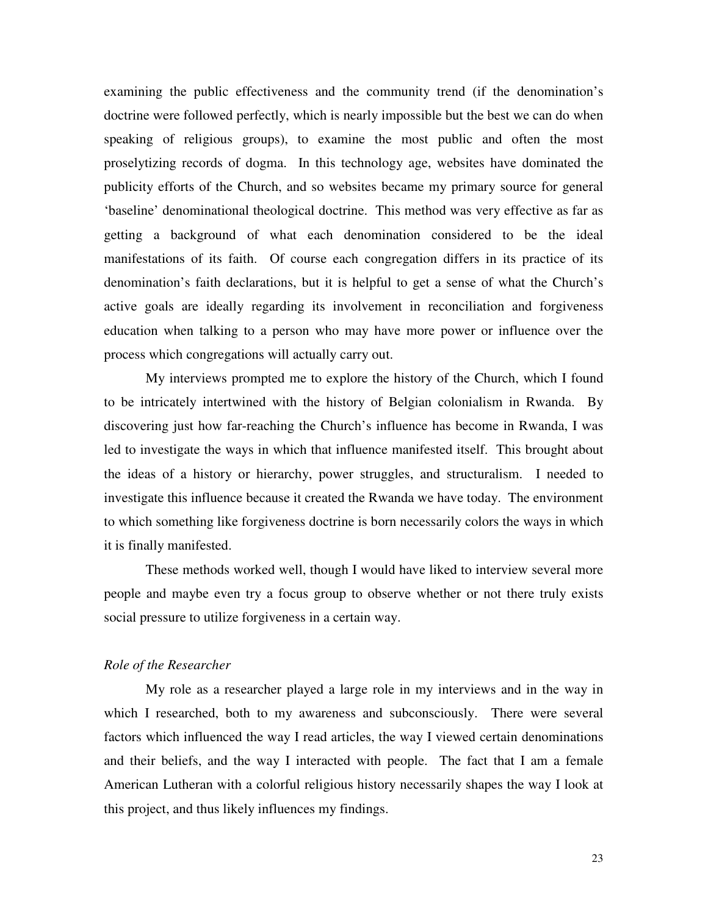examining the public effectiveness and the community trend (if the denomination's doctrine were followed perfectly, which is nearly impossible but the best we can do when speaking of religious groups), to examine the most public and often the most proselytizing records of dogma. In this technology age, websites have dominated the publicity efforts of the Church, and so websites became my primary source for general 'baseline' denominational theological doctrine. This method was very effective as far as getting a background of what each denomination considered to be the ideal manifestations of its faith. Of course each congregation differs in its practice of its denomination's faith declarations, but it is helpful to get a sense of what the Church's active goals are ideally regarding its involvement in reconciliation and forgiveness education when talking to a person who may have more power or influence over the process which congregations will actually carry out.

 My interviews prompted me to explore the history of the Church, which I found to be intricately intertwined with the history of Belgian colonialism in Rwanda. By discovering just how far-reaching the Church's influence has become in Rwanda, I was led to investigate the ways in which that influence manifested itself. This brought about the ideas of a history or hierarchy, power struggles, and structuralism. I needed to investigate this influence because it created the Rwanda we have today. The environment to which something like forgiveness doctrine is born necessarily colors the ways in which it is finally manifested.

 These methods worked well, though I would have liked to interview several more people and maybe even try a focus group to observe whether or not there truly exists social pressure to utilize forgiveness in a certain way.

#### *Role of the Researcher*

 My role as a researcher played a large role in my interviews and in the way in which I researched, both to my awareness and subconsciously. There were several factors which influenced the way I read articles, the way I viewed certain denominations and their beliefs, and the way I interacted with people. The fact that I am a female American Lutheran with a colorful religious history necessarily shapes the way I look at this project, and thus likely influences my findings.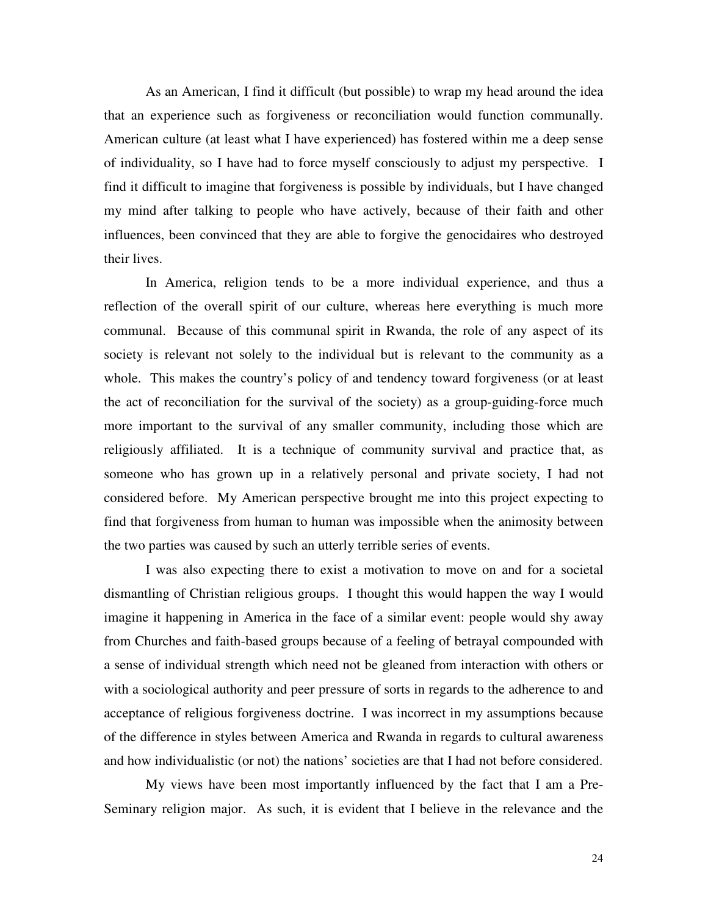As an American, I find it difficult (but possible) to wrap my head around the idea that an experience such as forgiveness or reconciliation would function communally. American culture (at least what I have experienced) has fostered within me a deep sense of individuality, so I have had to force myself consciously to adjust my perspective. I find it difficult to imagine that forgiveness is possible by individuals, but I have changed my mind after talking to people who have actively, because of their faith and other influences, been convinced that they are able to forgive the genocidaires who destroyed their lives.

 In America, religion tends to be a more individual experience, and thus a reflection of the overall spirit of our culture, whereas here everything is much more communal. Because of this communal spirit in Rwanda, the role of any aspect of its society is relevant not solely to the individual but is relevant to the community as a whole. This makes the country's policy of and tendency toward forgiveness (or at least the act of reconciliation for the survival of the society) as a group-guiding-force much more important to the survival of any smaller community, including those which are religiously affiliated. It is a technique of community survival and practice that, as someone who has grown up in a relatively personal and private society, I had not considered before. My American perspective brought me into this project expecting to find that forgiveness from human to human was impossible when the animosity between the two parties was caused by such an utterly terrible series of events.

 I was also expecting there to exist a motivation to move on and for a societal dismantling of Christian religious groups. I thought this would happen the way I would imagine it happening in America in the face of a similar event: people would shy away from Churches and faith-based groups because of a feeling of betrayal compounded with a sense of individual strength which need not be gleaned from interaction with others or with a sociological authority and peer pressure of sorts in regards to the adherence to and acceptance of religious forgiveness doctrine. I was incorrect in my assumptions because of the difference in styles between America and Rwanda in regards to cultural awareness and how individualistic (or not) the nations' societies are that I had not before considered.

 My views have been most importantly influenced by the fact that I am a Pre-Seminary religion major. As such, it is evident that I believe in the relevance and the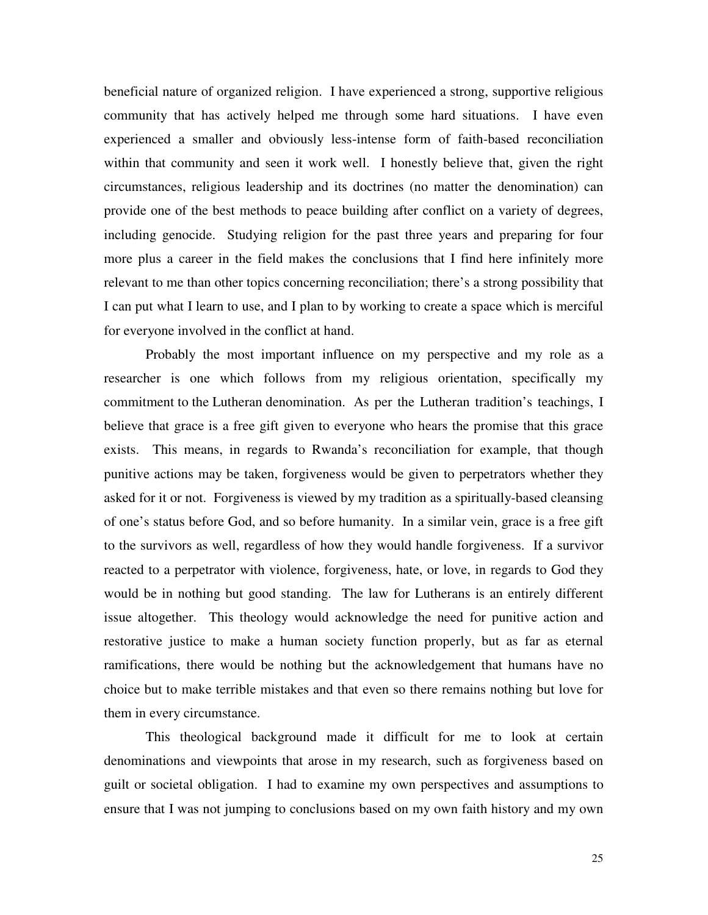beneficial nature of organized religion. I have experienced a strong, supportive religious community that has actively helped me through some hard situations. I have even experienced a smaller and obviously less-intense form of faith-based reconciliation within that community and seen it work well. I honestly believe that, given the right circumstances, religious leadership and its doctrines (no matter the denomination) can provide one of the best methods to peace building after conflict on a variety of degrees, including genocide. Studying religion for the past three years and preparing for four more plus a career in the field makes the conclusions that I find here infinitely more relevant to me than other topics concerning reconciliation; there's a strong possibility that I can put what I learn to use, and I plan to by working to create a space which is merciful for everyone involved in the conflict at hand.

 Probably the most important influence on my perspective and my role as a researcher is one which follows from my religious orientation, specifically my commitment to the Lutheran denomination. As per the Lutheran tradition's teachings, I believe that grace is a free gift given to everyone who hears the promise that this grace exists. This means, in regards to Rwanda's reconciliation for example, that though punitive actions may be taken, forgiveness would be given to perpetrators whether they asked for it or not. Forgiveness is viewed by my tradition as a spiritually-based cleansing of one's status before God, and so before humanity. In a similar vein, grace is a free gift to the survivors as well, regardless of how they would handle forgiveness. If a survivor reacted to a perpetrator with violence, forgiveness, hate, or love, in regards to God they would be in nothing but good standing. The law for Lutherans is an entirely different issue altogether. This theology would acknowledge the need for punitive action and restorative justice to make a human society function properly, but as far as eternal ramifications, there would be nothing but the acknowledgement that humans have no choice but to make terrible mistakes and that even so there remains nothing but love for them in every circumstance.

 This theological background made it difficult for me to look at certain denominations and viewpoints that arose in my research, such as forgiveness based on guilt or societal obligation. I had to examine my own perspectives and assumptions to ensure that I was not jumping to conclusions based on my own faith history and my own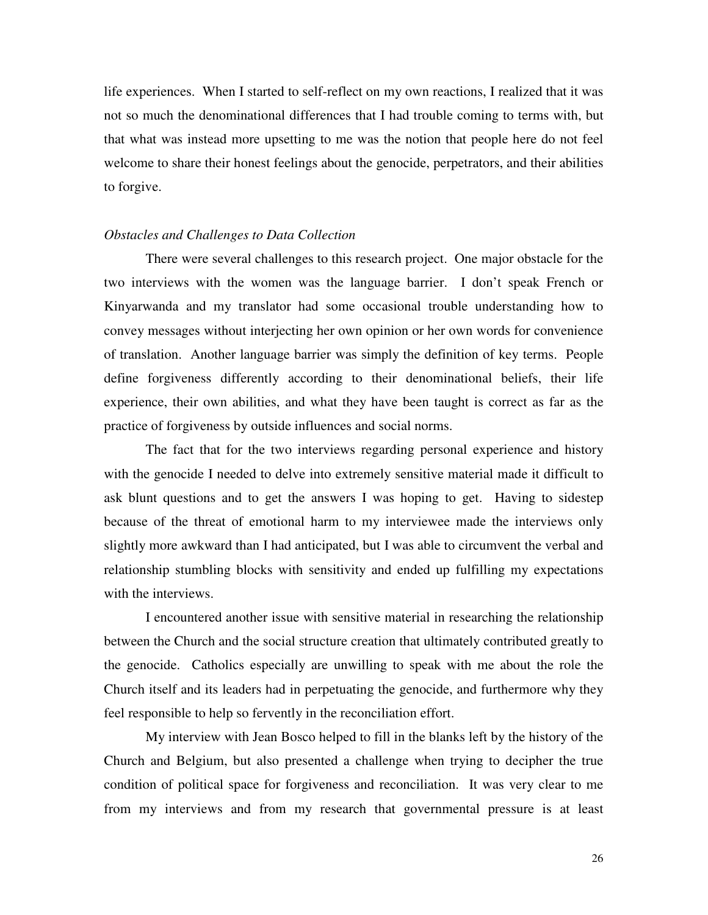life experiences. When I started to self-reflect on my own reactions, I realized that it was not so much the denominational differences that I had trouble coming to terms with, but that what was instead more upsetting to me was the notion that people here do not feel welcome to share their honest feelings about the genocide, perpetrators, and their abilities to forgive.

#### *Obstacles and Challenges to Data Collection*

 There were several challenges to this research project. One major obstacle for the two interviews with the women was the language barrier. I don't speak French or Kinyarwanda and my translator had some occasional trouble understanding how to convey messages without interjecting her own opinion or her own words for convenience of translation. Another language barrier was simply the definition of key terms. People define forgiveness differently according to their denominational beliefs, their life experience, their own abilities, and what they have been taught is correct as far as the practice of forgiveness by outside influences and social norms.

 The fact that for the two interviews regarding personal experience and history with the genocide I needed to delve into extremely sensitive material made it difficult to ask blunt questions and to get the answers I was hoping to get. Having to sidestep because of the threat of emotional harm to my interviewee made the interviews only slightly more awkward than I had anticipated, but I was able to circumvent the verbal and relationship stumbling blocks with sensitivity and ended up fulfilling my expectations with the interviews.

 I encountered another issue with sensitive material in researching the relationship between the Church and the social structure creation that ultimately contributed greatly to the genocide. Catholics especially are unwilling to speak with me about the role the Church itself and its leaders had in perpetuating the genocide, and furthermore why they feel responsible to help so fervently in the reconciliation effort.

 My interview with Jean Bosco helped to fill in the blanks left by the history of the Church and Belgium, but also presented a challenge when trying to decipher the true condition of political space for forgiveness and reconciliation. It was very clear to me from my interviews and from my research that governmental pressure is at least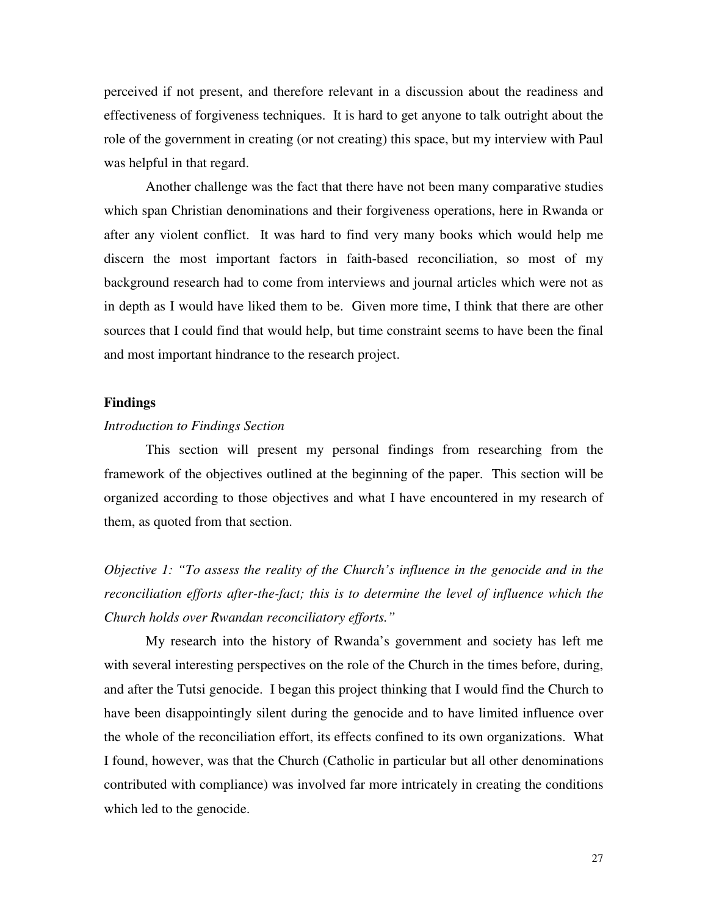perceived if not present, and therefore relevant in a discussion about the readiness and effectiveness of forgiveness techniques. It is hard to get anyone to talk outright about the role of the government in creating (or not creating) this space, but my interview with Paul was helpful in that regard.

 Another challenge was the fact that there have not been many comparative studies which span Christian denominations and their forgiveness operations, here in Rwanda or after any violent conflict. It was hard to find very many books which would help me discern the most important factors in faith-based reconciliation, so most of my background research had to come from interviews and journal articles which were not as in depth as I would have liked them to be. Given more time, I think that there are other sources that I could find that would help, but time constraint seems to have been the final and most important hindrance to the research project.

## **Findings**

#### *Introduction to Findings Section*

 This section will present my personal findings from researching from the framework of the objectives outlined at the beginning of the paper. This section will be organized according to those objectives and what I have encountered in my research of them, as quoted from that section.

*Objective 1: "To assess the reality of the Church's influence in the genocide and in the*  reconciliation efforts after-the-fact; this is to determine the level of influence which the *Church holds over Rwandan reconciliatory efforts."*

 My research into the history of Rwanda's government and society has left me with several interesting perspectives on the role of the Church in the times before, during, and after the Tutsi genocide. I began this project thinking that I would find the Church to have been disappointingly silent during the genocide and to have limited influence over the whole of the reconciliation effort, its effects confined to its own organizations. What I found, however, was that the Church (Catholic in particular but all other denominations contributed with compliance) was involved far more intricately in creating the conditions which led to the genocide.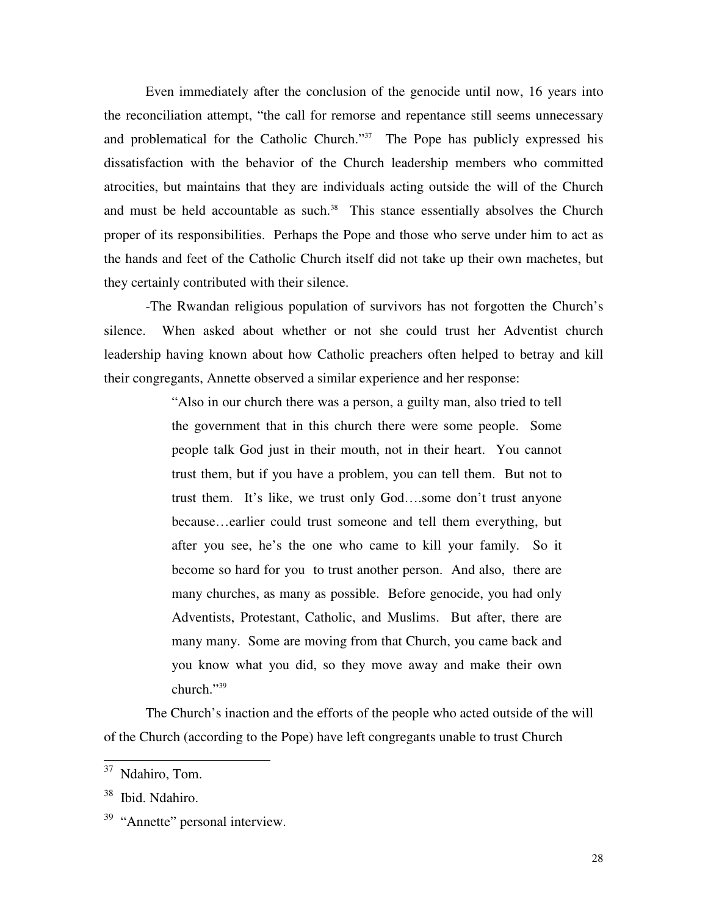Even immediately after the conclusion of the genocide until now, 16 years into the reconciliation attempt, "the call for remorse and repentance still seems unnecessary and problematical for the Catholic Church."<sup>37</sup> The Pope has publicly expressed his dissatisfaction with the behavior of the Church leadership members who committed atrocities, but maintains that they are individuals acting outside the will of the Church and must be held accountable as such. $38$  This stance essentially absolves the Church proper of its responsibilities. Perhaps the Pope and those who serve under him to act as the hands and feet of the Catholic Church itself did not take up their own machetes, but they certainly contributed with their silence.

 -The Rwandan religious population of survivors has not forgotten the Church's silence. When asked about whether or not she could trust her Adventist church leadership having known about how Catholic preachers often helped to betray and kill their congregants, Annette observed a similar experience and her response:

> "Also in our church there was a person, a guilty man, also tried to tell the government that in this church there were some people. Some people talk God just in their mouth, not in their heart. You cannot trust them, but if you have a problem, you can tell them. But not to trust them. It's like, we trust only God….some don't trust anyone because…earlier could trust someone and tell them everything, but after you see, he's the one who came to kill your family. So it become so hard for you to trust another person. And also, there are many churches, as many as possible. Before genocide, you had only Adventists, Protestant, Catholic, and Muslims. But after, there are many many. Some are moving from that Church, you came back and you know what you did, so they move away and make their own church."<sup>39</sup>

 The Church's inaction and the efforts of the people who acted outside of the will of the Church (according to the Pope) have left congregants unable to trust Church

1

<sup>37</sup> Ndahiro, Tom.

<sup>38</sup> Ibid. Ndahiro.

<sup>&</sup>lt;sup>39</sup> "Annette" personal interview.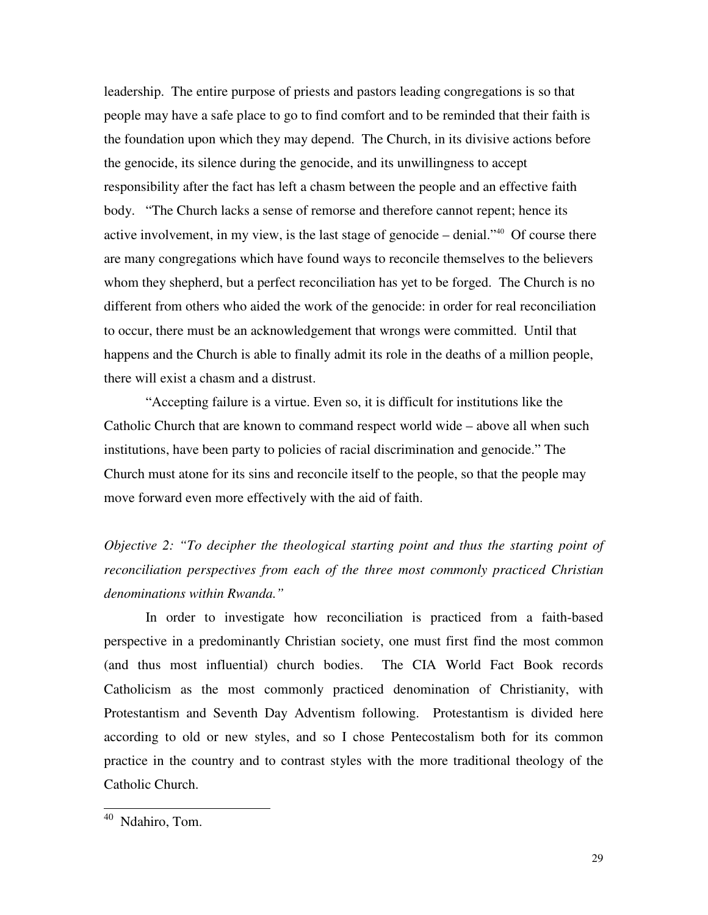leadership. The entire purpose of priests and pastors leading congregations is so that people may have a safe place to go to find comfort and to be reminded that their faith is the foundation upon which they may depend. The Church, in its divisive actions before the genocide, its silence during the genocide, and its unwillingness to accept responsibility after the fact has left a chasm between the people and an effective faith body. "The Church lacks a sense of remorse and therefore cannot repent; hence its active involvement, in my view, is the last stage of genocide – denial."<sup>40</sup> Of course there are many congregations which have found ways to reconcile themselves to the believers whom they shepherd, but a perfect reconciliation has yet to be forged. The Church is no different from others who aided the work of the genocide: in order for real reconciliation to occur, there must be an acknowledgement that wrongs were committed. Until that happens and the Church is able to finally admit its role in the deaths of a million people, there will exist a chasm and a distrust.

 "Accepting failure is a virtue. Even so, it is difficult for institutions like the Catholic Church that are known to command respect world wide – above all when such institutions, have been party to policies of racial discrimination and genocide." The Church must atone for its sins and reconcile itself to the people, so that the people may move forward even more effectively with the aid of faith.

*Objective 2: "To decipher the theological starting point and thus the starting point of reconciliation perspectives from each of the three most commonly practiced Christian denominations within Rwanda."*

 In order to investigate how reconciliation is practiced from a faith-based perspective in a predominantly Christian society, one must first find the most common (and thus most influential) church bodies. The CIA World Fact Book records Catholicism as the most commonly practiced denomination of Christianity, with Protestantism and Seventh Day Adventism following. Protestantism is divided here according to old or new styles, and so I chose Pentecostalism both for its common practice in the country and to contrast styles with the more traditional theology of the Catholic Church.

<sup>40</sup> Ndahiro, Tom.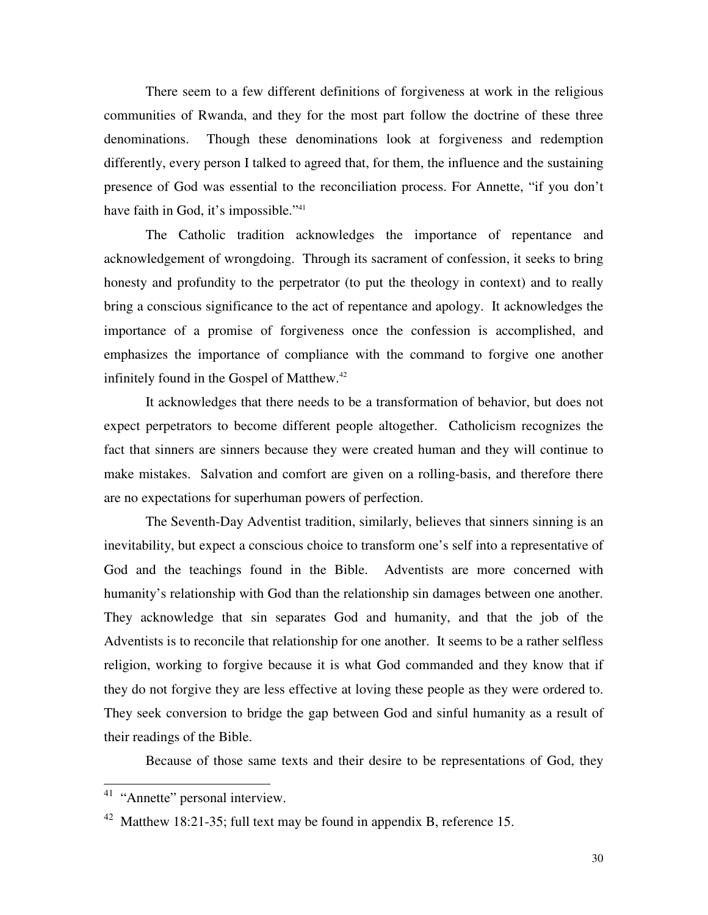There seem to a few different definitions of forgiveness at work in the religious communities of Rwanda, and they for the most part follow the doctrine of these three denominations. Though these denominations look at forgiveness and redemption differently, every person I talked to agreed that, for them, the influence and the sustaining presence of God was essential to the reconciliation process. For Annette, "if you don't have faith in God, it's impossible."<sup>41</sup>

 The Catholic tradition acknowledges the importance of repentance and acknowledgement of wrongdoing. Through its sacrament of confession, it seeks to bring honesty and profundity to the perpetrator (to put the theology in context) and to really bring a conscious significance to the act of repentance and apology. It acknowledges the importance of a promise of forgiveness once the confession is accomplished, and emphasizes the importance of compliance with the command to forgive one another infinitely found in the Gospel of Matthew.<sup>42</sup>

 It acknowledges that there needs to be a transformation of behavior, but does not expect perpetrators to become different people altogether. Catholicism recognizes the fact that sinners are sinners because they were created human and they will continue to make mistakes. Salvation and comfort are given on a rolling-basis, and therefore there are no expectations for superhuman powers of perfection.

 The Seventh-Day Adventist tradition, similarly, believes that sinners sinning is an inevitability, but expect a conscious choice to transform one's self into a representative of God and the teachings found in the Bible. Adventists are more concerned with humanity's relationship with God than the relationship sin damages between one another. They acknowledge that sin separates God and humanity, and that the job of the Adventists is to reconcile that relationship for one another. It seems to be a rather selfless religion, working to forgive because it is what God commanded and they know that if they do not forgive they are less effective at loving these people as they were ordered to. They seek conversion to bridge the gap between God and sinful humanity as a result of their readings of the Bible.

Because of those same texts and their desire to be representations of God, they

-

<sup>&</sup>lt;sup>41</sup> "Annette" personal interview.

<sup>&</sup>lt;sup>42</sup> Matthew 18:21-35; full text may be found in appendix B, reference 15.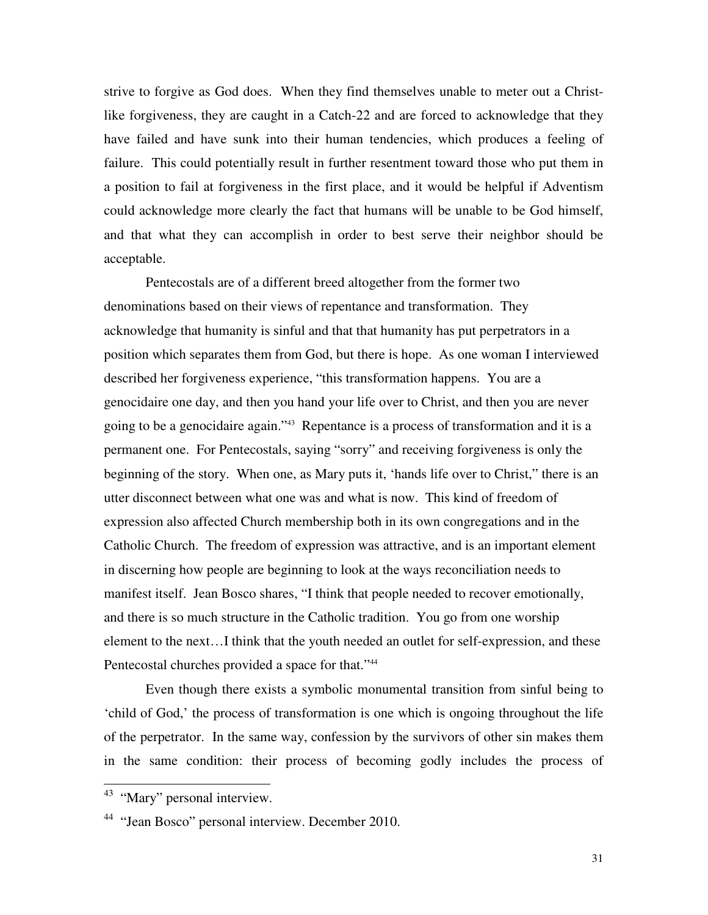strive to forgive as God does. When they find themselves unable to meter out a Christlike forgiveness, they are caught in a Catch-22 and are forced to acknowledge that they have failed and have sunk into their human tendencies, which produces a feeling of failure. This could potentially result in further resentment toward those who put them in a position to fail at forgiveness in the first place, and it would be helpful if Adventism could acknowledge more clearly the fact that humans will be unable to be God himself, and that what they can accomplish in order to best serve their neighbor should be acceptable.

 Pentecostals are of a different breed altogether from the former two denominations based on their views of repentance and transformation. They acknowledge that humanity is sinful and that that humanity has put perpetrators in a position which separates them from God, but there is hope. As one woman I interviewed described her forgiveness experience, "this transformation happens. You are a genocidaire one day, and then you hand your life over to Christ, and then you are never going to be a genocidaire again."<sup>43</sup> Repentance is a process of transformation and it is a permanent one. For Pentecostals, saying "sorry" and receiving forgiveness is only the beginning of the story. When one, as Mary puts it, 'hands life over to Christ," there is an utter disconnect between what one was and what is now. This kind of freedom of expression also affected Church membership both in its own congregations and in the Catholic Church. The freedom of expression was attractive, and is an important element in discerning how people are beginning to look at the ways reconciliation needs to manifest itself. Jean Bosco shares, "I think that people needed to recover emotionally, and there is so much structure in the Catholic tradition. You go from one worship element to the next…I think that the youth needed an outlet for self-expression, and these Pentecostal churches provided a space for that."<sup>44</sup>

 Even though there exists a symbolic monumental transition from sinful being to 'child of God,' the process of transformation is one which is ongoing throughout the life of the perpetrator. In the same way, confession by the survivors of other sin makes them in the same condition: their process of becoming godly includes the process of

-

<sup>&</sup>lt;sup>43</sup> "Mary" personal interview.

<sup>44</sup> "Jean Bosco" personal interview. December 2010.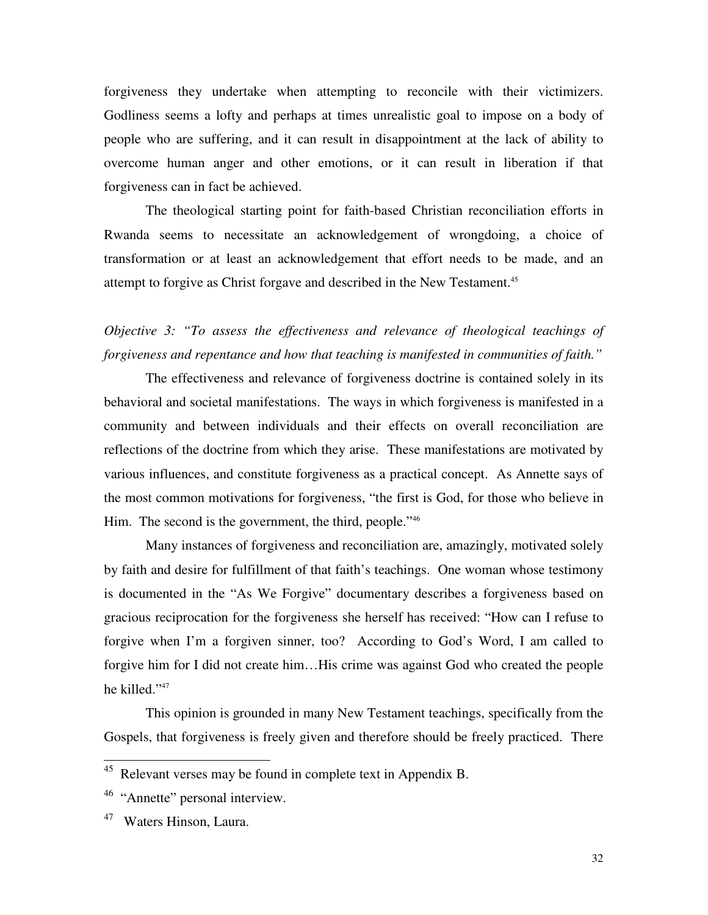forgiveness they undertake when attempting to reconcile with their victimizers. Godliness seems a lofty and perhaps at times unrealistic goal to impose on a body of people who are suffering, and it can result in disappointment at the lack of ability to overcome human anger and other emotions, or it can result in liberation if that forgiveness can in fact be achieved.

 The theological starting point for faith-based Christian reconciliation efforts in Rwanda seems to necessitate an acknowledgement of wrongdoing, a choice of transformation or at least an acknowledgement that effort needs to be made, and an attempt to forgive as Christ forgave and described in the New Testament.<sup>45</sup>

*Objective 3: "To assess the effectiveness and relevance of theological teachings of forgiveness and repentance and how that teaching is manifested in communities of faith."* 

 The effectiveness and relevance of forgiveness doctrine is contained solely in its behavioral and societal manifestations. The ways in which forgiveness is manifested in a community and between individuals and their effects on overall reconciliation are reflections of the doctrine from which they arise. These manifestations are motivated by various influences, and constitute forgiveness as a practical concept. As Annette says of the most common motivations for forgiveness, "the first is God, for those who believe in Him. The second is the government, the third, people."<sup>46</sup>

 Many instances of forgiveness and reconciliation are, amazingly, motivated solely by faith and desire for fulfillment of that faith's teachings. One woman whose testimony is documented in the "As We Forgive" documentary describes a forgiveness based on gracious reciprocation for the forgiveness she herself has received: "How can I refuse to forgive when I'm a forgiven sinner, too? According to God's Word, I am called to forgive him for I did not create him...His crime was against God who created the people he killed."<sup>47</sup>

 This opinion is grounded in many New Testament teachings, specifically from the Gospels, that forgiveness is freely given and therefore should be freely practiced. There

 $45$  Relevant verses may be found in complete text in Appendix B.

<sup>&</sup>lt;sup>46</sup> "Annette" personal interview.

<sup>47</sup> Waters Hinson, Laura.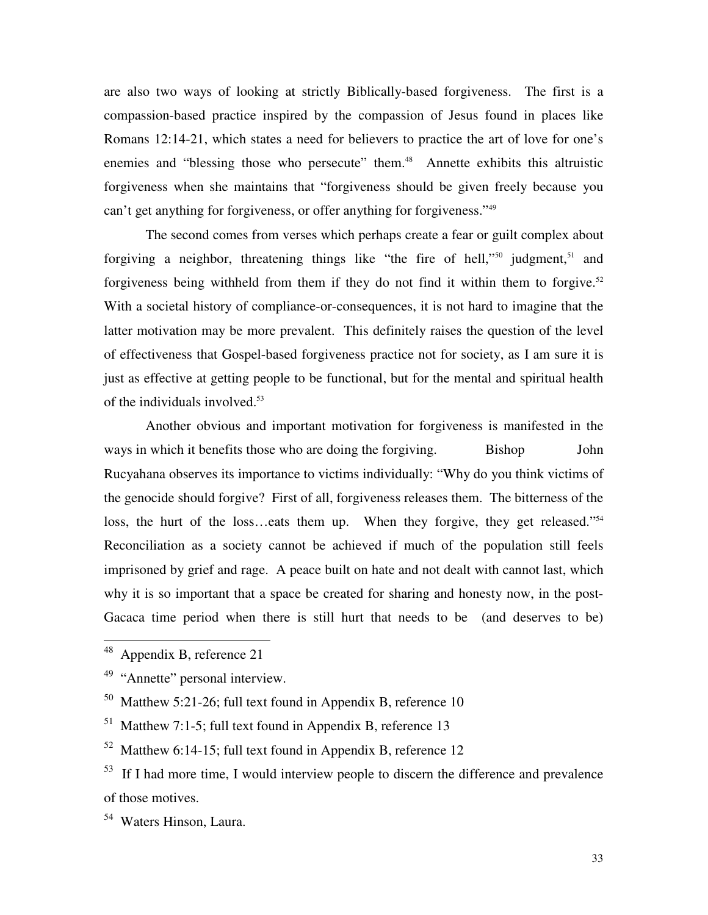are also two ways of looking at strictly Biblically-based forgiveness. The first is a compassion-based practice inspired by the compassion of Jesus found in places like Romans 12:14-21, which states a need for believers to practice the art of love for one's enemies and "blessing those who persecute" them.<sup>48</sup> Annette exhibits this altruistic forgiveness when she maintains that "forgiveness should be given freely because you can't get anything for forgiveness, or offer anything for forgiveness."<sup>49</sup>

 The second comes from verses which perhaps create a fear or guilt complex about forgiving a neighbor, threatening things like "the fire of hell,"<sup>50</sup> judgment,<sup>51</sup> and forgiveness being withheld from them if they do not find it within them to forgive. $52$ With a societal history of compliance-or-consequences, it is not hard to imagine that the latter motivation may be more prevalent. This definitely raises the question of the level of effectiveness that Gospel-based forgiveness practice not for society, as I am sure it is just as effective at getting people to be functional, but for the mental and spiritual health of the individuals involved.<sup>53</sup>

 Another obvious and important motivation for forgiveness is manifested in the ways in which it benefits those who are doing the forgiving. Bishop John Rucyahana observes its importance to victims individually: "Why do you think victims of the genocide should forgive? First of all, forgiveness releases them. The bitterness of the loss, the hurt of the loss...eats them up. When they forgive, they get released."<sup>54</sup> Reconciliation as a society cannot be achieved if much of the population still feels imprisoned by grief and rage. A peace built on hate and not dealt with cannot last, which why it is so important that a space be created for sharing and honesty now, in the post-Gacaca time period when there is still hurt that needs to be (and deserves to be)

 $48$  Appendix B, reference 21

 $49$  "Annette" personal interview.

<sup>50</sup> Matthew 5:21-26; full text found in Appendix B, reference 10

 $51$  Matthew 7:1-5; full text found in Appendix B, reference 13

 $52$  Matthew 6:14-15; full text found in Appendix B, reference 12

<sup>&</sup>lt;sup>53</sup> If I had more time, I would interview people to discern the difference and prevalence of those motives.

<sup>54</sup> Waters Hinson, Laura.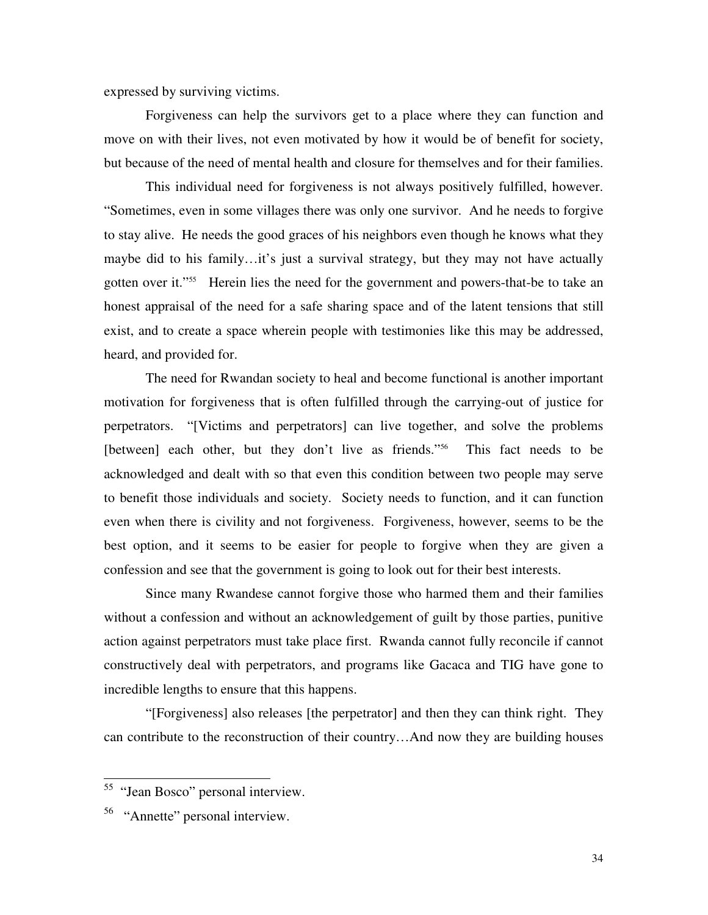expressed by surviving victims.

 Forgiveness can help the survivors get to a place where they can function and move on with their lives, not even motivated by how it would be of benefit for society, but because of the need of mental health and closure for themselves and for their families.

 This individual need for forgiveness is not always positively fulfilled, however. "Sometimes, even in some villages there was only one survivor. And he needs to forgive to stay alive. He needs the good graces of his neighbors even though he knows what they maybe did to his family…it's just a survival strategy, but they may not have actually gotten over it."<sup>55</sup> Herein lies the need for the government and powers-that-be to take an honest appraisal of the need for a safe sharing space and of the latent tensions that still exist, and to create a space wherein people with testimonies like this may be addressed, heard, and provided for.

 The need for Rwandan society to heal and become functional is another important motivation for forgiveness that is often fulfilled through the carrying-out of justice for perpetrators. "[Victims and perpetrators] can live together, and solve the problems [between] each other, but they don't live as friends."<sup>56</sup> This fact needs to be acknowledged and dealt with so that even this condition between two people may serve to benefit those individuals and society. Society needs to function, and it can function even when there is civility and not forgiveness. Forgiveness, however, seems to be the best option, and it seems to be easier for people to forgive when they are given a confession and see that the government is going to look out for their best interests.

 Since many Rwandese cannot forgive those who harmed them and their families without a confession and without an acknowledgement of guilt by those parties, punitive action against perpetrators must take place first. Rwanda cannot fully reconcile if cannot constructively deal with perpetrators, and programs like Gacaca and TIG have gone to incredible lengths to ensure that this happens.

 "[Forgiveness] also releases [the perpetrator] and then they can think right. They can contribute to the reconstruction of their country…And now they are building houses

<sup>&</sup>lt;sup>55</sup> "Jean Bosco" personal interview.

<sup>&</sup>lt;sup>56</sup> "Annette" personal interview.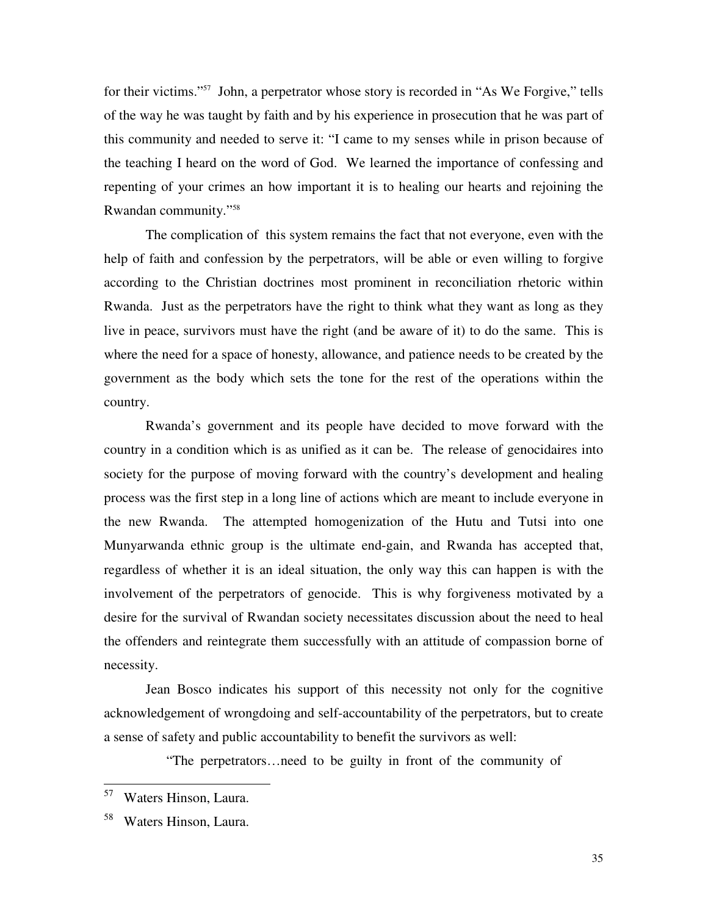for their victims."<sup>57</sup> John, a perpetrator whose story is recorded in "As We Forgive," tells of the way he was taught by faith and by his experience in prosecution that he was part of this community and needed to serve it: "I came to my senses while in prison because of the teaching I heard on the word of God. We learned the importance of confessing and repenting of your crimes an how important it is to healing our hearts and rejoining the Rwandan community."<sup>58</sup>

 The complication of this system remains the fact that not everyone, even with the help of faith and confession by the perpetrators, will be able or even willing to forgive according to the Christian doctrines most prominent in reconciliation rhetoric within Rwanda. Just as the perpetrators have the right to think what they want as long as they live in peace, survivors must have the right (and be aware of it) to do the same. This is where the need for a space of honesty, allowance, and patience needs to be created by the government as the body which sets the tone for the rest of the operations within the country.

 Rwanda's government and its people have decided to move forward with the country in a condition which is as unified as it can be. The release of genocidaires into society for the purpose of moving forward with the country's development and healing process was the first step in a long line of actions which are meant to include everyone in the new Rwanda. The attempted homogenization of the Hutu and Tutsi into one Munyarwanda ethnic group is the ultimate end-gain, and Rwanda has accepted that, regardless of whether it is an ideal situation, the only way this can happen is with the involvement of the perpetrators of genocide. This is why forgiveness motivated by a desire for the survival of Rwandan society necessitates discussion about the need to heal the offenders and reintegrate them successfully with an attitude of compassion borne of necessity.

 Jean Bosco indicates his support of this necessity not only for the cognitive acknowledgement of wrongdoing and self-accountability of the perpetrators, but to create a sense of safety and public accountability to benefit the survivors as well:

"The perpetrators…need to be guilty in front of the community of

<sup>57</sup> Waters Hinson, Laura.

Waters Hinson, Laura.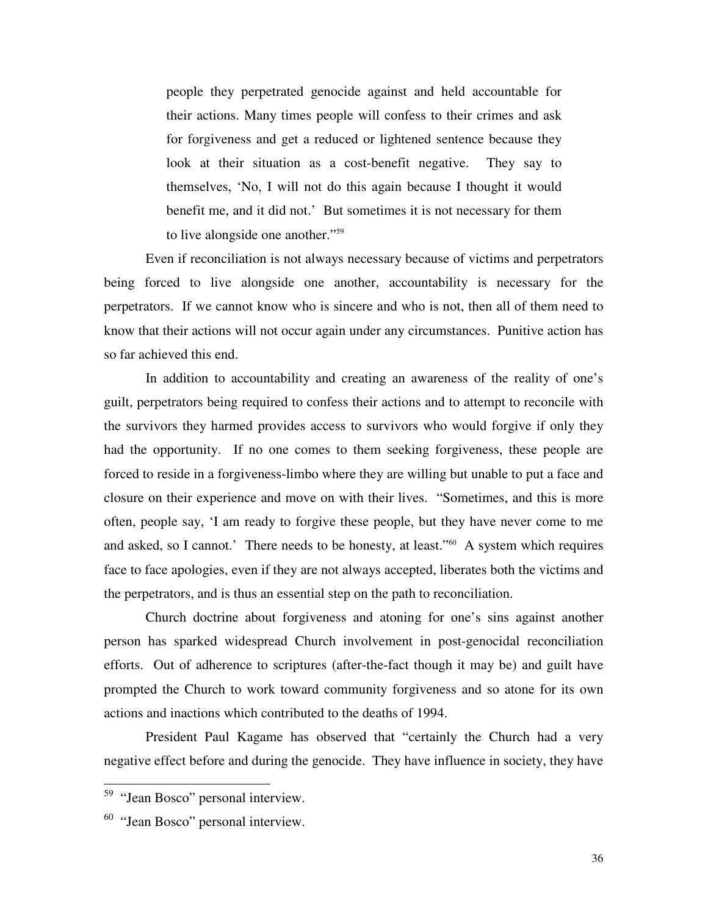people they perpetrated genocide against and held accountable for their actions. Many times people will confess to their crimes and ask for forgiveness and get a reduced or lightened sentence because they look at their situation as a cost-benefit negative. They say to themselves, 'No, I will not do this again because I thought it would benefit me, and it did not.' But sometimes it is not necessary for them to live alongside one another."<sup>59</sup>

 Even if reconciliation is not always necessary because of victims and perpetrators being forced to live alongside one another, accountability is necessary for the perpetrators. If we cannot know who is sincere and who is not, then all of them need to know that their actions will not occur again under any circumstances. Punitive action has so far achieved this end.

 In addition to accountability and creating an awareness of the reality of one's guilt, perpetrators being required to confess their actions and to attempt to reconcile with the survivors they harmed provides access to survivors who would forgive if only they had the opportunity. If no one comes to them seeking forgiveness, these people are forced to reside in a forgiveness-limbo where they are willing but unable to put a face and closure on their experience and move on with their lives. "Sometimes, and this is more often, people say, 'I am ready to forgive these people, but they have never come to me and asked, so I cannot.' There needs to be honesty, at least."<sup>60</sup> A system which requires face to face apologies, even if they are not always accepted, liberates both the victims and the perpetrators, and is thus an essential step on the path to reconciliation.

 Church doctrine about forgiveness and atoning for one's sins against another person has sparked widespread Church involvement in post-genocidal reconciliation efforts. Out of adherence to scriptures (after-the-fact though it may be) and guilt have prompted the Church to work toward community forgiveness and so atone for its own actions and inactions which contributed to the deaths of 1994.

 President Paul Kagame has observed that "certainly the Church had a very negative effect before and during the genocide. They have influence in society, they have

-

<sup>&</sup>lt;sup>59</sup> "Jean Bosco" personal interview.

<sup>60</sup> "Jean Bosco" personal interview.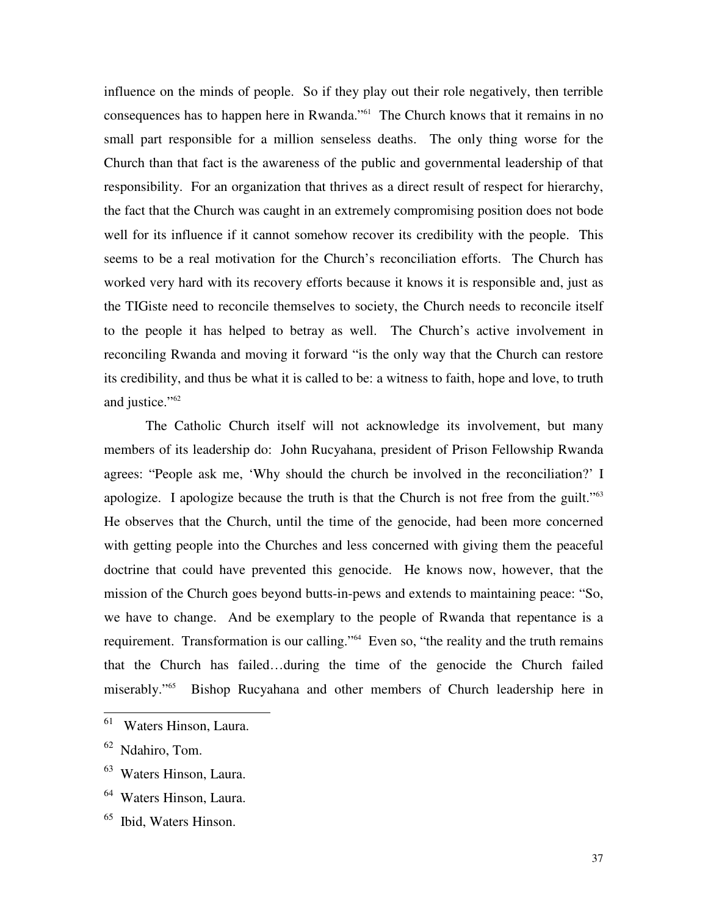influence on the minds of people. So if they play out their role negatively, then terrible consequences has to happen here in Rwanda."<sup>61</sup> The Church knows that it remains in no small part responsible for a million senseless deaths. The only thing worse for the Church than that fact is the awareness of the public and governmental leadership of that responsibility. For an organization that thrives as a direct result of respect for hierarchy, the fact that the Church was caught in an extremely compromising position does not bode well for its influence if it cannot somehow recover its credibility with the people. This seems to be a real motivation for the Church's reconciliation efforts. The Church has worked very hard with its recovery efforts because it knows it is responsible and, just as the TIGiste need to reconcile themselves to society, the Church needs to reconcile itself to the people it has helped to betray as well. The Church's active involvement in reconciling Rwanda and moving it forward "is the only way that the Church can restore its credibility, and thus be what it is called to be: a witness to faith, hope and love, to truth and justice."<sup>62</sup>

 The Catholic Church itself will not acknowledge its involvement, but many members of its leadership do: John Rucyahana, president of Prison Fellowship Rwanda agrees: "People ask me, 'Why should the church be involved in the reconciliation?' I apologize. I apologize because the truth is that the Church is not free from the guilt."<sup>63</sup> He observes that the Church, until the time of the genocide, had been more concerned with getting people into the Churches and less concerned with giving them the peaceful doctrine that could have prevented this genocide. He knows now, however, that the mission of the Church goes beyond butts-in-pews and extends to maintaining peace: "So, we have to change. And be exemplary to the people of Rwanda that repentance is a requirement. Transformation is our calling."<sup>64</sup> Even so, "the reality and the truth remains that the Church has failed…during the time of the genocide the Church failed miserably."<sup>65</sup> Bishop Rucyahana and other members of Church leadership here in

<sup>61</sup> Waters Hinson, Laura.

 $62$  Ndahiro, Tom.

<sup>&</sup>lt;sup>63</sup> Waters Hinson, Laura.

<sup>&</sup>lt;sup>64</sup> Waters Hinson, Laura.

<sup>&</sup>lt;sup>65</sup> Ibid, Waters Hinson.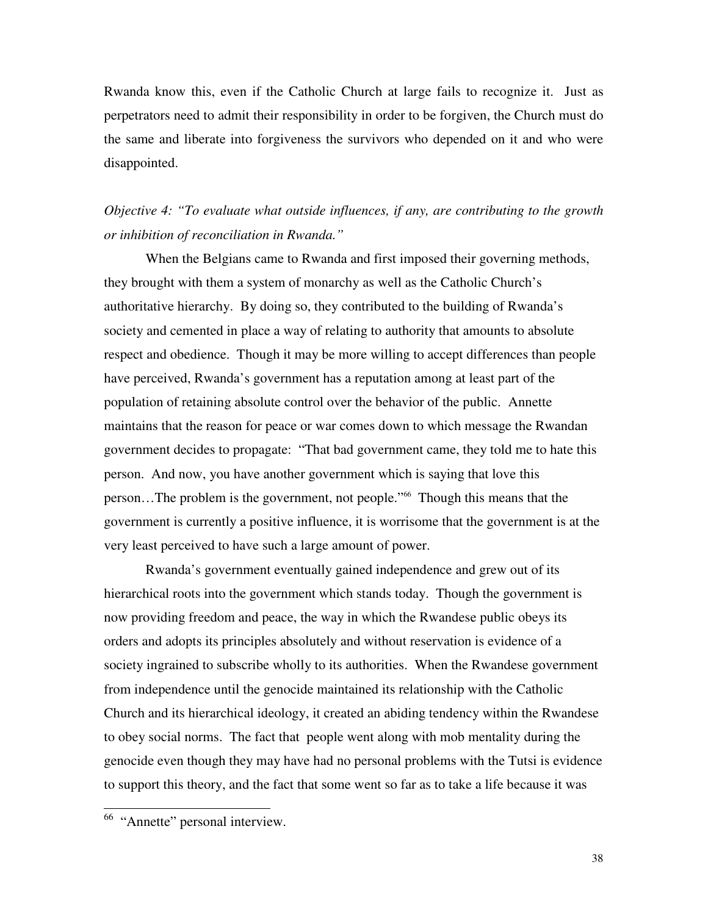Rwanda know this, even if the Catholic Church at large fails to recognize it. Just as perpetrators need to admit their responsibility in order to be forgiven, the Church must do the same and liberate into forgiveness the survivors who depended on it and who were disappointed.

## *Objective 4: "To evaluate what outside influences, if any, are contributing to the growth or inhibition of reconciliation in Rwanda."*

 When the Belgians came to Rwanda and first imposed their governing methods, they brought with them a system of monarchy as well as the Catholic Church's authoritative hierarchy. By doing so, they contributed to the building of Rwanda's society and cemented in place a way of relating to authority that amounts to absolute respect and obedience. Though it may be more willing to accept differences than people have perceived, Rwanda's government has a reputation among at least part of the population of retaining absolute control over the behavior of the public. Annette maintains that the reason for peace or war comes down to which message the Rwandan government decides to propagate: "That bad government came, they told me to hate this person. And now, you have another government which is saying that love this person…The problem is the government, not people."<sup>66</sup> Though this means that the government is currently a positive influence, it is worrisome that the government is at the very least perceived to have such a large amount of power.

 Rwanda's government eventually gained independence and grew out of its hierarchical roots into the government which stands today. Though the government is now providing freedom and peace, the way in which the Rwandese public obeys its orders and adopts its principles absolutely and without reservation is evidence of a society ingrained to subscribe wholly to its authorities. When the Rwandese government from independence until the genocide maintained its relationship with the Catholic Church and its hierarchical ideology, it created an abiding tendency within the Rwandese to obey social norms. The fact that people went along with mob mentality during the genocide even though they may have had no personal problems with the Tutsi is evidence to support this theory, and the fact that some went so far as to take a life because it was

-

<sup>&</sup>lt;sup>66</sup> "Annette" personal interview.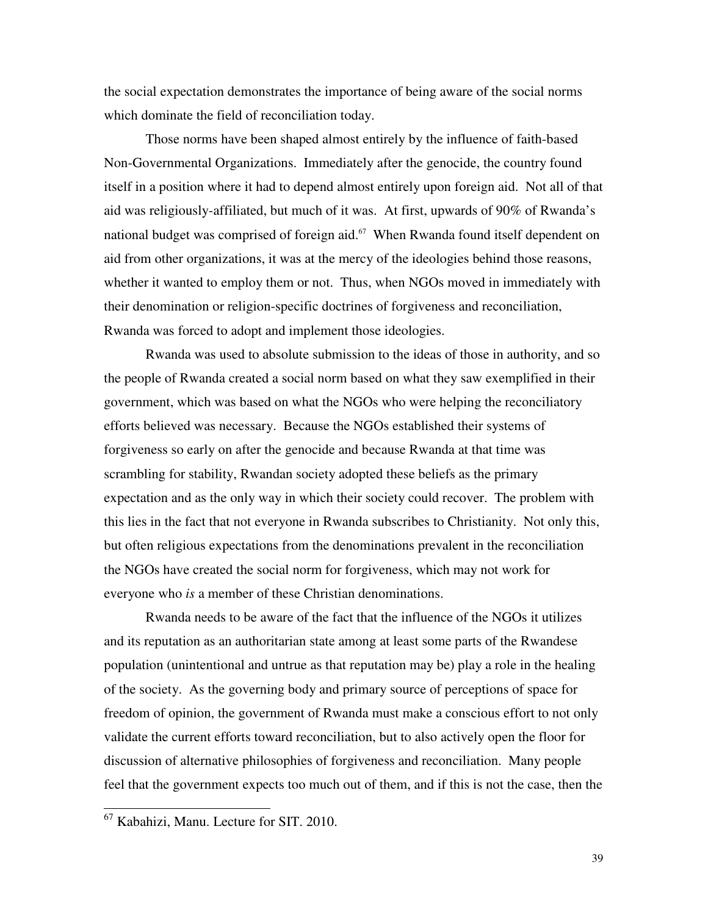the social expectation demonstrates the importance of being aware of the social norms which dominate the field of reconciliation today.

 Those norms have been shaped almost entirely by the influence of faith-based Non-Governmental Organizations. Immediately after the genocide, the country found itself in a position where it had to depend almost entirely upon foreign aid. Not all of that aid was religiously-affiliated, but much of it was. At first, upwards of 90% of Rwanda's national budget was comprised of foreign aid. $67$  When Rwanda found itself dependent on aid from other organizations, it was at the mercy of the ideologies behind those reasons, whether it wanted to employ them or not. Thus, when NGOs moved in immediately with their denomination or religion-specific doctrines of forgiveness and reconciliation, Rwanda was forced to adopt and implement those ideologies.

 Rwanda was used to absolute submission to the ideas of those in authority, and so the people of Rwanda created a social norm based on what they saw exemplified in their government, which was based on what the NGOs who were helping the reconciliatory efforts believed was necessary. Because the NGOs established their systems of forgiveness so early on after the genocide and because Rwanda at that time was scrambling for stability, Rwandan society adopted these beliefs as the primary expectation and as the only way in which their society could recover. The problem with this lies in the fact that not everyone in Rwanda subscribes to Christianity. Not only this, but often religious expectations from the denominations prevalent in the reconciliation the NGOs have created the social norm for forgiveness, which may not work for everyone who *is* a member of these Christian denominations.

 Rwanda needs to be aware of the fact that the influence of the NGOs it utilizes and its reputation as an authoritarian state among at least some parts of the Rwandese population (unintentional and untrue as that reputation may be) play a role in the healing of the society. As the governing body and primary source of perceptions of space for freedom of opinion, the government of Rwanda must make a conscious effort to not only validate the current efforts toward reconciliation, but to also actively open the floor for discussion of alternative philosophies of forgiveness and reconciliation. Many people feel that the government expects too much out of them, and if this is not the case, then the

-

<sup>67</sup> Kabahizi, Manu. Lecture for SIT. 2010.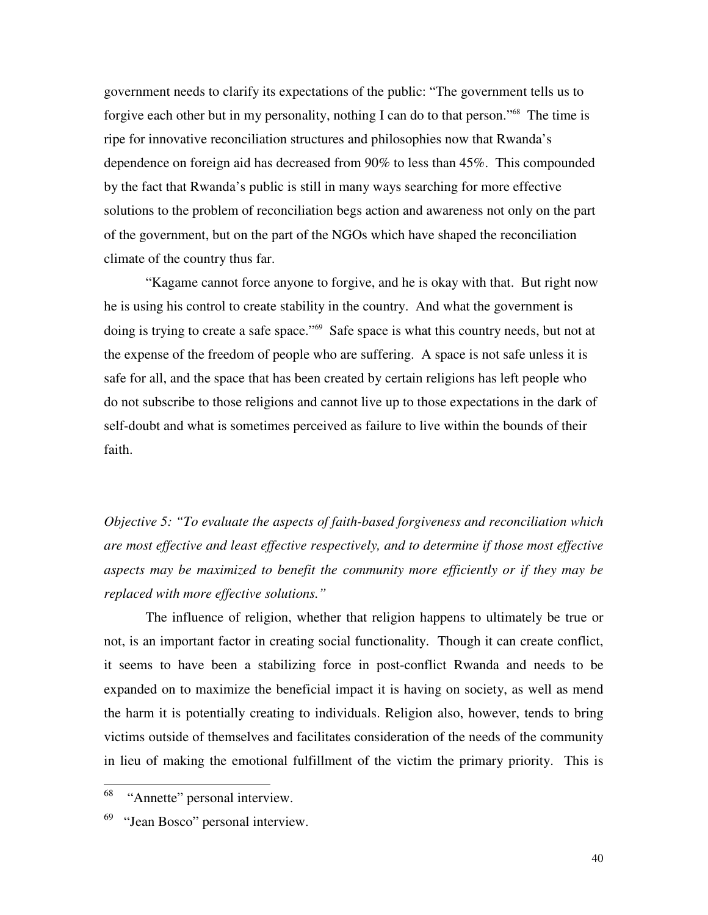government needs to clarify its expectations of the public: "The government tells us to forgive each other but in my personality, nothing I can do to that person."<sup>68</sup> The time is ripe for innovative reconciliation structures and philosophies now that Rwanda's dependence on foreign aid has decreased from 90% to less than 45%. This compounded by the fact that Rwanda's public is still in many ways searching for more effective solutions to the problem of reconciliation begs action and awareness not only on the part of the government, but on the part of the NGOs which have shaped the reconciliation climate of the country thus far.

 "Kagame cannot force anyone to forgive, and he is okay with that. But right now he is using his control to create stability in the country. And what the government is doing is trying to create a safe space."<sup>69</sup> Safe space is what this country needs, but not at the expense of the freedom of people who are suffering. A space is not safe unless it is safe for all, and the space that has been created by certain religions has left people who do not subscribe to those religions and cannot live up to those expectations in the dark of self-doubt and what is sometimes perceived as failure to live within the bounds of their faith.

*Objective 5: "To evaluate the aspects of faith-based forgiveness and reconciliation which are most effective and least effective respectively, and to determine if those most effective aspects may be maximized to benefit the community more efficiently or if they may be replaced with more effective solutions."* 

 The influence of religion, whether that religion happens to ultimately be true or not, is an important factor in creating social functionality. Though it can create conflict, it seems to have been a stabilizing force in post-conflict Rwanda and needs to be expanded on to maximize the beneficial impact it is having on society, as well as mend the harm it is potentially creating to individuals. Religion also, however, tends to bring victims outside of themselves and facilitates consideration of the needs of the community in lieu of making the emotional fulfillment of the victim the primary priority. This is

<sup>68</sup> "Annette" personal interview.

<sup>69</sup> "Jean Bosco" personal interview.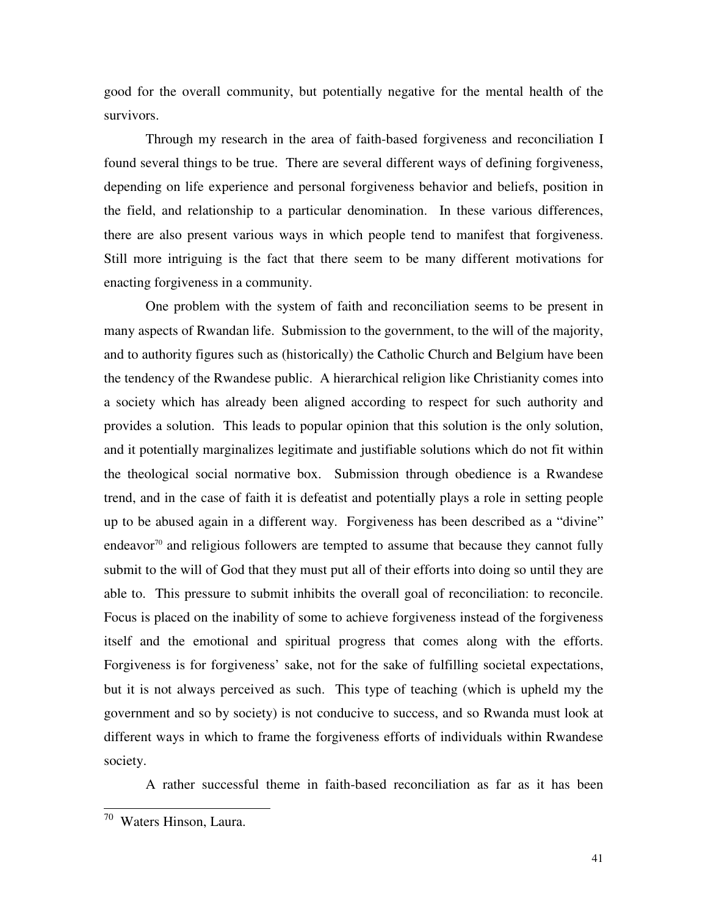good for the overall community, but potentially negative for the mental health of the survivors.

 Through my research in the area of faith-based forgiveness and reconciliation I found several things to be true. There are several different ways of defining forgiveness, depending on life experience and personal forgiveness behavior and beliefs, position in the field, and relationship to a particular denomination. In these various differences, there are also present various ways in which people tend to manifest that forgiveness. Still more intriguing is the fact that there seem to be many different motivations for enacting forgiveness in a community.

 One problem with the system of faith and reconciliation seems to be present in many aspects of Rwandan life. Submission to the government, to the will of the majority, and to authority figures such as (historically) the Catholic Church and Belgium have been the tendency of the Rwandese public. A hierarchical religion like Christianity comes into a society which has already been aligned according to respect for such authority and provides a solution. This leads to popular opinion that this solution is the only solution, and it potentially marginalizes legitimate and justifiable solutions which do not fit within the theological social normative box. Submission through obedience is a Rwandese trend, and in the case of faith it is defeatist and potentially plays a role in setting people up to be abused again in a different way. Forgiveness has been described as a "divine" endeavor $70$  and religious followers are tempted to assume that because they cannot fully submit to the will of God that they must put all of their efforts into doing so until they are able to. This pressure to submit inhibits the overall goal of reconciliation: to reconcile. Focus is placed on the inability of some to achieve forgiveness instead of the forgiveness itself and the emotional and spiritual progress that comes along with the efforts. Forgiveness is for forgiveness' sake, not for the sake of fulfilling societal expectations, but it is not always perceived as such. This type of teaching (which is upheld my the government and so by society) is not conducive to success, and so Rwanda must look at different ways in which to frame the forgiveness efforts of individuals within Rwandese society.

A rather successful theme in faith-based reconciliation as far as it has been

<sup>70</sup> Waters Hinson, Laura.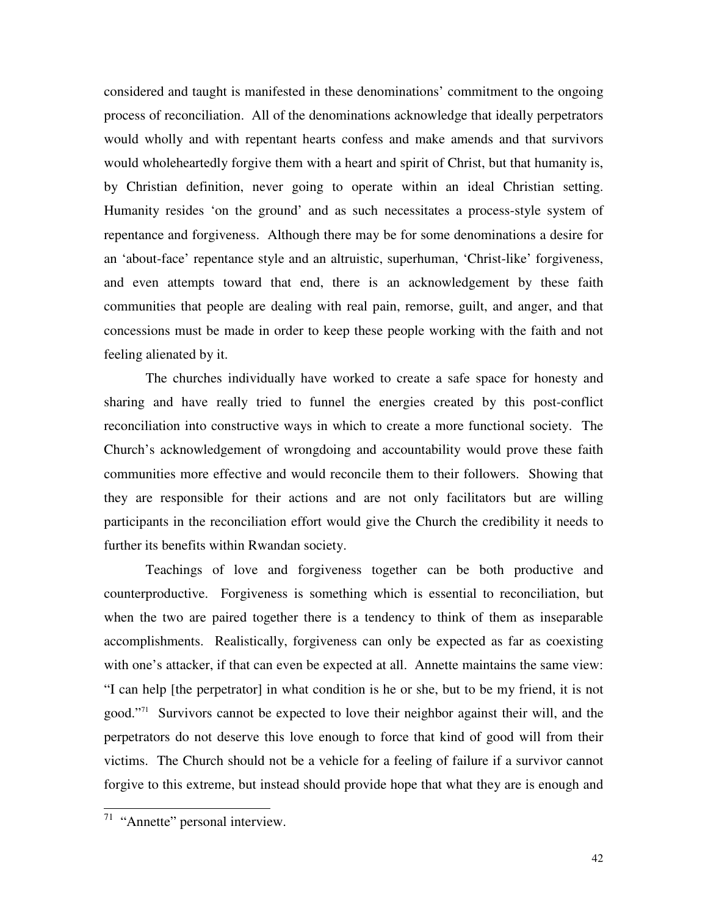considered and taught is manifested in these denominations' commitment to the ongoing process of reconciliation. All of the denominations acknowledge that ideally perpetrators would wholly and with repentant hearts confess and make amends and that survivors would wholeheartedly forgive them with a heart and spirit of Christ, but that humanity is, by Christian definition, never going to operate within an ideal Christian setting. Humanity resides 'on the ground' and as such necessitates a process-style system of repentance and forgiveness. Although there may be for some denominations a desire for an 'about-face' repentance style and an altruistic, superhuman, 'Christ-like' forgiveness, and even attempts toward that end, there is an acknowledgement by these faith communities that people are dealing with real pain, remorse, guilt, and anger, and that concessions must be made in order to keep these people working with the faith and not feeling alienated by it.

 The churches individually have worked to create a safe space for honesty and sharing and have really tried to funnel the energies created by this post-conflict reconciliation into constructive ways in which to create a more functional society. The Church's acknowledgement of wrongdoing and accountability would prove these faith communities more effective and would reconcile them to their followers. Showing that they are responsible for their actions and are not only facilitators but are willing participants in the reconciliation effort would give the Church the credibility it needs to further its benefits within Rwandan society.

 Teachings of love and forgiveness together can be both productive and counterproductive. Forgiveness is something which is essential to reconciliation, but when the two are paired together there is a tendency to think of them as inseparable accomplishments. Realistically, forgiveness can only be expected as far as coexisting with one's attacker, if that can even be expected at all. Annette maintains the same view: "I can help [the perpetrator] in what condition is he or she, but to be my friend, it is not good."<sup>71</sup> Survivors cannot be expected to love their neighbor against their will, and the perpetrators do not deserve this love enough to force that kind of good will from their victims. The Church should not be a vehicle for a feeling of failure if a survivor cannot forgive to this extreme, but instead should provide hope that what they are is enough and

-

 $71$  "Annette" personal interview.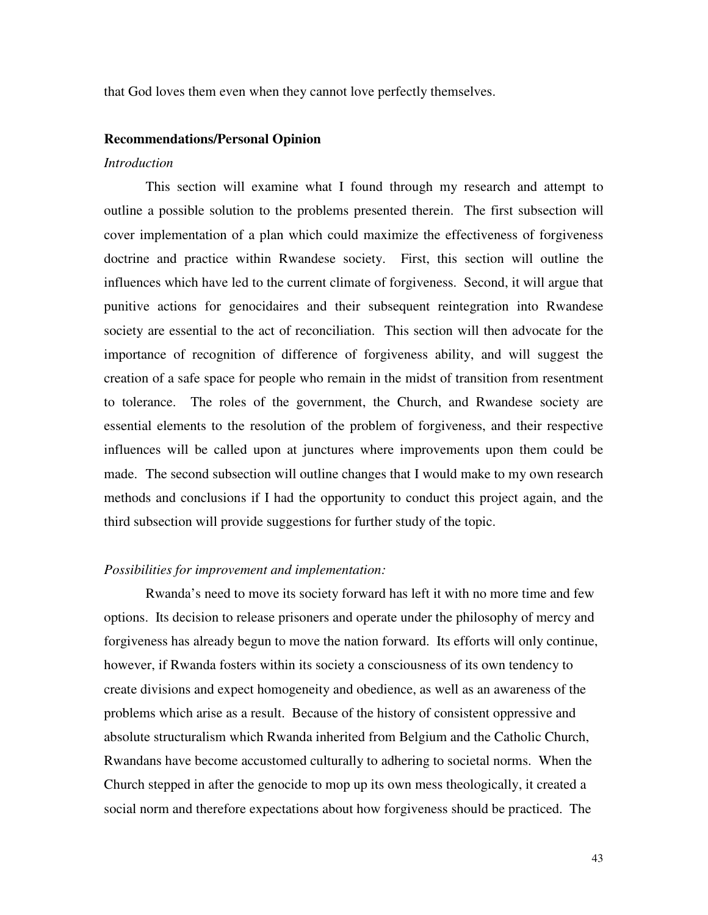that God loves them even when they cannot love perfectly themselves.

#### **Recommendations/Personal Opinion**

#### *Introduction*

 This section will examine what I found through my research and attempt to outline a possible solution to the problems presented therein. The first subsection will cover implementation of a plan which could maximize the effectiveness of forgiveness doctrine and practice within Rwandese society. First, this section will outline the influences which have led to the current climate of forgiveness. Second, it will argue that punitive actions for genocidaires and their subsequent reintegration into Rwandese society are essential to the act of reconciliation. This section will then advocate for the importance of recognition of difference of forgiveness ability, and will suggest the creation of a safe space for people who remain in the midst of transition from resentment to tolerance. The roles of the government, the Church, and Rwandese society are essential elements to the resolution of the problem of forgiveness, and their respective influences will be called upon at junctures where improvements upon them could be made. The second subsection will outline changes that I would make to my own research methods and conclusions if I had the opportunity to conduct this project again, and the third subsection will provide suggestions for further study of the topic.

#### *Possibilities for improvement and implementation:*

 Rwanda's need to move its society forward has left it with no more time and few options. Its decision to release prisoners and operate under the philosophy of mercy and forgiveness has already begun to move the nation forward. Its efforts will only continue, however, if Rwanda fosters within its society a consciousness of its own tendency to create divisions and expect homogeneity and obedience, as well as an awareness of the problems which arise as a result. Because of the history of consistent oppressive and absolute structuralism which Rwanda inherited from Belgium and the Catholic Church, Rwandans have become accustomed culturally to adhering to societal norms. When the Church stepped in after the genocide to mop up its own mess theologically, it created a social norm and therefore expectations about how forgiveness should be practiced. The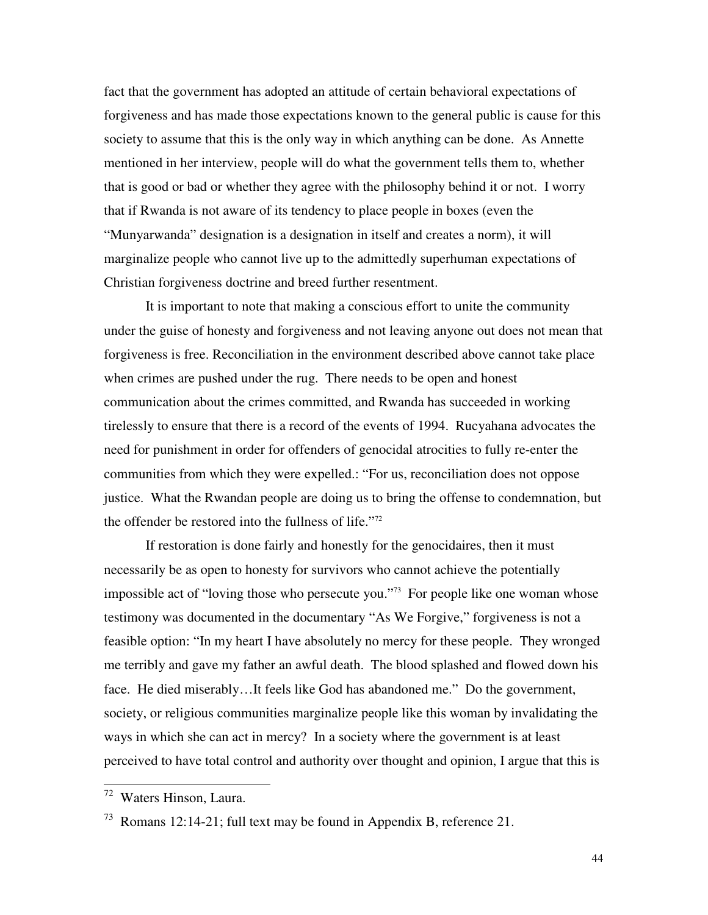fact that the government has adopted an attitude of certain behavioral expectations of forgiveness and has made those expectations known to the general public is cause for this society to assume that this is the only way in which anything can be done. As Annette mentioned in her interview, people will do what the government tells them to, whether that is good or bad or whether they agree with the philosophy behind it or not. I worry that if Rwanda is not aware of its tendency to place people in boxes (even the "Munyarwanda" designation is a designation in itself and creates a norm), it will marginalize people who cannot live up to the admittedly superhuman expectations of Christian forgiveness doctrine and breed further resentment.

 It is important to note that making a conscious effort to unite the community under the guise of honesty and forgiveness and not leaving anyone out does not mean that forgiveness is free. Reconciliation in the environment described above cannot take place when crimes are pushed under the rug. There needs to be open and honest communication about the crimes committed, and Rwanda has succeeded in working tirelessly to ensure that there is a record of the events of 1994. Rucyahana advocates the need for punishment in order for offenders of genocidal atrocities to fully re-enter the communities from which they were expelled.: "For us, reconciliation does not oppose justice. What the Rwandan people are doing us to bring the offense to condemnation, but the offender be restored into the fullness of life."<sup>72</sup> 

 If restoration is done fairly and honestly for the genocidaires, then it must necessarily be as open to honesty for survivors who cannot achieve the potentially impossible act of "loving those who persecute you."<sup>73</sup> For people like one woman whose testimony was documented in the documentary "As We Forgive," forgiveness is not a feasible option: "In my heart I have absolutely no mercy for these people. They wronged me terribly and gave my father an awful death. The blood splashed and flowed down his face. He died miserably…It feels like God has abandoned me." Do the government, society, or religious communities marginalize people like this woman by invalidating the ways in which she can act in mercy? In a society where the government is at least perceived to have total control and authority over thought and opinion, I argue that this is

<sup>72</sup> Waters Hinson, Laura.

<sup>73</sup> Romans 12:14-21; full text may be found in Appendix B, reference 21.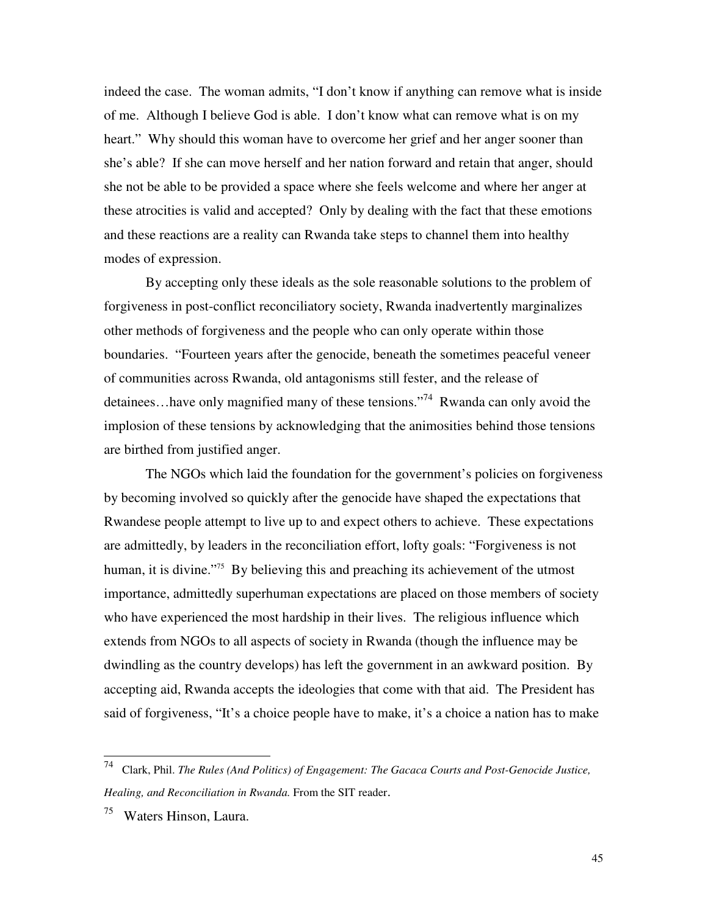indeed the case. The woman admits, "I don't know if anything can remove what is inside of me. Although I believe God is able. I don't know what can remove what is on my heart." Why should this woman have to overcome her grief and her anger sooner than she's able? If she can move herself and her nation forward and retain that anger, should she not be able to be provided a space where she feels welcome and where her anger at these atrocities is valid and accepted? Only by dealing with the fact that these emotions and these reactions are a reality can Rwanda take steps to channel them into healthy modes of expression.

 By accepting only these ideals as the sole reasonable solutions to the problem of forgiveness in post-conflict reconciliatory society, Rwanda inadvertently marginalizes other methods of forgiveness and the people who can only operate within those boundaries. "Fourteen years after the genocide, beneath the sometimes peaceful veneer of communities across Rwanda, old antagonisms still fester, and the release of detainees...have only magnified many of these tensions.<sup>74</sup> Rwanda can only avoid the implosion of these tensions by acknowledging that the animosities behind those tensions are birthed from justified anger.

 The NGOs which laid the foundation for the government's policies on forgiveness by becoming involved so quickly after the genocide have shaped the expectations that Rwandese people attempt to live up to and expect others to achieve. These expectations are admittedly, by leaders in the reconciliation effort, lofty goals: "Forgiveness is not human, it is divine."<sup>75</sup> By believing this and preaching its achievement of the utmost importance, admittedly superhuman expectations are placed on those members of society who have experienced the most hardship in their lives. The religious influence which extends from NGOs to all aspects of society in Rwanda (though the influence may be dwindling as the country develops) has left the government in an awkward position. By accepting aid, Rwanda accepts the ideologies that come with that aid. The President has said of forgiveness, "It's a choice people have to make, it's a choice a nation has to make

<sup>74</sup> <sup>74</sup> Clark, Phil. *The Rules (And Politics) of Engagement: The Gacaca Courts and Post-Genocide Justice, Healing, and Reconciliation in Rwanda.* From the SIT reader.

<sup>&</sup>lt;sup>75</sup> Waters Hinson, Laura.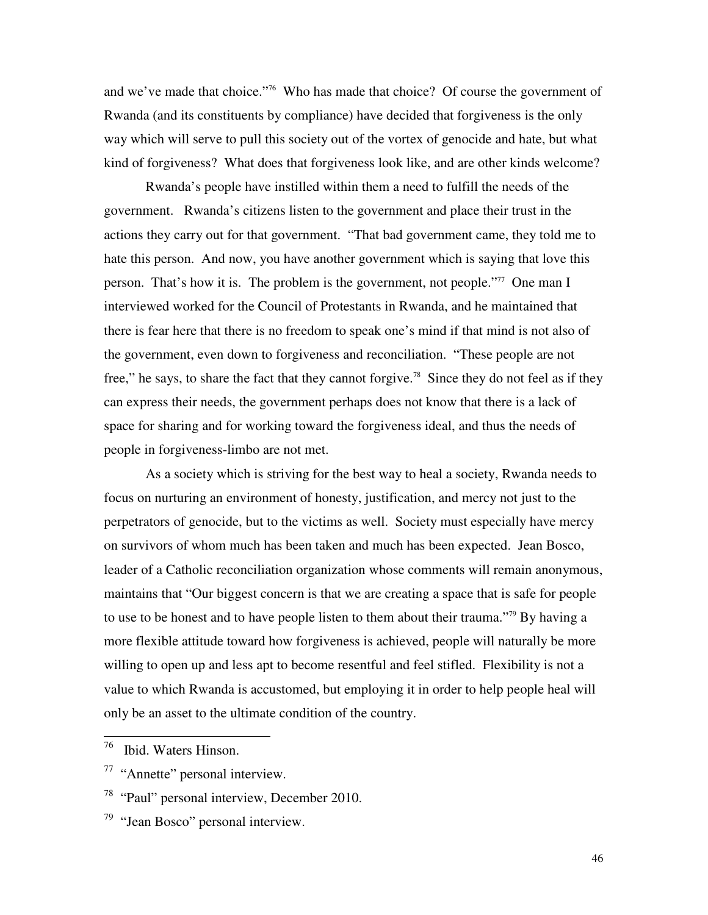and we've made that choice."<sup>76</sup> Who has made that choice? Of course the government of Rwanda (and its constituents by compliance) have decided that forgiveness is the only way which will serve to pull this society out of the vortex of genocide and hate, but what kind of forgiveness? What does that forgiveness look like, and are other kinds welcome?

 Rwanda's people have instilled within them a need to fulfill the needs of the government. Rwanda's citizens listen to the government and place their trust in the actions they carry out for that government. "That bad government came, they told me to hate this person. And now, you have another government which is saying that love this person. That's how it is. The problem is the government, not people."<sup>77</sup> One man I interviewed worked for the Council of Protestants in Rwanda, and he maintained that there is fear here that there is no freedom to speak one's mind if that mind is not also of the government, even down to forgiveness and reconciliation. "These people are not free," he says, to share the fact that they cannot forgive.<sup>78</sup> Since they do not feel as if they can express their needs, the government perhaps does not know that there is a lack of space for sharing and for working toward the forgiveness ideal, and thus the needs of people in forgiveness-limbo are not met.

 As a society which is striving for the best way to heal a society, Rwanda needs to focus on nurturing an environment of honesty, justification, and mercy not just to the perpetrators of genocide, but to the victims as well. Society must especially have mercy on survivors of whom much has been taken and much has been expected. Jean Bosco, leader of a Catholic reconciliation organization whose comments will remain anonymous, maintains that "Our biggest concern is that we are creating a space that is safe for people to use to be honest and to have people listen to them about their trauma."<sup>79</sup> By having a more flexible attitude toward how forgiveness is achieved, people will naturally be more willing to open up and less apt to become resentful and feel stifled. Flexibility is not a value to which Rwanda is accustomed, but employing it in order to help people heal will only be an asset to the ultimate condition of the country.

-

<sup>76</sup> Ibid. Waters Hinson.

<sup>&</sup>lt;sup>77</sup> "Annette" personal interview.

<sup>&</sup>lt;sup>78</sup> "Paul" personal interview, December 2010.

<sup>79</sup> "Jean Bosco" personal interview.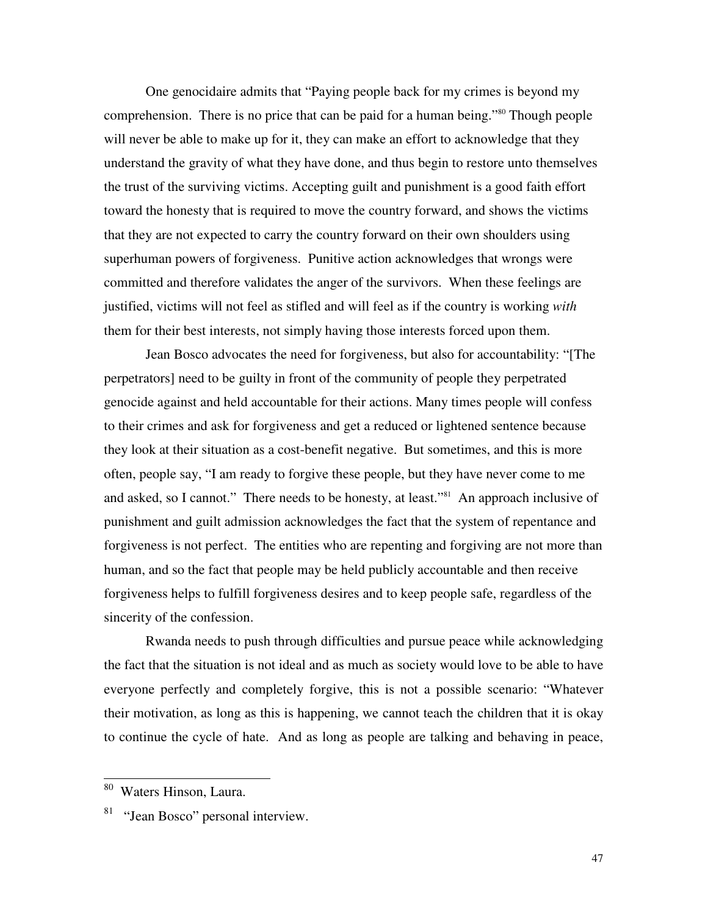One genocidaire admits that "Paying people back for my crimes is beyond my comprehension. There is no price that can be paid for a human being."<sup>80</sup> Though people will never be able to make up for it, they can make an effort to acknowledge that they understand the gravity of what they have done, and thus begin to restore unto themselves the trust of the surviving victims. Accepting guilt and punishment is a good faith effort toward the honesty that is required to move the country forward, and shows the victims that they are not expected to carry the country forward on their own shoulders using superhuman powers of forgiveness. Punitive action acknowledges that wrongs were committed and therefore validates the anger of the survivors. When these feelings are justified, victims will not feel as stifled and will feel as if the country is working *with* them for their best interests, not simply having those interests forced upon them.

 Jean Bosco advocates the need for forgiveness, but also for accountability: "[The perpetrators] need to be guilty in front of the community of people they perpetrated genocide against and held accountable for their actions. Many times people will confess to their crimes and ask for forgiveness and get a reduced or lightened sentence because they look at their situation as a cost-benefit negative. But sometimes, and this is more often, people say, "I am ready to forgive these people, but they have never come to me and asked, so I cannot." There needs to be honesty, at least."<sup>81</sup> An approach inclusive of punishment and guilt admission acknowledges the fact that the system of repentance and forgiveness is not perfect. The entities who are repenting and forgiving are not more than human, and so the fact that people may be held publicly accountable and then receive forgiveness helps to fulfill forgiveness desires and to keep people safe, regardless of the sincerity of the confession.

 Rwanda needs to push through difficulties and pursue peace while acknowledging the fact that the situation is not ideal and as much as society would love to be able to have everyone perfectly and completely forgive, this is not a possible scenario: "Whatever their motivation, as long as this is happening, we cannot teach the children that it is okay to continue the cycle of hate. And as long as people are talking and behaving in peace,

<sup>&</sup>lt;sup>80</sup> Waters Hinson, Laura.

<sup>&</sup>lt;sup>81</sup> "Jean Bosco" personal interview.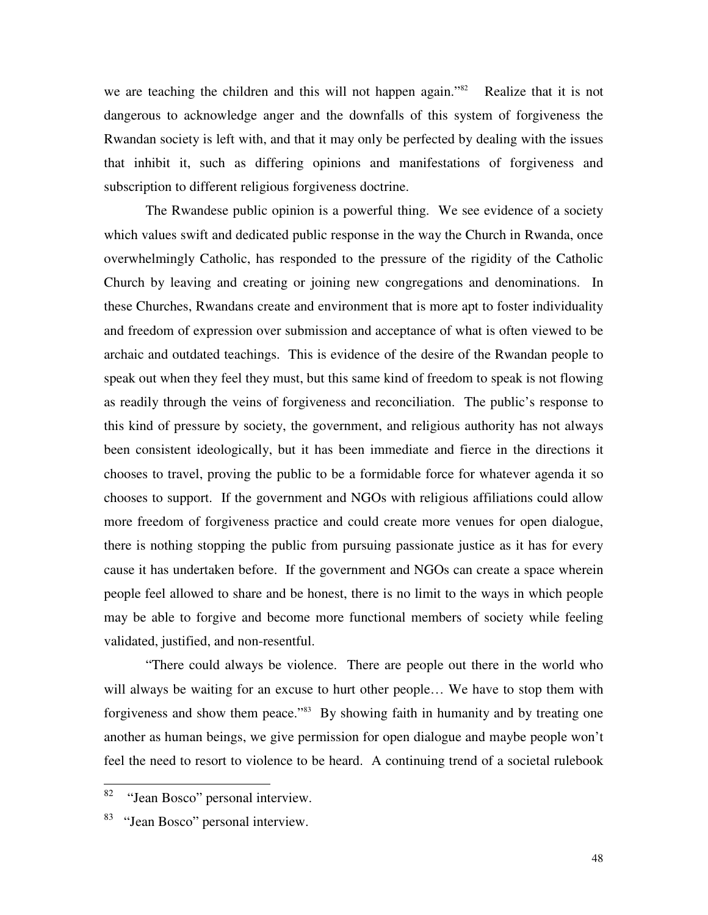we are teaching the children and this will not happen again."<sup>82</sup> Realize that it is not dangerous to acknowledge anger and the downfalls of this system of forgiveness the Rwandan society is left with, and that it may only be perfected by dealing with the issues that inhibit it, such as differing opinions and manifestations of forgiveness and subscription to different religious forgiveness doctrine.

 The Rwandese public opinion is a powerful thing. We see evidence of a society which values swift and dedicated public response in the way the Church in Rwanda, once overwhelmingly Catholic, has responded to the pressure of the rigidity of the Catholic Church by leaving and creating or joining new congregations and denominations. In these Churches, Rwandans create and environment that is more apt to foster individuality and freedom of expression over submission and acceptance of what is often viewed to be archaic and outdated teachings. This is evidence of the desire of the Rwandan people to speak out when they feel they must, but this same kind of freedom to speak is not flowing as readily through the veins of forgiveness and reconciliation. The public's response to this kind of pressure by society, the government, and religious authority has not always been consistent ideologically, but it has been immediate and fierce in the directions it chooses to travel, proving the public to be a formidable force for whatever agenda it so chooses to support. If the government and NGOs with religious affiliations could allow more freedom of forgiveness practice and could create more venues for open dialogue, there is nothing stopping the public from pursuing passionate justice as it has for every cause it has undertaken before. If the government and NGOs can create a space wherein people feel allowed to share and be honest, there is no limit to the ways in which people may be able to forgive and become more functional members of society while feeling validated, justified, and non-resentful.

 "There could always be violence. There are people out there in the world who will always be waiting for an excuse to hurt other people… We have to stop them with forgiveness and show them peace."<sup>83</sup> By showing faith in humanity and by treating one another as human beings, we give permission for open dialogue and maybe people won't feel the need to resort to violence to be heard. A continuing trend of a societal rulebook

<sup>82</sup> "Jean Bosco" personal interview.

<sup>&</sup>quot;Jean Bosco" personal interview.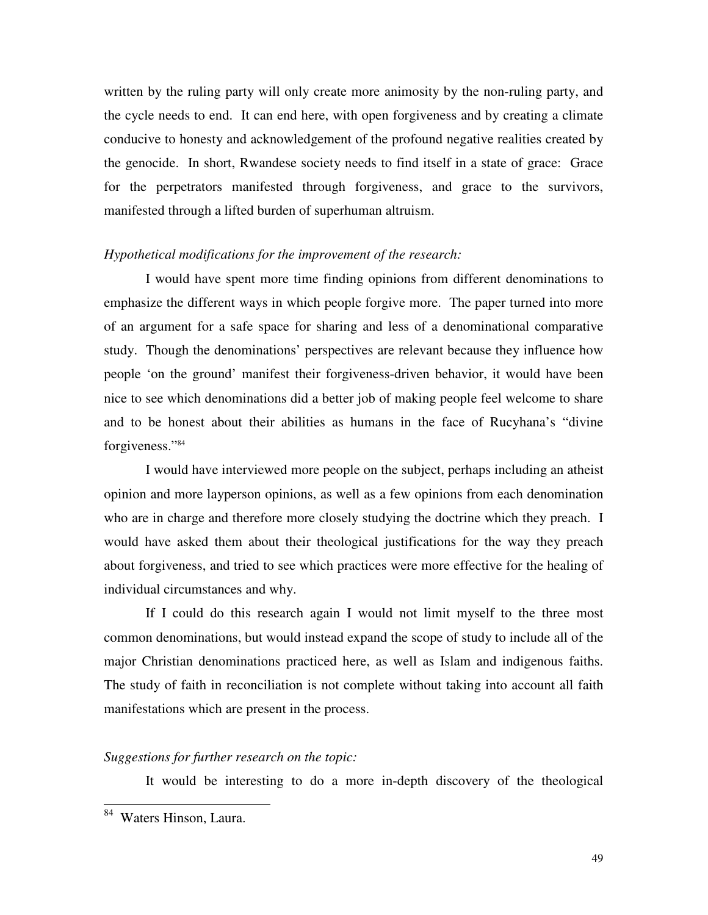written by the ruling party will only create more animosity by the non-ruling party, and the cycle needs to end. It can end here, with open forgiveness and by creating a climate conducive to honesty and acknowledgement of the profound negative realities created by the genocide. In short, Rwandese society needs to find itself in a state of grace: Grace for the perpetrators manifested through forgiveness, and grace to the survivors, manifested through a lifted burden of superhuman altruism.

#### *Hypothetical modifications for the improvement of the research:*

 I would have spent more time finding opinions from different denominations to emphasize the different ways in which people forgive more. The paper turned into more of an argument for a safe space for sharing and less of a denominational comparative study. Though the denominations' perspectives are relevant because they influence how people 'on the ground' manifest their forgiveness-driven behavior, it would have been nice to see which denominations did a better job of making people feel welcome to share and to be honest about their abilities as humans in the face of Rucyhana's "divine forgiveness."<sup>84</sup>

 I would have interviewed more people on the subject, perhaps including an atheist opinion and more layperson opinions, as well as a few opinions from each denomination who are in charge and therefore more closely studying the doctrine which they preach. I would have asked them about their theological justifications for the way they preach about forgiveness, and tried to see which practices were more effective for the healing of individual circumstances and why.

 If I could do this research again I would not limit myself to the three most common denominations, but would instead expand the scope of study to include all of the major Christian denominations practiced here, as well as Islam and indigenous faiths. The study of faith in reconciliation is not complete without taking into account all faith manifestations which are present in the process.

#### *Suggestions for further research on the topic:*

It would be interesting to do a more in-depth discovery of the theological

<sup>&</sup>lt;sup>84</sup> Waters Hinson, Laura.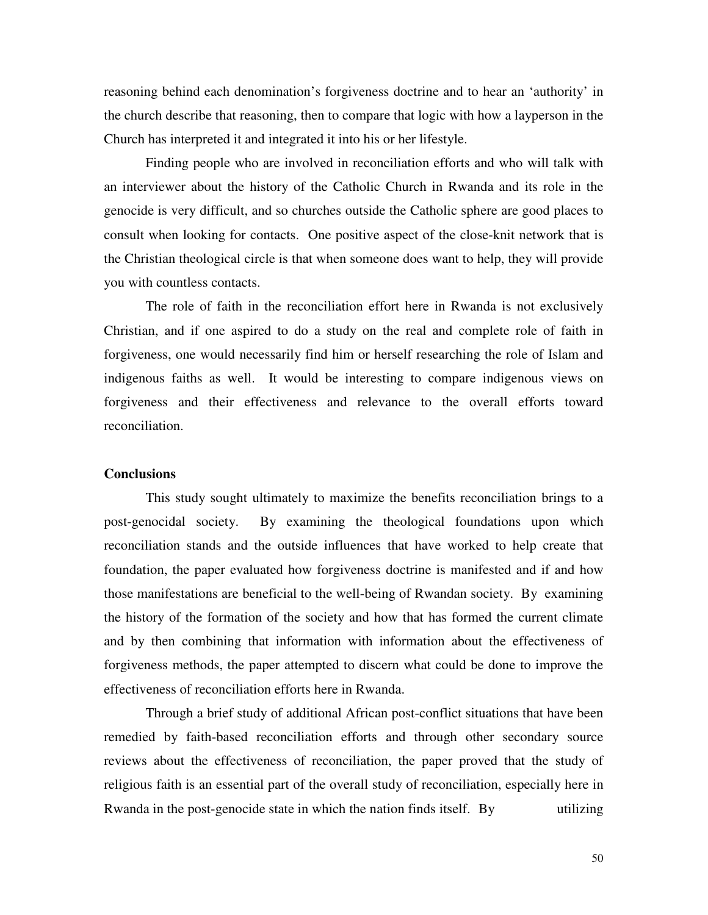reasoning behind each denomination's forgiveness doctrine and to hear an 'authority' in the church describe that reasoning, then to compare that logic with how a layperson in the Church has interpreted it and integrated it into his or her lifestyle.

 Finding people who are involved in reconciliation efforts and who will talk with an interviewer about the history of the Catholic Church in Rwanda and its role in the genocide is very difficult, and so churches outside the Catholic sphere are good places to consult when looking for contacts. One positive aspect of the close-knit network that is the Christian theological circle is that when someone does want to help, they will provide you with countless contacts.

 The role of faith in the reconciliation effort here in Rwanda is not exclusively Christian, and if one aspired to do a study on the real and complete role of faith in forgiveness, one would necessarily find him or herself researching the role of Islam and indigenous faiths as well. It would be interesting to compare indigenous views on forgiveness and their effectiveness and relevance to the overall efforts toward reconciliation.

#### **Conclusions**

 This study sought ultimately to maximize the benefits reconciliation brings to a post-genocidal society. By examining the theological foundations upon which reconciliation stands and the outside influences that have worked to help create that foundation, the paper evaluated how forgiveness doctrine is manifested and if and how those manifestations are beneficial to the well-being of Rwandan society. By examining the history of the formation of the society and how that has formed the current climate and by then combining that information with information about the effectiveness of forgiveness methods, the paper attempted to discern what could be done to improve the effectiveness of reconciliation efforts here in Rwanda.

Through a brief study of additional African post-conflict situations that have been remedied by faith-based reconciliation efforts and through other secondary source reviews about the effectiveness of reconciliation, the paper proved that the study of religious faith is an essential part of the overall study of reconciliation, especially here in Rwanda in the post-genocide state in which the nation finds itself. By utilizing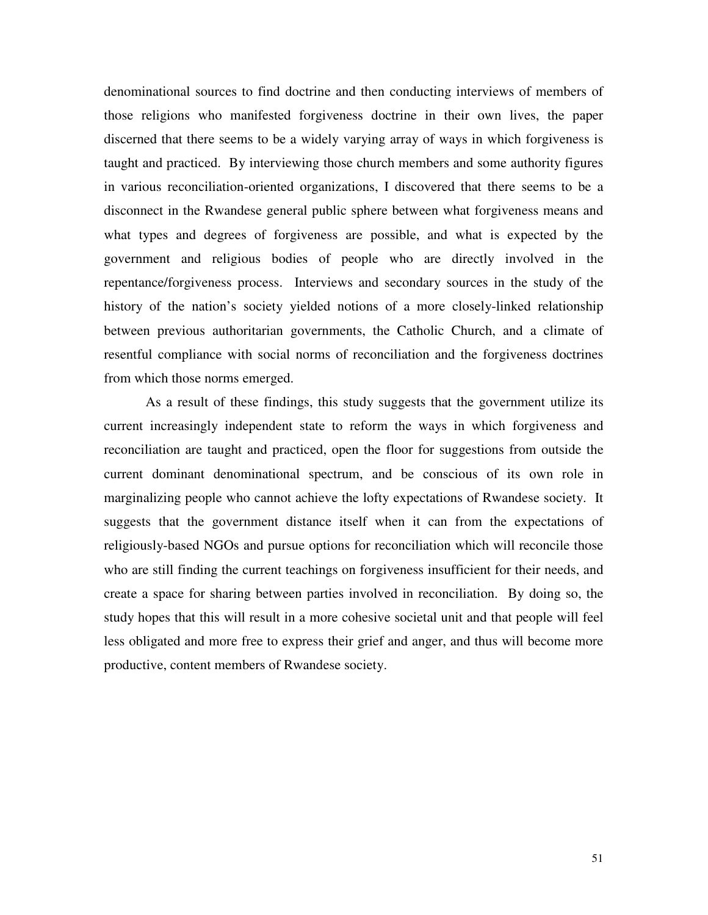denominational sources to find doctrine and then conducting interviews of members of those religions who manifested forgiveness doctrine in their own lives, the paper discerned that there seems to be a widely varying array of ways in which forgiveness is taught and practiced. By interviewing those church members and some authority figures in various reconciliation-oriented organizations, I discovered that there seems to be a disconnect in the Rwandese general public sphere between what forgiveness means and what types and degrees of forgiveness are possible, and what is expected by the government and religious bodies of people who are directly involved in the repentance/forgiveness process. Interviews and secondary sources in the study of the history of the nation's society yielded notions of a more closely-linked relationship between previous authoritarian governments, the Catholic Church, and a climate of resentful compliance with social norms of reconciliation and the forgiveness doctrines from which those norms emerged.

 As a result of these findings, this study suggests that the government utilize its current increasingly independent state to reform the ways in which forgiveness and reconciliation are taught and practiced, open the floor for suggestions from outside the current dominant denominational spectrum, and be conscious of its own role in marginalizing people who cannot achieve the lofty expectations of Rwandese society. It suggests that the government distance itself when it can from the expectations of religiously-based NGOs and pursue options for reconciliation which will reconcile those who are still finding the current teachings on forgiveness insufficient for their needs, and create a space for sharing between parties involved in reconciliation. By doing so, the study hopes that this will result in a more cohesive societal unit and that people will feel less obligated and more free to express their grief and anger, and thus will become more productive, content members of Rwandese society.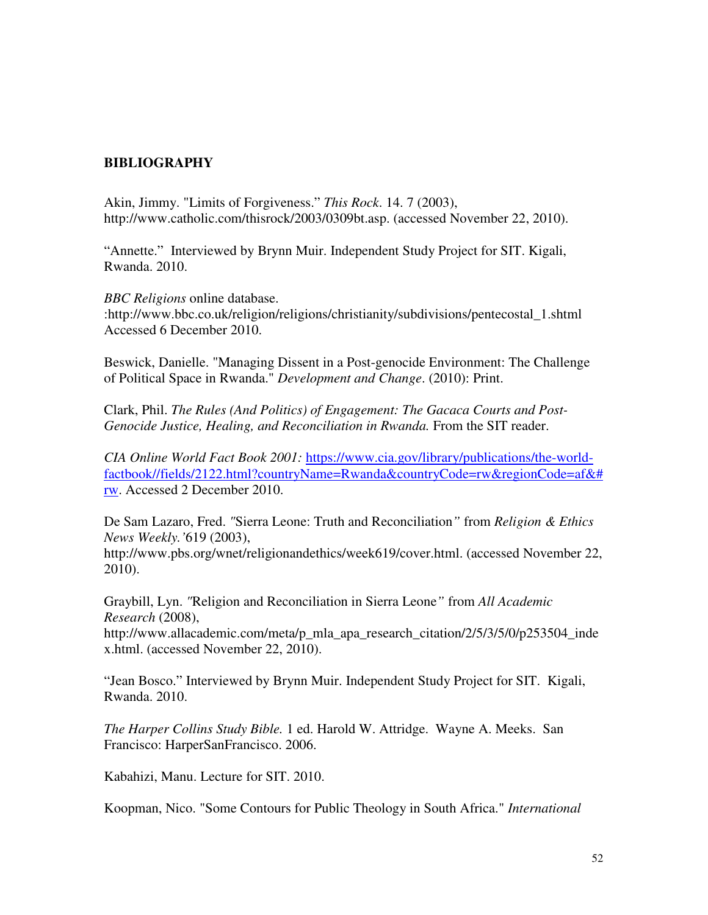## **BIBLIOGRAPHY**

Akin, Jimmy. "Limits of Forgiveness." *This Rock*. 14. 7 (2003), http://www.catholic.com/thisrock/2003/0309bt.asp. (accessed November 22, 2010).

"Annette." Interviewed by Brynn Muir. Independent Study Project for SIT. Kigali, Rwanda. 2010.

*BBC Religions* online database. :http://www.bbc.co.uk/religion/religions/christianity/subdivisions/pentecostal\_1.shtml Accessed 6 December 2010.

Beswick, Danielle. "Managing Dissent in a Post-genocide Environment: The Challenge of Political Space in Rwanda." *Development and Change*. (2010): Print.

Clark, Phil. *The Rules (And Politics) of Engagement: The Gacaca Courts and Post-Genocide Justice, Healing, and Reconciliation in Rwanda.* From the SIT reader.

*CIA Online World Fact Book 2001:* https://www.cia.gov/library/publications/the-worldfactbook//fields/2122.html?countryName=Rwanda&countryCode=rw&regionCode=af&# rw. Accessed 2 December 2010.

De Sam Lazaro, Fred. *"*Sierra Leone: Truth and Reconciliation*"* from *Religion & Ethics News Weekly.'*619 (2003),

http://www.pbs.org/wnet/religionandethics/week619/cover.html. (accessed November 22, 2010).

Graybill, Lyn. *"*Religion and Reconciliation in Sierra Leone*"* from *All Academic Research* (2008),

http://www.allacademic.com/meta/p\_mla\_apa\_research\_citation/2/5/3/5/0/p253504\_inde x.html. (accessed November 22, 2010).

"Jean Bosco." Interviewed by Brynn Muir. Independent Study Project for SIT. Kigali, Rwanda. 2010.

*The Harper Collins Study Bible.* 1 ed. Harold W. Attridge. Wayne A. Meeks. San Francisco: HarperSanFrancisco. 2006.

Kabahizi, Manu. Lecture for SIT. 2010.

Koopman, Nico. "Some Contours for Public Theology in South Africa." *International*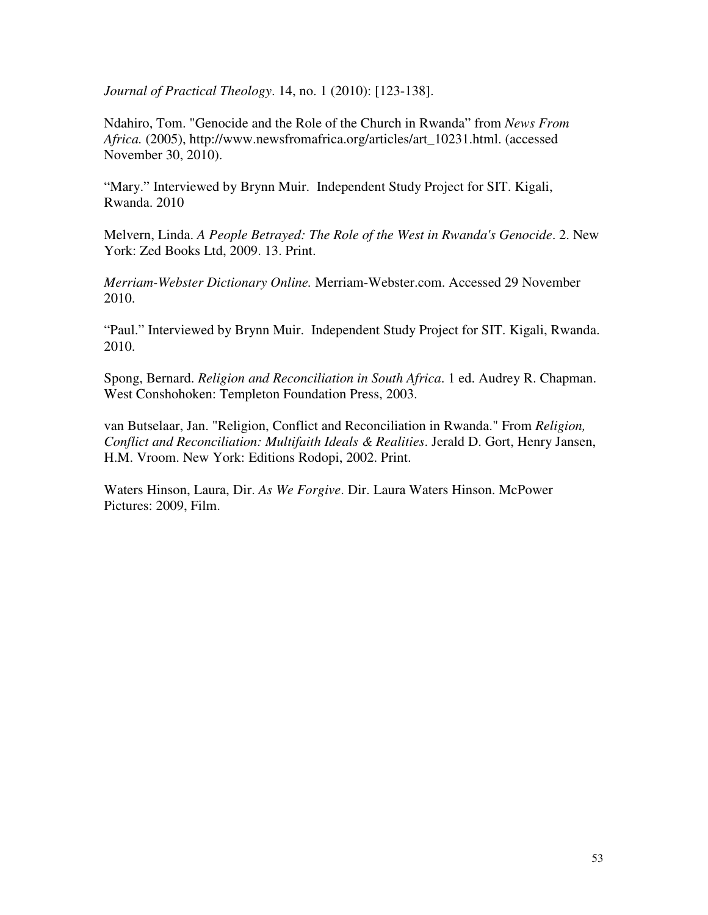*Journal of Practical Theology*. 14, no. 1 (2010): [123-138].

Ndahiro, Tom. "Genocide and the Role of the Church in Rwanda" from *News From Africa.* (2005), http://www.newsfromafrica.org/articles/art\_10231.html. (accessed November 30, 2010).

"Mary." Interviewed by Brynn Muir. Independent Study Project for SIT. Kigali, Rwanda. 2010

Melvern, Linda. *A People Betrayed: The Role of the West in Rwanda's Genocide*. 2. New York: Zed Books Ltd, 2009. 13. Print.

*Merriam-Webster Dictionary Online.* Merriam-Webster.com. Accessed 29 November 2010.

"Paul." Interviewed by Brynn Muir. Independent Study Project for SIT. Kigali, Rwanda. 2010.

Spong, Bernard. *Religion and Reconciliation in South Africa*. 1 ed. Audrey R. Chapman. West Conshohoken: Templeton Foundation Press, 2003.

van Butselaar, Jan. "Religion, Conflict and Reconciliation in Rwanda." From *Religion, Conflict and Reconciliation: Multifaith Ideals & Realities*. Jerald D. Gort, Henry Jansen, H.M. Vroom. New York: Editions Rodopi, 2002. Print.

Waters Hinson, Laura, Dir. *As We Forgive*. Dir. Laura Waters Hinson. McPower Pictures: 2009, Film.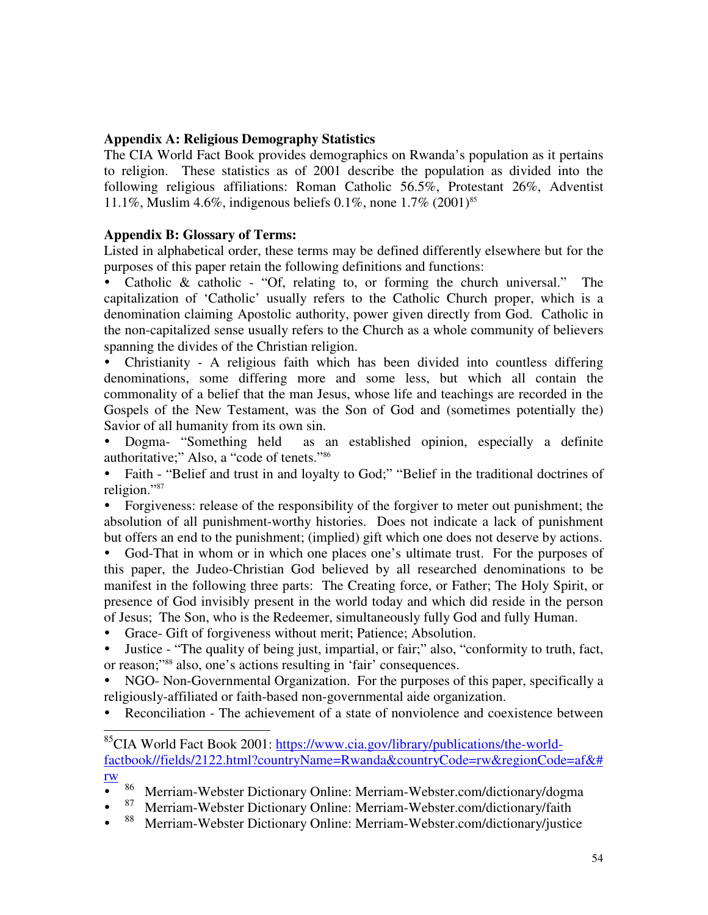## **Appendix A: Religious Demography Statistics**

The CIA World Fact Book provides demographics on Rwanda's population as it pertains to religion. These statistics as of 2001 describe the population as divided into the following religious affiliations: Roman Catholic 56.5%, Protestant 26%, Adventist 11.1%, Muslim 4.6%, indigenous beliefs 0.1%, none  $1.7\%$  (2001)<sup>85</sup>

## **Appendix B: Glossary of Terms:**

 $\overline{a}$ 

Listed in alphabetical order, these terms may be defined differently elsewhere but for the purposes of this paper retain the following definitions and functions:

 Catholic & catholic - "Of, relating to, or forming the church universal." The capitalization of 'Catholic' usually refers to the Catholic Church proper, which is a denomination claiming Apostolic authority, power given directly from God. Catholic in the non-capitalized sense usually refers to the Church as a whole community of believers spanning the divides of the Christian religion.

 Christianity - A religious faith which has been divided into countless differing denominations, some differing more and some less, but which all contain the commonality of a belief that the man Jesus, whose life and teachings are recorded in the Gospels of the New Testament, was the Son of God and (sometimes potentially the) Savior of all humanity from its own sin.

 Dogma- "Something held as an established opinion, especially a definite authoritative;" Also, a "code of tenets."<sup>86</sup>

 Faith - "Belief and trust in and loyalty to God;" "Belief in the traditional doctrines of religion."<sup>87</sup>

 Forgiveness: release of the responsibility of the forgiver to meter out punishment; the absolution of all punishment-worthy histories. Does not indicate a lack of punishment but offers an end to the punishment; (implied) gift which one does not deserve by actions.

 God-That in whom or in which one places one's ultimate trust. For the purposes of this paper, the Judeo-Christian God believed by all researched denominations to be manifest in the following three parts: The Creating force, or Father; The Holy Spirit, or presence of God invisibly present in the world today and which did reside in the person of Jesus; The Son, who is the Redeemer, simultaneously fully God and fully Human.

- Grace- Gift of forgiveness without merit; Patience; Absolution.
- Justice "The quality of being just, impartial, or fair;" also, "conformity to truth, fact, or reason;"<sup>88</sup> also, one's actions resulting in 'fair' consequences.

 NGO- Non-Governmental Organization. For the purposes of this paper, specifically a religiously-affiliated or faith-based non-governmental aide organization.

Reconciliation - The achievement of a state of nonviolence and coexistence between

<sup>&</sup>lt;sup>85</sup>CIA World Fact Book 2001: https://www.cia.gov/library/publications/the-worldfactbook//fields/2122.html?countryName=Rwanda&countryCode=rw&regionCode=af&# rw

 $\bullet$ <sup>86</sup> Merriam-Webster Dictionary Online: Merriam-Webster.com/dictionary/dogma<br><sup>87</sup> Merriam Webster Distionary Online: Merriam Webster.com/dictionary/faith

 $\bullet$ <sup>87</sup> Merriam-Webster Dictionary Online: Merriam-Webster.com/dictionary/faith<br><sup>88</sup> Merriam-Webster Dictionary Online: Merriam-Webster.com/dictionary/justic

 $\bullet$ <sup>88</sup> Merriam-Webster Dictionary Online: Merriam-Webster.com/dictionary/justice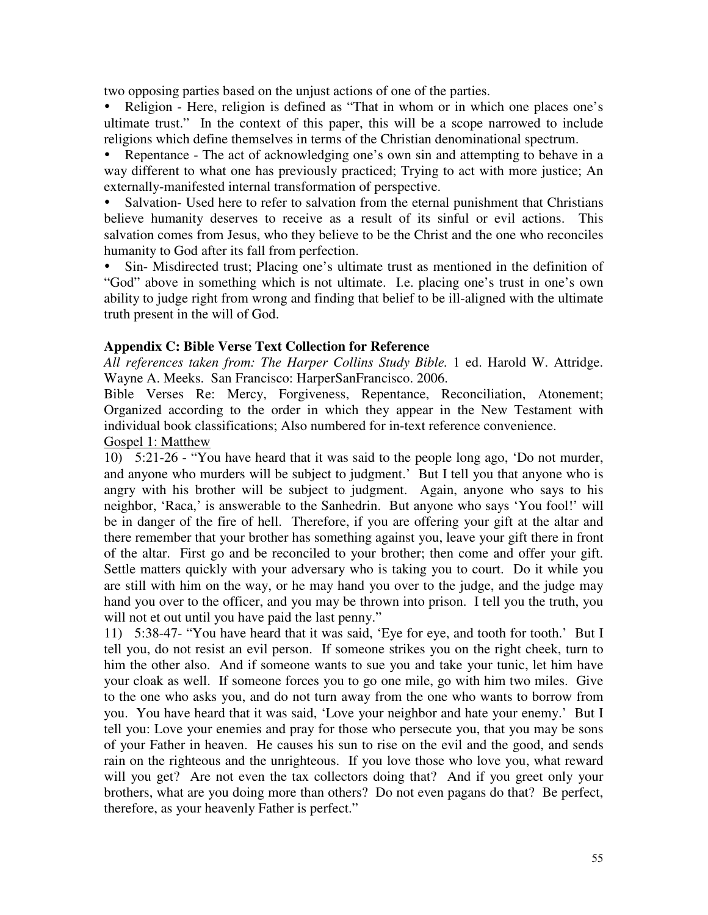two opposing parties based on the unjust actions of one of the parties.

 Religion - Here, religion is defined as "That in whom or in which one places one's ultimate trust." In the context of this paper, this will be a scope narrowed to include religions which define themselves in terms of the Christian denominational spectrum.

 Repentance - The act of acknowledging one's own sin and attempting to behave in a way different to what one has previously practiced; Trying to act with more justice; An externally-manifested internal transformation of perspective.

• Salvation- Used here to refer to salvation from the eternal punishment that Christians believe humanity deserves to receive as a result of its sinful or evil actions. This salvation comes from Jesus, who they believe to be the Christ and the one who reconciles humanity to God after its fall from perfection.

 Sin- Misdirected trust; Placing one's ultimate trust as mentioned in the definition of "God" above in something which is not ultimate. I.e. placing one's trust in one's own ability to judge right from wrong and finding that belief to be ill-aligned with the ultimate truth present in the will of God.

## **Appendix C: Bible Verse Text Collection for Reference**

*All references taken from: The Harper Collins Study Bible.* 1 ed. Harold W. Attridge. Wayne A. Meeks. San Francisco: HarperSanFrancisco. 2006.

Bible Verses Re: Mercy, Forgiveness, Repentance, Reconciliation, Atonement; Organized according to the order in which they appear in the New Testament with individual book classifications; Also numbered for in-text reference convenience. Gospel 1: Matthew

10) 5:21-26 - "You have heard that it was said to the people long ago, 'Do not murder, and anyone who murders will be subject to judgment.' But I tell you that anyone who is angry with his brother will be subject to judgment. Again, anyone who says to his neighbor, 'Raca,' is answerable to the Sanhedrin. But anyone who says 'You fool!' will be in danger of the fire of hell. Therefore, if you are offering your gift at the altar and there remember that your brother has something against you, leave your gift there in front of the altar. First go and be reconciled to your brother; then come and offer your gift. Settle matters quickly with your adversary who is taking you to court. Do it while you are still with him on the way, or he may hand you over to the judge, and the judge may hand you over to the officer, and you may be thrown into prison. I tell you the truth, you will not et out until you have paid the last penny."

11) 5:38-47- "You have heard that it was said, 'Eye for eye, and tooth for tooth.' But I tell you, do not resist an evil person. If someone strikes you on the right cheek, turn to him the other also. And if someone wants to sue you and take your tunic, let him have your cloak as well. If someone forces you to go one mile, go with him two miles. Give to the one who asks you, and do not turn away from the one who wants to borrow from you. You have heard that it was said, 'Love your neighbor and hate your enemy.' But I tell you: Love your enemies and pray for those who persecute you, that you may be sons of your Father in heaven. He causes his sun to rise on the evil and the good, and sends rain on the righteous and the unrighteous. If you love those who love you, what reward will you get? Are not even the tax collectors doing that? And if you greet only your brothers, what are you doing more than others? Do not even pagans do that? Be perfect, therefore, as your heavenly Father is perfect."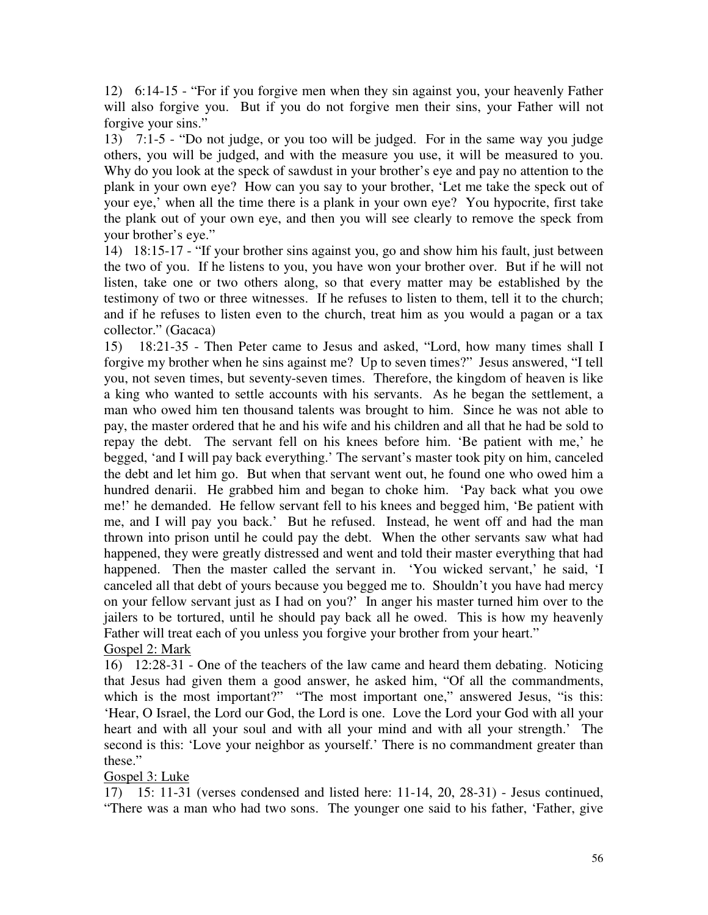12) 6:14-15 - "For if you forgive men when they sin against you, your heavenly Father will also forgive you. But if you do not forgive men their sins, your Father will not forgive your sins."

13) 7:1-5 - "Do not judge, or you too will be judged. For in the same way you judge others, you will be judged, and with the measure you use, it will be measured to you. Why do you look at the speck of sawdust in your brother's eye and pay no attention to the plank in your own eye? How can you say to your brother, 'Let me take the speck out of your eye,' when all the time there is a plank in your own eye? You hypocrite, first take the plank out of your own eye, and then you will see clearly to remove the speck from your brother's eye."

14) 18:15-17 - "If your brother sins against you, go and show him his fault, just between the two of you. If he listens to you, you have won your brother over. But if he will not listen, take one or two others along, so that every matter may be established by the testimony of two or three witnesses. If he refuses to listen to them, tell it to the church; and if he refuses to listen even to the church, treat him as you would a pagan or a tax collector." (Gacaca)

15) 18:21-35 - Then Peter came to Jesus and asked, "Lord, how many times shall I forgive my brother when he sins against me? Up to seven times?" Jesus answered, "I tell you, not seven times, but seventy-seven times. Therefore, the kingdom of heaven is like a king who wanted to settle accounts with his servants. As he began the settlement, a man who owed him ten thousand talents was brought to him. Since he was not able to pay, the master ordered that he and his wife and his children and all that he had be sold to repay the debt. The servant fell on his knees before him. 'Be patient with me,' he begged, 'and I will pay back everything.' The servant's master took pity on him, canceled the debt and let him go. But when that servant went out, he found one who owed him a hundred denarii. He grabbed him and began to choke him. 'Pay back what you owe me!' he demanded. He fellow servant fell to his knees and begged him, 'Be patient with me, and I will pay you back.' But he refused. Instead, he went off and had the man thrown into prison until he could pay the debt. When the other servants saw what had happened, they were greatly distressed and went and told their master everything that had happened. Then the master called the servant in. 'You wicked servant,' he said, 'I canceled all that debt of yours because you begged me to. Shouldn't you have had mercy on your fellow servant just as I had on you?' In anger his master turned him over to the jailers to be tortured, until he should pay back all he owed. This is how my heavenly Father will treat each of you unless you forgive your brother from your heart." Gospel 2: Mark

16) 12:28-31 - One of the teachers of the law came and heard them debating. Noticing that Jesus had given them a good answer, he asked him, "Of all the commandments, which is the most important?" "The most important one," answered Jesus, "is this: 'Hear, O Israel, the Lord our God, the Lord is one. Love the Lord your God with all your heart and with all your soul and with all your mind and with all your strength.' The second is this: 'Love your neighbor as yourself.' There is no commandment greater than these."

## Gospel 3: Luke

17) 15: 11-31 (verses condensed and listed here: 11-14, 20, 28-31) - Jesus continued, "There was a man who had two sons. The younger one said to his father, 'Father, give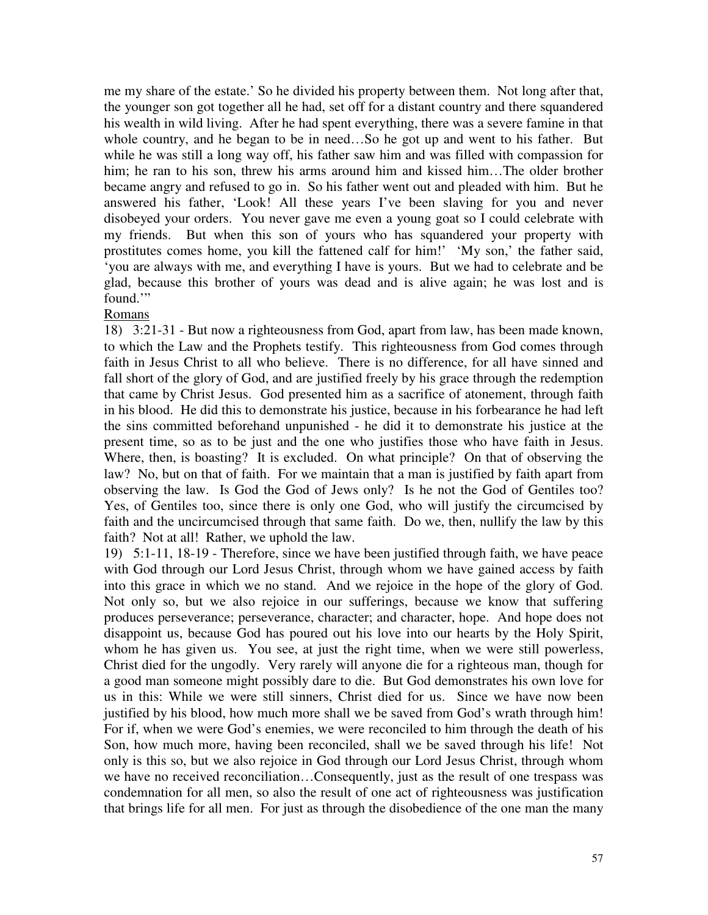me my share of the estate.' So he divided his property between them. Not long after that, the younger son got together all he had, set off for a distant country and there squandered his wealth in wild living. After he had spent everything, there was a severe famine in that whole country, and he began to be in need…So he got up and went to his father. But while he was still a long way off, his father saw him and was filled with compassion for him; he ran to his son, threw his arms around him and kissed him...The older brother became angry and refused to go in. So his father went out and pleaded with him. But he answered his father, 'Look! All these years I've been slaving for you and never disobeyed your orders. You never gave me even a young goat so I could celebrate with my friends. But when this son of yours who has squandered your property with prostitutes comes home, you kill the fattened calf for him!' 'My son,' the father said, 'you are always with me, and everything I have is yours. But we had to celebrate and be glad, because this brother of yours was dead and is alive again; he was lost and is found.'"

## Romans

18) 3:21-31 - But now a righteousness from God, apart from law, has been made known, to which the Law and the Prophets testify. This righteousness from God comes through faith in Jesus Christ to all who believe. There is no difference, for all have sinned and fall short of the glory of God, and are justified freely by his grace through the redemption that came by Christ Jesus. God presented him as a sacrifice of atonement, through faith in his blood. He did this to demonstrate his justice, because in his forbearance he had left the sins committed beforehand unpunished - he did it to demonstrate his justice at the present time, so as to be just and the one who justifies those who have faith in Jesus. Where, then, is boasting? It is excluded. On what principle? On that of observing the law? No, but on that of faith. For we maintain that a man is justified by faith apart from observing the law. Is God the God of Jews only? Is he not the God of Gentiles too? Yes, of Gentiles too, since there is only one God, who will justify the circumcised by faith and the uncircumcised through that same faith. Do we, then, nullify the law by this faith? Not at all! Rather, we uphold the law.

19) 5:1-11, 18-19 - Therefore, since we have been justified through faith, we have peace with God through our Lord Jesus Christ, through whom we have gained access by faith into this grace in which we no stand. And we rejoice in the hope of the glory of God. Not only so, but we also rejoice in our sufferings, because we know that suffering produces perseverance; perseverance, character; and character, hope. And hope does not disappoint us, because God has poured out his love into our hearts by the Holy Spirit, whom he has given us. You see, at just the right time, when we were still powerless, Christ died for the ungodly. Very rarely will anyone die for a righteous man, though for a good man someone might possibly dare to die. But God demonstrates his own love for us in this: While we were still sinners, Christ died for us. Since we have now been justified by his blood, how much more shall we be saved from God's wrath through him! For if, when we were God's enemies, we were reconciled to him through the death of his Son, how much more, having been reconciled, shall we be saved through his life! Not only is this so, but we also rejoice in God through our Lord Jesus Christ, through whom we have no received reconciliation…Consequently, just as the result of one trespass was condemnation for all men, so also the result of one act of righteousness was justification that brings life for all men. For just as through the disobedience of the one man the many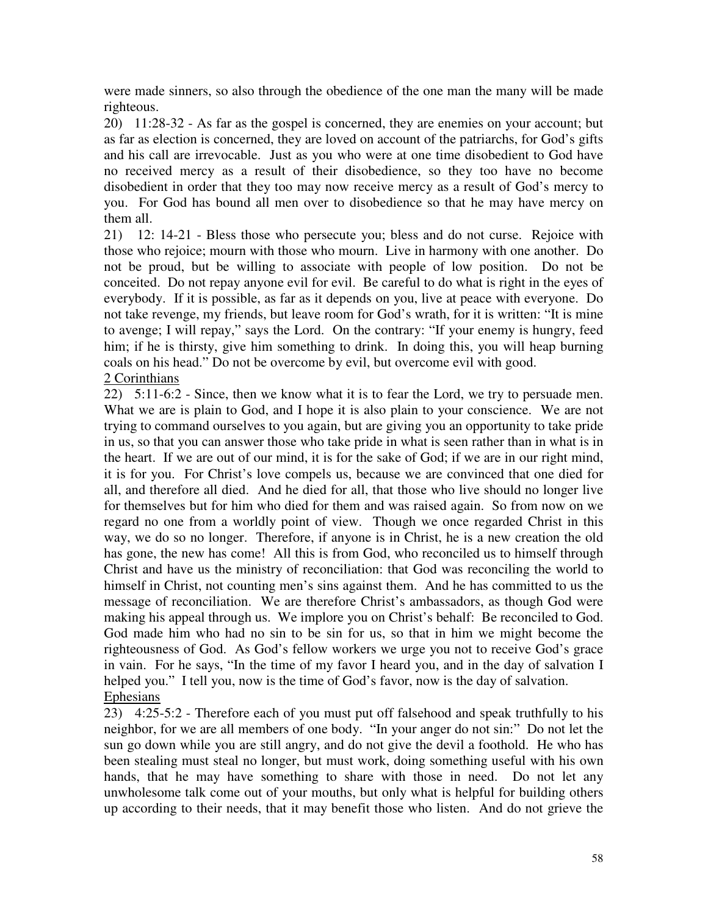were made sinners, so also through the obedience of the one man the many will be made righteous.

20) 11:28-32 - As far as the gospel is concerned, they are enemies on your account; but as far as election is concerned, they are loved on account of the patriarchs, for God's gifts and his call are irrevocable. Just as you who were at one time disobedient to God have no received mercy as a result of their disobedience, so they too have no become disobedient in order that they too may now receive mercy as a result of God's mercy to you. For God has bound all men over to disobedience so that he may have mercy on them all.

21) 12: 14-21 - Bless those who persecute you; bless and do not curse. Rejoice with those who rejoice; mourn with those who mourn. Live in harmony with one another. Do not be proud, but be willing to associate with people of low position. Do not be conceited. Do not repay anyone evil for evil. Be careful to do what is right in the eyes of everybody. If it is possible, as far as it depends on you, live at peace with everyone. Do not take revenge, my friends, but leave room for God's wrath, for it is written: "It is mine to avenge; I will repay," says the Lord. On the contrary: "If your enemy is hungry, feed him; if he is thirsty, give him something to drink. In doing this, you will heap burning coals on his head." Do not be overcome by evil, but overcome evil with good. 2 Corinthians

22) 5:11-6:2 - Since, then we know what it is to fear the Lord, we try to persuade men. What we are is plain to God, and I hope it is also plain to your conscience. We are not trying to command ourselves to you again, but are giving you an opportunity to take pride in us, so that you can answer those who take pride in what is seen rather than in what is in the heart. If we are out of our mind, it is for the sake of God; if we are in our right mind, it is for you. For Christ's love compels us, because we are convinced that one died for all, and therefore all died. And he died for all, that those who live should no longer live for themselves but for him who died for them and was raised again. So from now on we regard no one from a worldly point of view. Though we once regarded Christ in this way, we do so no longer. Therefore, if anyone is in Christ, he is a new creation the old has gone, the new has come! All this is from God, who reconciled us to himself through Christ and have us the ministry of reconciliation: that God was reconciling the world to himself in Christ, not counting men's sins against them. And he has committed to us the message of reconciliation. We are therefore Christ's ambassadors, as though God were making his appeal through us. We implore you on Christ's behalf: Be reconciled to God. God made him who had no sin to be sin for us, so that in him we might become the righteousness of God. As God's fellow workers we urge you not to receive God's grace in vain. For he says, "In the time of my favor I heard you, and in the day of salvation I helped you." I tell you, now is the time of God's favor, now is the day of salvation. Ephesians

23) 4:25-5:2 - Therefore each of you must put off falsehood and speak truthfully to his neighbor, for we are all members of one body. "In your anger do not sin:" Do not let the sun go down while you are still angry, and do not give the devil a foothold. He who has been stealing must steal no longer, but must work, doing something useful with his own hands, that he may have something to share with those in need. Do not let any unwholesome talk come out of your mouths, but only what is helpful for building others up according to their needs, that it may benefit those who listen. And do not grieve the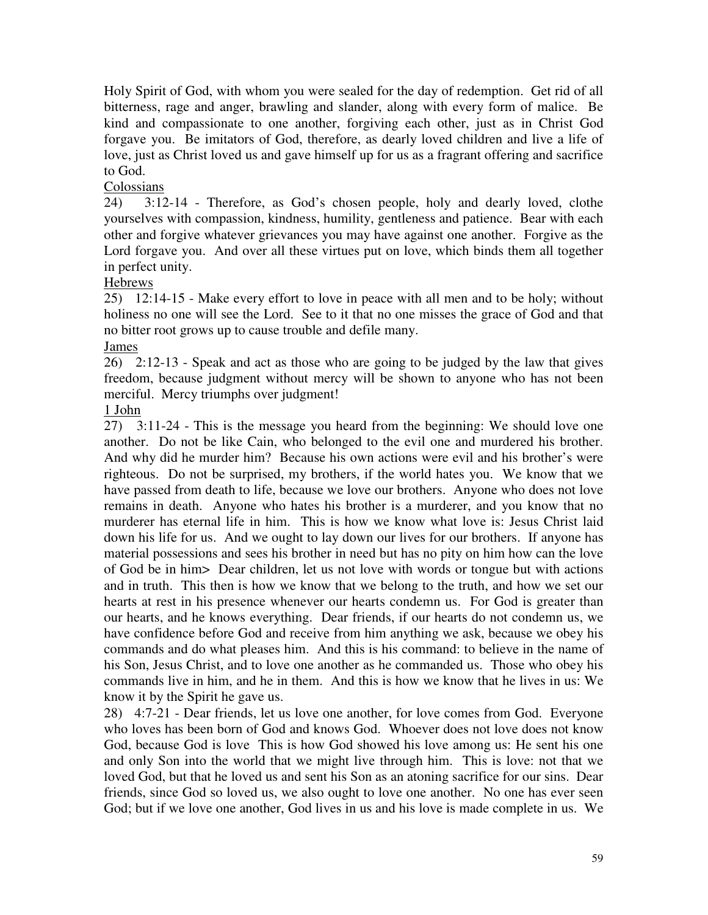Holy Spirit of God, with whom you were sealed for the day of redemption. Get rid of all bitterness, rage and anger, brawling and slander, along with every form of malice. Be kind and compassionate to one another, forgiving each other, just as in Christ God forgave you. Be imitators of God, therefore, as dearly loved children and live a life of love, just as Christ loved us and gave himself up for us as a fragrant offering and sacrifice to God.

## Colossians

24) 3:12-14 - Therefore, as God's chosen people, holy and dearly loved, clothe yourselves with compassion, kindness, humility, gentleness and patience. Bear with each other and forgive whatever grievances you may have against one another. Forgive as the Lord forgave you. And over all these virtues put on love, which binds them all together in perfect unity.

## **Hebrews**

25) 12:14-15 - Make every effort to love in peace with all men and to be holy; without holiness no one will see the Lord. See to it that no one misses the grace of God and that no bitter root grows up to cause trouble and defile many.

## James

26) 2:12-13 - Speak and act as those who are going to be judged by the law that gives freedom, because judgment without mercy will be shown to anyone who has not been merciful. Mercy triumphs over judgment!

## 1 John

27) 3:11-24 - This is the message you heard from the beginning: We should love one another. Do not be like Cain, who belonged to the evil one and murdered his brother. And why did he murder him? Because his own actions were evil and his brother's were righteous. Do not be surprised, my brothers, if the world hates you. We know that we have passed from death to life, because we love our brothers. Anyone who does not love remains in death. Anyone who hates his brother is a murderer, and you know that no murderer has eternal life in him. This is how we know what love is: Jesus Christ laid down his life for us. And we ought to lay down our lives for our brothers. If anyone has material possessions and sees his brother in need but has no pity on him how can the love of God be in him> Dear children, let us not love with words or tongue but with actions and in truth. This then is how we know that we belong to the truth, and how we set our hearts at rest in his presence whenever our hearts condemn us. For God is greater than our hearts, and he knows everything. Dear friends, if our hearts do not condemn us, we have confidence before God and receive from him anything we ask, because we obey his commands and do what pleases him. And this is his command: to believe in the name of his Son, Jesus Christ, and to love one another as he commanded us. Those who obey his commands live in him, and he in them. And this is how we know that he lives in us: We know it by the Spirit he gave us.

28) 4:7-21 - Dear friends, let us love one another, for love comes from God. Everyone who loves has been born of God and knows God. Whoever does not love does not know God, because God is love This is how God showed his love among us: He sent his one and only Son into the world that we might live through him. This is love: not that we loved God, but that he loved us and sent his Son as an atoning sacrifice for our sins. Dear friends, since God so loved us, we also ought to love one another. No one has ever seen God; but if we love one another, God lives in us and his love is made complete in us. We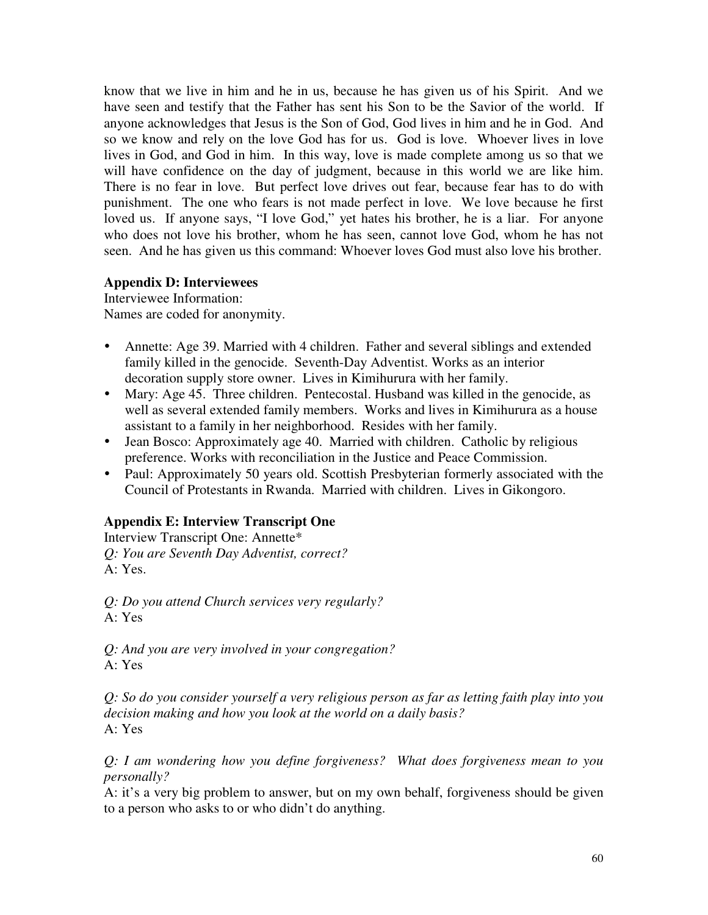know that we live in him and he in us, because he has given us of his Spirit. And we have seen and testify that the Father has sent his Son to be the Savior of the world. If anyone acknowledges that Jesus is the Son of God, God lives in him and he in God. And so we know and rely on the love God has for us. God is love. Whoever lives in love lives in God, and God in him. In this way, love is made complete among us so that we will have confidence on the day of judgment, because in this world we are like him. There is no fear in love. But perfect love drives out fear, because fear has to do with punishment. The one who fears is not made perfect in love. We love because he first loved us. If anyone says, "I love God," yet hates his brother, he is a liar. For anyone who does not love his brother, whom he has seen, cannot love God, whom he has not seen. And he has given us this command: Whoever loves God must also love his brother.

## **Appendix D: Interviewees**

Interviewee Information: Names are coded for anonymity.

- Annette: Age 39. Married with 4 children. Father and several siblings and extended family killed in the genocide. Seventh-Day Adventist. Works as an interior decoration supply store owner. Lives in Kimihurura with her family.
- Mary: Age 45. Three children. Pentecostal. Husband was killed in the genocide, as well as several extended family members. Works and lives in Kimihurura as a house assistant to a family in her neighborhood. Resides with her family.
- Jean Bosco: Approximately age 40. Married with children. Catholic by religious preference. Works with reconciliation in the Justice and Peace Commission.
- Paul: Approximately 50 years old. Scottish Presbyterian formerly associated with the Council of Protestants in Rwanda. Married with children. Lives in Gikongoro.

## **Appendix E: Interview Transcript One**

Interview Transcript One: Annette\* *Q: You are Seventh Day Adventist, correct?*  A: Yes.

*Q: Do you attend Church services very regularly?*  A: Yes

*Q: And you are very involved in your congregation?*  A: Yes

*Q: So do you consider yourself a very religious person as far as letting faith play into you decision making and how you look at the world on a daily basis?*  A: Yes

*Q: I am wondering how you define forgiveness? What does forgiveness mean to you personally?* 

A: it's a very big problem to answer, but on my own behalf, forgiveness should be given to a person who asks to or who didn't do anything.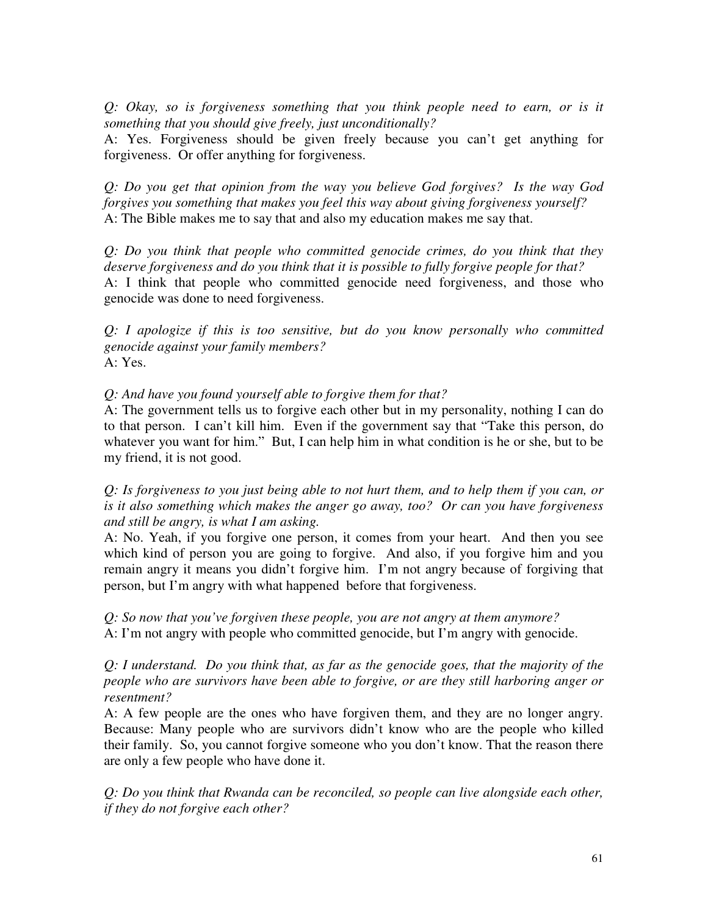*Q: Okay, so is forgiveness something that you think people need to earn, or is it something that you should give freely, just unconditionally?* 

A: Yes. Forgiveness should be given freely because you can't get anything for forgiveness. Or offer anything for forgiveness.

*Q: Do you get that opinion from the way you believe God forgives? Is the way God forgives you something that makes you feel this way about giving forgiveness yourself?*  A: The Bible makes me to say that and also my education makes me say that.

*Q: Do you think that people who committed genocide crimes, do you think that they deserve forgiveness and do you think that it is possible to fully forgive people for that?*  A: I think that people who committed genocide need forgiveness, and those who genocide was done to need forgiveness.

*Q: I apologize if this is too sensitive, but do you know personally who committed genocide against your family members?*  A: Yes.

*Q: And have you found yourself able to forgive them for that?* 

A: The government tells us to forgive each other but in my personality, nothing I can do to that person. I can't kill him. Even if the government say that "Take this person, do whatever you want for him." But, I can help him in what condition is he or she, but to be my friend, it is not good.

*Q: Is forgiveness to you just being able to not hurt them, and to help them if you can, or is it also something which makes the anger go away, too? Or can you have forgiveness and still be angry, is what I am asking.* 

A: No. Yeah, if you forgive one person, it comes from your heart. And then you see which kind of person you are going to forgive. And also, if you forgive him and you remain angry it means you didn't forgive him. I'm not angry because of forgiving that person, but I'm angry with what happened before that forgiveness.

*Q: So now that you've forgiven these people, you are not angry at them anymore?*  A: I'm not angry with people who committed genocide, but I'm angry with genocide.

*Q: I understand. Do you think that, as far as the genocide goes, that the majority of the people who are survivors have been able to forgive, or are they still harboring anger or resentment?* 

A: A few people are the ones who have forgiven them, and they are no longer angry. Because: Many people who are survivors didn't know who are the people who killed their family. So, you cannot forgive someone who you don't know. That the reason there are only a few people who have done it.

*Q: Do you think that Rwanda can be reconciled, so people can live alongside each other, if they do not forgive each other?*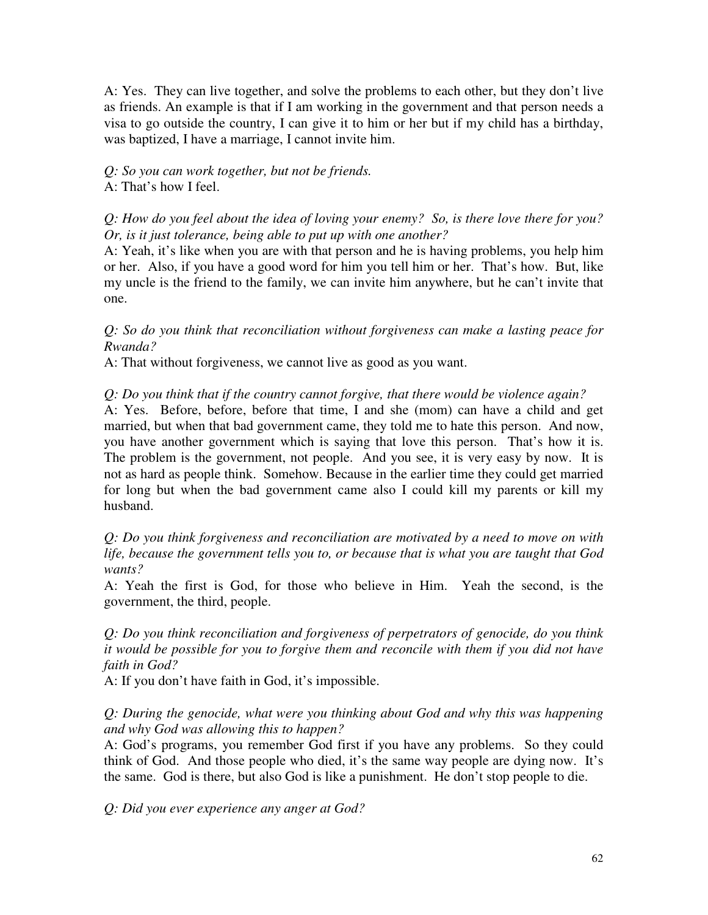A: Yes. They can live together, and solve the problems to each other, but they don't live as friends. An example is that if I am working in the government and that person needs a visa to go outside the country, I can give it to him or her but if my child has a birthday, was baptized, I have a marriage, I cannot invite him.

*Q: So you can work together, but not be friends.* 

A: That's how I feel.

*Q: How do you feel about the idea of loving your enemy? So, is there love there for you? Or, is it just tolerance, being able to put up with one another?* 

A: Yeah, it's like when you are with that person and he is having problems, you help him or her. Also, if you have a good word for him you tell him or her. That's how. But, like my uncle is the friend to the family, we can invite him anywhere, but he can't invite that one.

*Q: So do you think that reconciliation without forgiveness can make a lasting peace for Rwanda?* 

A: That without forgiveness, we cannot live as good as you want.

*Q: Do you think that if the country cannot forgive, that there would be violence again?* 

A: Yes. Before, before, before that time, I and she (mom) can have a child and get married, but when that bad government came, they told me to hate this person. And now, you have another government which is saying that love this person. That's how it is. The problem is the government, not people. And you see, it is very easy by now. It is not as hard as people think. Somehow. Because in the earlier time they could get married for long but when the bad government came also I could kill my parents or kill my husband.

*Q: Do you think forgiveness and reconciliation are motivated by a need to move on with life, because the government tells you to, or because that is what you are taught that God wants?* 

A: Yeah the first is God, for those who believe in Him. Yeah the second, is the government, the third, people.

*Q: Do you think reconciliation and forgiveness of perpetrators of genocide, do you think it would be possible for you to forgive them and reconcile with them if you did not have faith in God?* 

A: If you don't have faith in God, it's impossible.

*Q: During the genocide, what were you thinking about God and why this was happening and why God was allowing this to happen?* 

A: God's programs, you remember God first if you have any problems. So they could think of God. And those people who died, it's the same way people are dying now. It's the same. God is there, but also God is like a punishment. He don't stop people to die.

*Q: Did you ever experience any anger at God?*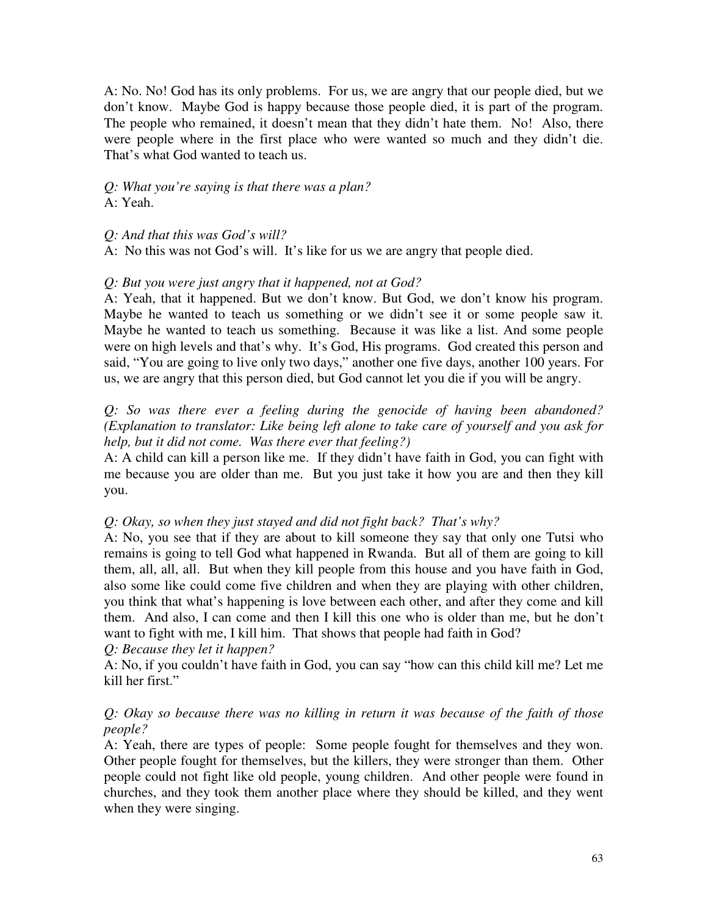A: No. No! God has its only problems. For us, we are angry that our people died, but we don't know. Maybe God is happy because those people died, it is part of the program. The people who remained, it doesn't mean that they didn't hate them. No! Also, there were people where in the first place who were wanted so much and they didn't die. That's what God wanted to teach us.

*Q: What you're saying is that there was a plan?*  A: Yeah.

*Q: And that this was God's will?* 

A: No this was not God's will. It's like for us we are angry that people died.

## *Q: But you were just angry that it happened, not at God?*

A: Yeah, that it happened. But we don't know. But God, we don't know his program. Maybe he wanted to teach us something or we didn't see it or some people saw it. Maybe he wanted to teach us something. Because it was like a list. And some people were on high levels and that's why. It's God, His programs. God created this person and said, "You are going to live only two days," another one five days, another 100 years. For us, we are angry that this person died, but God cannot let you die if you will be angry.

## *Q: So was there ever a feeling during the genocide of having been abandoned? (Explanation to translator: Like being left alone to take care of yourself and you ask for help, but it did not come. Was there ever that feeling?)*

A: A child can kill a person like me. If they didn't have faith in God, you can fight with me because you are older than me. But you just take it how you are and then they kill you.

## *Q: Okay, so when they just stayed and did not fight back? That's why?*

A: No, you see that if they are about to kill someone they say that only one Tutsi who remains is going to tell God what happened in Rwanda. But all of them are going to kill them, all, all, all. But when they kill people from this house and you have faith in God, also some like could come five children and when they are playing with other children, you think that what's happening is love between each other, and after they come and kill them. And also, I can come and then I kill this one who is older than me, but he don't want to fight with me, I kill him. That shows that people had faith in God?

*Q: Because they let it happen?* 

A: No, if you couldn't have faith in God, you can say "how can this child kill me? Let me kill her first."

## *Q: Okay so because there was no killing in return it was because of the faith of those people?*

A: Yeah, there are types of people: Some people fought for themselves and they won. Other people fought for themselves, but the killers, they were stronger than them. Other people could not fight like old people, young children. And other people were found in churches, and they took them another place where they should be killed, and they went when they were singing.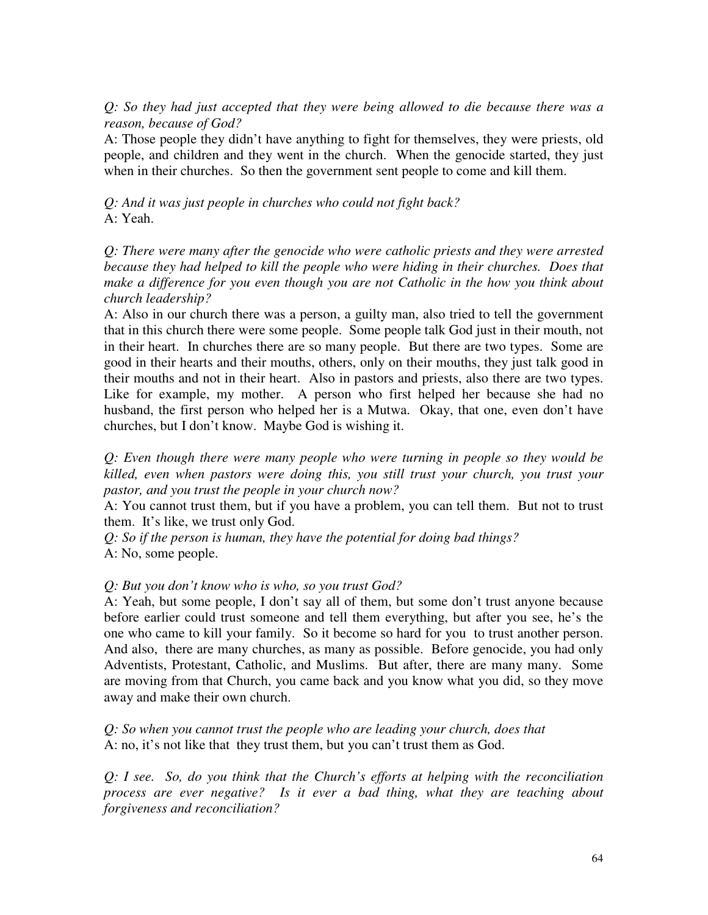*Q: So they had just accepted that they were being allowed to die because there was a reason, because of God?* 

A: Those people they didn't have anything to fight for themselves, they were priests, old people, and children and they went in the church. When the genocide started, they just when in their churches. So then the government sent people to come and kill them.

*Q: And it was just people in churches who could not fight back?*  A: Yeah.

*Q: There were many after the genocide who were catholic priests and they were arrested because they had helped to kill the people who were hiding in their churches. Does that make a difference for you even though you are not Catholic in the how you think about church leadership?* 

A: Also in our church there was a person, a guilty man, also tried to tell the government that in this church there were some people. Some people talk God just in their mouth, not in their heart. In churches there are so many people. But there are two types. Some are good in their hearts and their mouths, others, only on their mouths, they just talk good in their mouths and not in their heart. Also in pastors and priests, also there are two types. Like for example, my mother. A person who first helped her because she had no husband, the first person who helped her is a Mutwa. Okay, that one, even don't have churches, but I don't know. Maybe God is wishing it.

*Q: Even though there were many people who were turning in people so they would be killed, even when pastors were doing this, you still trust your church, you trust your pastor, and you trust the people in your church now?* 

A: You cannot trust them, but if you have a problem, you can tell them. But not to trust them. It's like, we trust only God.

*Q: So if the person is human, they have the potential for doing bad things?*  A: No, some people.

## *Q: But you don't know who is who, so you trust God?*

A: Yeah, but some people, I don't say all of them, but some don't trust anyone because before earlier could trust someone and tell them everything, but after you see, he's the one who came to kill your family. So it become so hard for you to trust another person. And also, there are many churches, as many as possible. Before genocide, you had only Adventists, Protestant, Catholic, and Muslims. But after, there are many many. Some are moving from that Church, you came back and you know what you did, so they move away and make their own church.

*Q: So when you cannot trust the people who are leading your church, does that*  A: no, it's not like that they trust them, but you can't trust them as God.

*Q: I see. So, do you think that the Church's efforts at helping with the reconciliation process are ever negative? Is it ever a bad thing, what they are teaching about forgiveness and reconciliation?*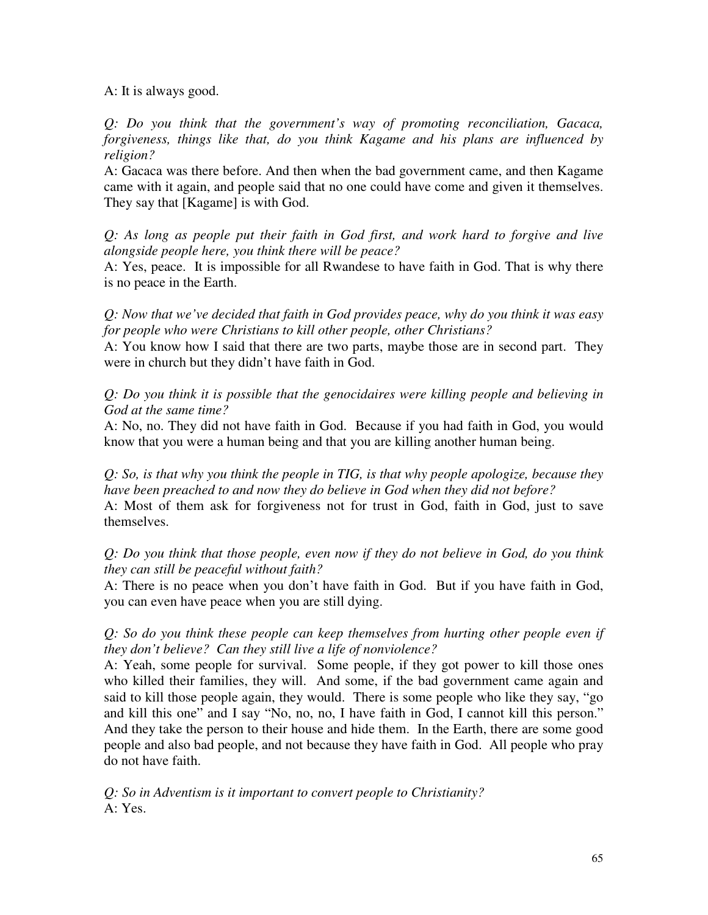A: It is always good.

*Q: Do you think that the government's way of promoting reconciliation, Gacaca, forgiveness, things like that, do you think Kagame and his plans are influenced by religion?* 

A: Gacaca was there before. And then when the bad government came, and then Kagame came with it again, and people said that no one could have come and given it themselves. They say that [Kagame] is with God.

*Q: As long as people put their faith in God first, and work hard to forgive and live alongside people here, you think there will be peace?* 

A: Yes, peace. It is impossible for all Rwandese to have faith in God. That is why there is no peace in the Earth.

*Q: Now that we've decided that faith in God provides peace, why do you think it was easy for people who were Christians to kill other people, other Christians?* 

A: You know how I said that there are two parts, maybe those are in second part. They were in church but they didn't have faith in God.

*Q: Do you think it is possible that the genocidaires were killing people and believing in God at the same time?* 

A: No, no. They did not have faith in God. Because if you had faith in God, you would know that you were a human being and that you are killing another human being.

*Q: So, is that why you think the people in TIG, is that why people apologize, because they have been preached to and now they do believe in God when they did not before?* 

A: Most of them ask for forgiveness not for trust in God, faith in God, just to save themselves.

*Q: Do you think that those people, even now if they do not believe in God, do you think they can still be peaceful without faith?* 

A: There is no peace when you don't have faith in God. But if you have faith in God, you can even have peace when you are still dying.

*Q: So do you think these people can keep themselves from hurting other people even if they don't believe? Can they still live a life of nonviolence?* 

A: Yeah, some people for survival. Some people, if they got power to kill those ones who killed their families, they will. And some, if the bad government came again and said to kill those people again, they would. There is some people who like they say, "go and kill this one" and I say "No, no, no, I have faith in God, I cannot kill this person." And they take the person to their house and hide them. In the Earth, there are some good people and also bad people, and not because they have faith in God. All people who pray do not have faith.

*Q: So in Adventism is it important to convert people to Christianity?*  A: Yes.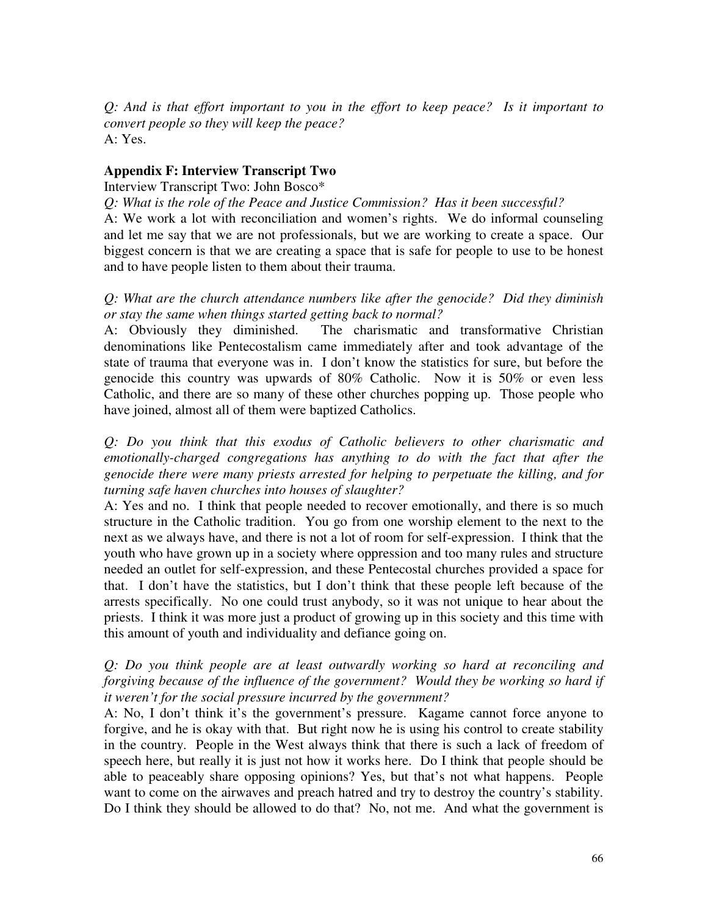*Q: And is that effort important to you in the effort to keep peace? Is it important to convert people so they will keep the peace?*  A: Yes.

## **Appendix F: Interview Transcript Two**

Interview Transcript Two: John Bosco\*

*Q: What is the role of the Peace and Justice Commission? Has it been successful?*  A: We work a lot with reconciliation and women's rights. We do informal counseling and let me say that we are not professionals, but we are working to create a space. Our biggest concern is that we are creating a space that is safe for people to use to be honest and to have people listen to them about their trauma.

## *Q: What are the church attendance numbers like after the genocide? Did they diminish or stay the same when things started getting back to normal?*

A: Obviously they diminished. The charismatic and transformative Christian denominations like Pentecostalism came immediately after and took advantage of the state of trauma that everyone was in. I don't know the statistics for sure, but before the genocide this country was upwards of 80% Catholic. Now it is 50% or even less Catholic, and there are so many of these other churches popping up. Those people who have joined, almost all of them were baptized Catholics.

*Q: Do you think that this exodus of Catholic believers to other charismatic and emotionally-charged congregations has anything to do with the fact that after the genocide there were many priests arrested for helping to perpetuate the killing, and for turning safe haven churches into houses of slaughter?* 

A: Yes and no. I think that people needed to recover emotionally, and there is so much structure in the Catholic tradition. You go from one worship element to the next to the next as we always have, and there is not a lot of room for self-expression. I think that the youth who have grown up in a society where oppression and too many rules and structure needed an outlet for self-expression, and these Pentecostal churches provided a space for that. I don't have the statistics, but I don't think that these people left because of the arrests specifically. No one could trust anybody, so it was not unique to hear about the priests. I think it was more just a product of growing up in this society and this time with this amount of youth and individuality and defiance going on.

## *Q: Do you think people are at least outwardly working so hard at reconciling and forgiving because of the influence of the government? Would they be working so hard if it weren't for the social pressure incurred by the government?*

A: No, I don't think it's the government's pressure. Kagame cannot force anyone to forgive, and he is okay with that. But right now he is using his control to create stability in the country. People in the West always think that there is such a lack of freedom of speech here, but really it is just not how it works here. Do I think that people should be able to peaceably share opposing opinions? Yes, but that's not what happens. People want to come on the airwaves and preach hatred and try to destroy the country's stability. Do I think they should be allowed to do that? No, not me. And what the government is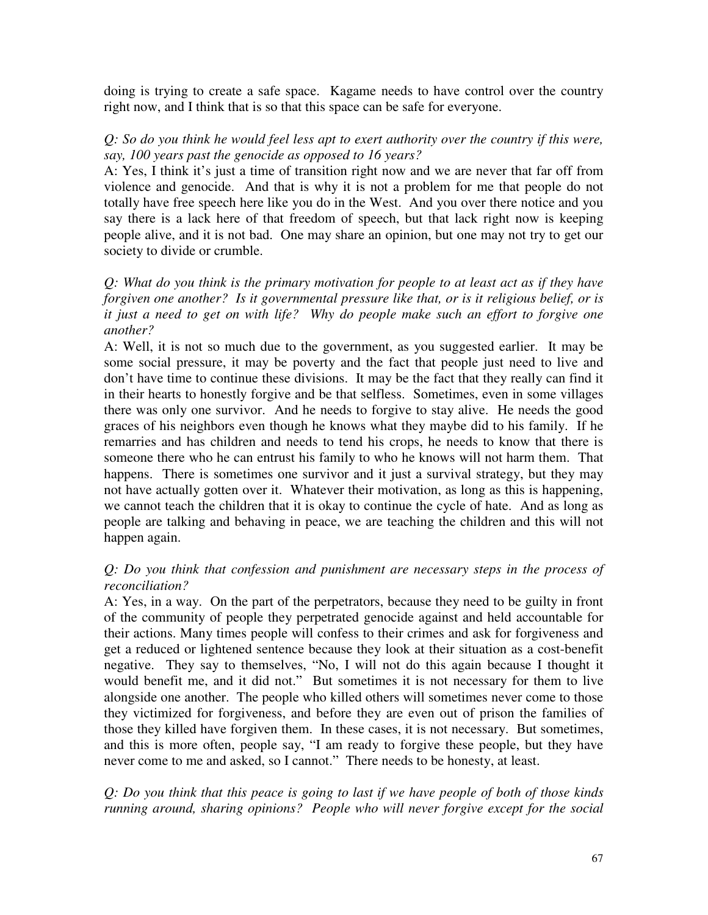doing is trying to create a safe space. Kagame needs to have control over the country right now, and I think that is so that this space can be safe for everyone.

## *Q: So do you think he would feel less apt to exert authority over the country if this were, say, 100 years past the genocide as opposed to 16 years?*

A: Yes, I think it's just a time of transition right now and we are never that far off from violence and genocide. And that is why it is not a problem for me that people do not totally have free speech here like you do in the West. And you over there notice and you say there is a lack here of that freedom of speech, but that lack right now is keeping people alive, and it is not bad. One may share an opinion, but one may not try to get our society to divide or crumble.

*Q: What do you think is the primary motivation for people to at least act as if they have forgiven one another? Is it governmental pressure like that, or is it religious belief, or is it just a need to get on with life? Why do people make such an effort to forgive one another?* 

A: Well, it is not so much due to the government, as you suggested earlier. It may be some social pressure, it may be poverty and the fact that people just need to live and don't have time to continue these divisions. It may be the fact that they really can find it in their hearts to honestly forgive and be that selfless. Sometimes, even in some villages there was only one survivor. And he needs to forgive to stay alive. He needs the good graces of his neighbors even though he knows what they maybe did to his family. If he remarries and has children and needs to tend his crops, he needs to know that there is someone there who he can entrust his family to who he knows will not harm them. That happens. There is sometimes one survivor and it just a survival strategy, but they may not have actually gotten over it. Whatever their motivation, as long as this is happening, we cannot teach the children that it is okay to continue the cycle of hate. And as long as people are talking and behaving in peace, we are teaching the children and this will not happen again.

## *Q: Do you think that confession and punishment are necessary steps in the process of reconciliation?*

A: Yes, in a way. On the part of the perpetrators, because they need to be guilty in front of the community of people they perpetrated genocide against and held accountable for their actions. Many times people will confess to their crimes and ask for forgiveness and get a reduced or lightened sentence because they look at their situation as a cost-benefit negative. They say to themselves, "No, I will not do this again because I thought it would benefit me, and it did not." But sometimes it is not necessary for them to live alongside one another. The people who killed others will sometimes never come to those they victimized for forgiveness, and before they are even out of prison the families of those they killed have forgiven them. In these cases, it is not necessary. But sometimes, and this is more often, people say, "I am ready to forgive these people, but they have never come to me and asked, so I cannot." There needs to be honesty, at least.

*Q: Do you think that this peace is going to last if we have people of both of those kinds running around, sharing opinions? People who will never forgive except for the social*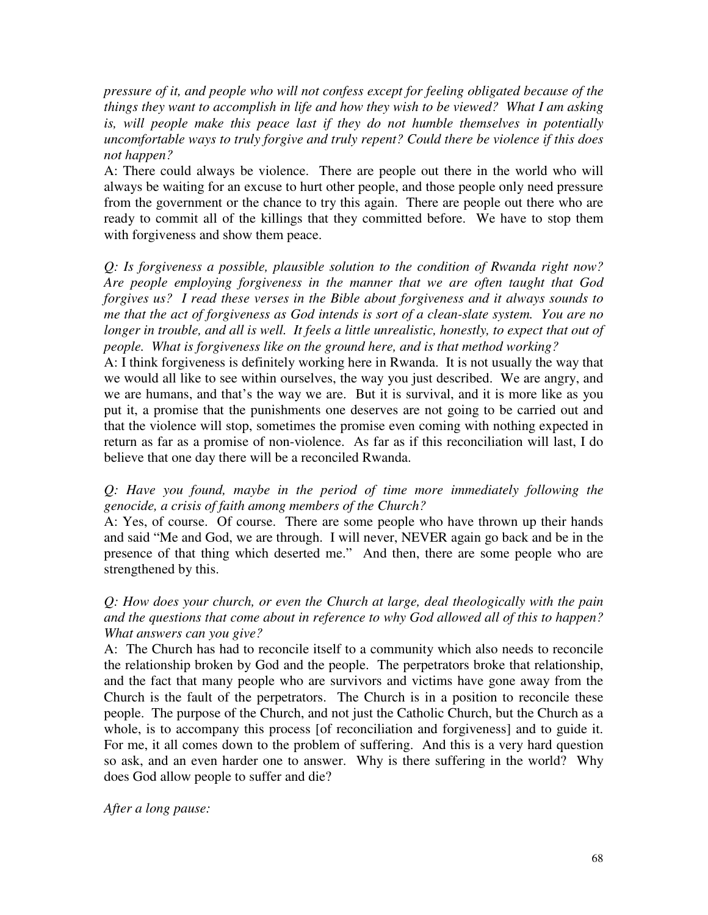*pressure of it, and people who will not confess except for feeling obligated because of the things they want to accomplish in life and how they wish to be viewed? What I am asking*  is, will people make this peace last if they do not humble themselves in potentially *uncomfortable ways to truly forgive and truly repent? Could there be violence if this does not happen?* 

A: There could always be violence. There are people out there in the world who will always be waiting for an excuse to hurt other people, and those people only need pressure from the government or the chance to try this again. There are people out there who are ready to commit all of the killings that they committed before. We have to stop them with forgiveness and show them peace.

*Q: Is forgiveness a possible, plausible solution to the condition of Rwanda right now? Are people employing forgiveness in the manner that we are often taught that God forgives us? I read these verses in the Bible about forgiveness and it always sounds to me that the act of forgiveness as God intends is sort of a clean-slate system. You are no longer in trouble, and all is well. It feels a little unrealistic, honestly, to expect that out of people. What is forgiveness like on the ground here, and is that method working?* 

A: I think forgiveness is definitely working here in Rwanda. It is not usually the way that we would all like to see within ourselves, the way you just described. We are angry, and we are humans, and that's the way we are. But it is survival, and it is more like as you put it, a promise that the punishments one deserves are not going to be carried out and that the violence will stop, sometimes the promise even coming with nothing expected in return as far as a promise of non-violence. As far as if this reconciliation will last, I do believe that one day there will be a reconciled Rwanda.

## *Q: Have you found, maybe in the period of time more immediately following the genocide, a crisis of faith among members of the Church?*

A: Yes, of course. Of course. There are some people who have thrown up their hands and said "Me and God, we are through. I will never, NEVER again go back and be in the presence of that thing which deserted me." And then, there are some people who are strengthened by this.

*Q: How does your church, or even the Church at large, deal theologically with the pain and the questions that come about in reference to why God allowed all of this to happen? What answers can you give?* 

A: The Church has had to reconcile itself to a community which also needs to reconcile the relationship broken by God and the people. The perpetrators broke that relationship, and the fact that many people who are survivors and victims have gone away from the Church is the fault of the perpetrators. The Church is in a position to reconcile these people. The purpose of the Church, and not just the Catholic Church, but the Church as a whole, is to accompany this process [of reconciliation and forgiveness] and to guide it. For me, it all comes down to the problem of suffering. And this is a very hard question so ask, and an even harder one to answer. Why is there suffering in the world? Why does God allow people to suffer and die?

*After a long pause:*